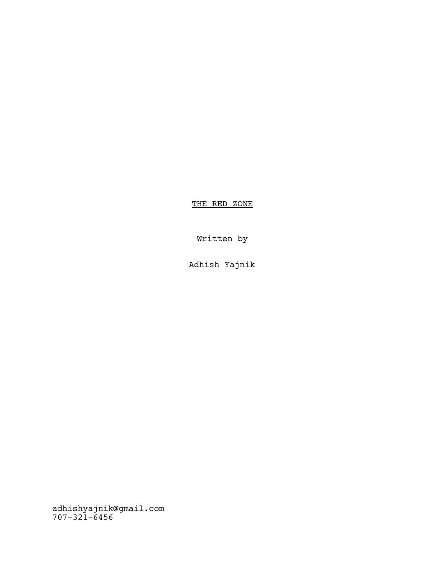THE RED ZONE

Written by

Adhish Yajnik

adhishyajnik@gmail.com 707-321-6456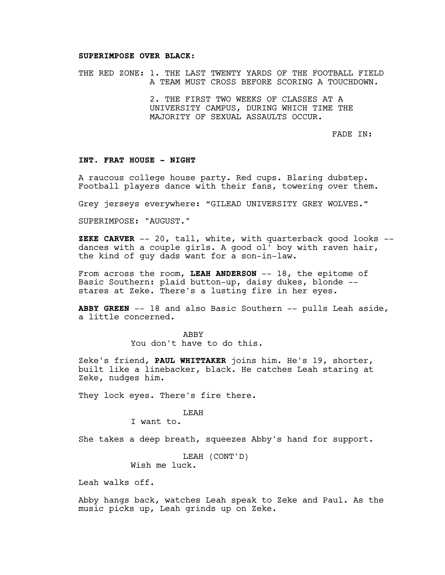#### **SUPERIMPOSE OVER BLACK:**

THE RED ZONE: 1. THE LAST TWENTY YARDS OF THE FOOTBALL FIELD A TEAM MUST CROSS BEFORE SCORING A TOUCHDOWN.

> 2. THE FIRST TWO WEEKS OF CLASSES AT A UNIVERSITY CAMPUS, DURING WHICH TIME THE MAJORITY OF SEXUAL ASSAULTS OCCUR.

> > FADE IN:

## **INT. FRAT HOUSE - NIGHT**

A raucous college house party. Red cups. Blaring dubstep. Football players dance with their fans, towering over them.

Grey jerseys everywhere: "GILEAD UNIVERSITY GREY WOLVES."

SUPERIMPOSE: "AUGUST."

**ZEKE CARVER** -- 20, tall, white, with quarterback good looks - dances with a couple girls. A good ol' boy with raven hair, the kind of guy dads want for a son-in-law.

From across the room, LEAH ANDERSON -- 18, the epitome of Basic Southern: plaid button-up, daisy dukes, blonde - stares at Zeke. There's a lusting fire in her eyes.

**ABBY GREEN** -- 18 and also Basic Southern -- pulls Leah aside, a little concerned.

> **ABBY** You don't have to do this.

Zeke's friend, **PAUL WHITTAKER** joins him. He's 19, shorter, built like a linebacker, black. He catches Leah staring at Zeke, nudges him.

They lock eyes. There's fire there.

#### LEAH

I want to.

She takes a deep breath, squeezes Abby's hand for support.

LEAH (CONT'D) Wish me luck.

Leah walks off.

Abby hangs back, watches Leah speak to Zeke and Paul. As the music picks up, Leah grinds up on Zeke.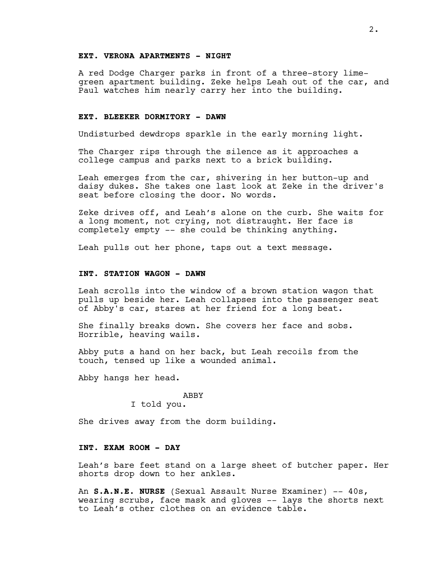#### **EXT. VERONA APARTMENTS - NIGHT**

A red Dodge Charger parks in front of a three-story limegreen apartment building. Zeke helps Leah out of the car, and Paul watches him nearly carry her into the building.

#### **EXT. BLEEKER DORMITORY - DAWN**

Undisturbed dewdrops sparkle in the early morning light.

The Charger rips through the silence as it approaches a college campus and parks next to a brick building.

Leah emerges from the car, shivering in her button-up and daisy dukes. She takes one last look at Zeke in the driver's seat before closing the door. No words.

Zeke drives off, and Leah's alone on the curb. She waits for a long moment, not crying, not distraught. Her face is completely empty -- she could be thinking anything.

Leah pulls out her phone, taps out a text message.

## **INT. STATION WAGON - DAWN**

Leah scrolls into the window of a brown station wagon that pulls up beside her. Leah collapses into the passenger seat of Abby's car, stares at her friend for a long beat.

She finally breaks down. She covers her face and sobs. Horrible, heaving wails.

Abby puts a hand on her back, but Leah recoils from the touch, tensed up like a wounded animal.

Abby hangs her head.

#### ABBY

I told you.

She drives away from the dorm building.

# **INT. EXAM ROOM - DAY**

Leah's bare feet stand on a large sheet of butcher paper. Her shorts drop down to her ankles.

An **S.A.N.E. NURSE** (Sexual Assault Nurse Examiner) -- 40s, wearing scrubs, face mask and gloves -- lays the shorts next to Leah's other clothes on an evidence table.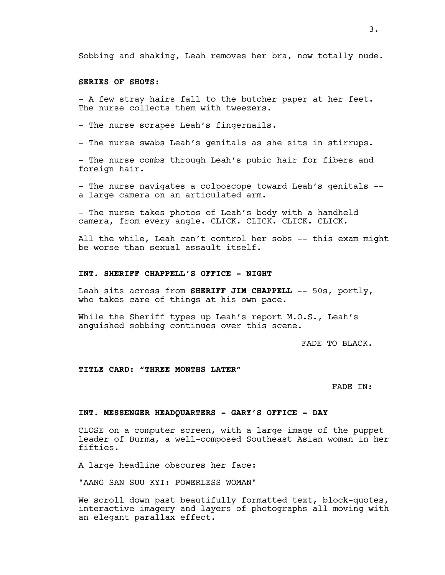Sobbing and shaking, Leah removes her bra, now totally nude.

# **SERIES OF SHOTS:**

- A few stray hairs fall to the butcher paper at her feet. The nurse collects them with tweezers.

- The nurse scrapes Leah's fingernails.

- The nurse swabs Leah's genitals as she sits in stirrups.

- The nurse combs through Leah's pubic hair for fibers and foreign hair.

- The nurse navigates a colposcope toward Leah's genitals - a large camera on an articulated arm.

- The nurse takes photos of Leah's body with a handheld camera, from every angle. CLICK. CLICK. CLICK. CLICK.

All the while, Leah can't control her sobs -- this exam might be worse than sexual assault itself.

## **INT. SHERIFF CHAPPELL'S OFFICE - NIGHT**

Leah sits across from **SHERIFF JIM CHAPPELL** -- 50s, portly, who takes care of things at his own pace.

While the Sheriff types up Leah's report M.O.S., Leah's anguished sobbing continues over this scene.

FADE TO BLACK.

**TITLE CARD: "THREE MONTHS LATER"**

FADE IN:

#### **INT. MESSENGER HEADQUARTERS - GARY'S OFFICE - DAY**

CLOSE on a computer screen, with a large image of the puppet leader of Burma, a well-composed Southeast Asian woman in her fifties.

A large headline obscures her face:

"AANG SAN SUU KYI: POWERLESS WOMAN"

We scroll down past beautifully formatted text, block-quotes, interactive imagery and layers of photographs all moving with an elegant parallax effect.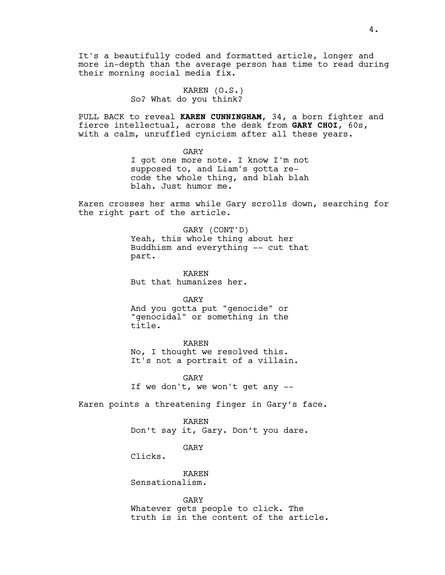It's a beautifully coded and formatted article, longer and more in-depth than the average person has time to read during their morning social media fix.

> KAREN (O.S.) So? What do you think?

PULL BACK to reveal **KAREN CUNNINGHAM**, 34, a born fighter and fierce intellectual, across the desk from **GARY CHOI**, 60s, with a calm, unruffled cynicism after all these years.

> GARY I got one more note. I know I'm not supposed to, and Liam's gotta recode the whole thing, and blah blah blah. Just humor me.

Karen crosses her arms while Gary scrolls down, searching for the right part of the article.

> GARY (CONT'D) Yeah, this whole thing about her Buddhism and everything -- cut that part.

KAREN But that humanizes her.

GARY

And you gotta put "genocide" or "genocidal" or something in the title.

KAREN

No, I thought we resolved this. It's not a portrait of a villain.

GARY If we don't, we won't get any --

Karen points a threatening finger in Gary's face.

KAREN Don't say it, Gary. Don't you dare.

GARY

Clicks.

KAREN Sensationalism.

GARY

Whatever gets people to click. The truth is in the content of the article.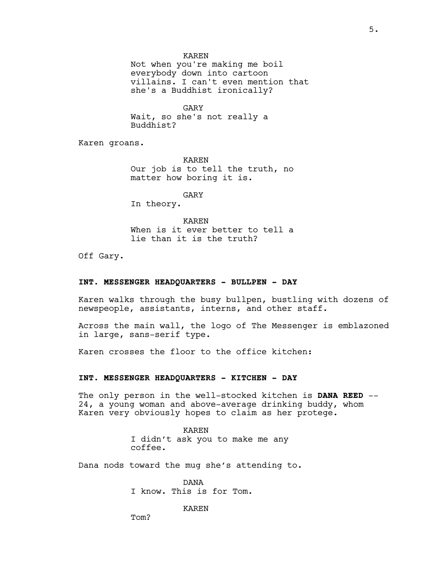## KAREN

Not when you're making me boil everybody down into cartoon villains. I can't even mention that she's a Buddhist ironically?

GARY Wait, so she's not really a Buddhist?

Karen groans.

KAREN Our job is to tell the truth, no matter how boring it is.

GARY

In theory.

KAREN When is it ever better to tell a lie than it is the truth?

Off Gary.

#### **INT. MESSENGER HEADQUARTERS - BULLPEN - DAY**

Karen walks through the busy bullpen, bustling with dozens of newspeople, assistants, interns, and other staff.

Across the main wall, the logo of The Messenger is emblazoned in large, sans-serif type.

Karen crosses the floor to the office kitchen:

#### **INT. MESSENGER HEADQUARTERS - KITCHEN - DAY**

The only person in the well-stocked kitchen is **DANA REED** -- 24, a young woman and above-average drinking buddy, whom Karen very obviously hopes to claim as her protege.

> KAREN I didn't ask you to make me any coffee.

Dana nods toward the mug she's attending to.

DANA I know. This is for Tom.

KAREN

Tom?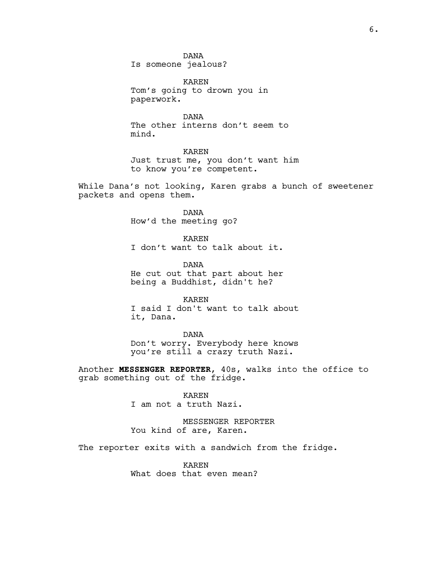DANA Is someone jealous?

KAREN Tom's going to drown you in paperwork.

DANA The other interns don't seem to mind.

KAREN Just trust me, you don't want him to know you're competent.

While Dana's not looking, Karen grabs a bunch of sweetener packets and opens them.

> DANA How'd the meeting go?

KAREN I don't want to talk about it.

DANA He cut out that part about her being a Buddhist, didn't he?

KAREN I said I don't want to talk about it, Dana.

DANA Don't worry. Everybody here knows you're still a crazy truth Nazi.

Another **MESSENGER REPORTER**, 40s, walks into the office to grab something out of the fridge.

> KAREN I am not a truth Nazi.

MESSENGER REPORTER You kind of are, Karen.

The reporter exits with a sandwich from the fridge.

KAREN What does that even mean?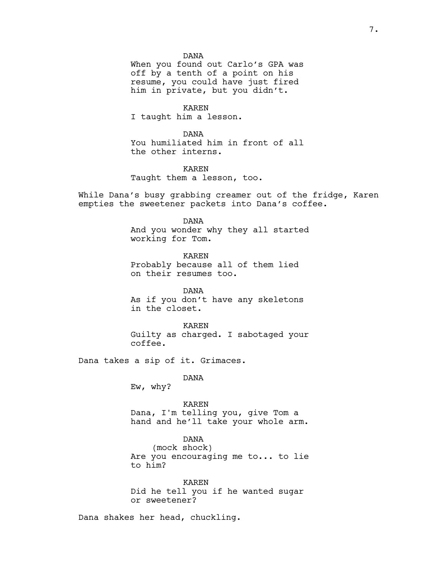DANA

When you found out Carlo's GPA was off by a tenth of a point on his resume, you could have just fired him in private, but you didn't.

KAREN I taught him a lesson.

DANA You humiliated him in front of all the other interns.

KAREN Taught them a lesson, too.

While Dana's busy grabbing creamer out of the fridge, Karen empties the sweetener packets into Dana's coffee.

DANA

And you wonder why they all started working for Tom.

KAREN Probably because all of them lied on their resumes too.

DANA As if you don't have any skeletons in the closet.

KAREN Guilty as charged. I sabotaged your coffee.

Dana takes a sip of it. Grimaces.

DANA

Ew, why?

KAREN Dana, I'm telling you, give Tom a hand and he'll take your whole arm.

DANA (mock shock) Are you encouraging me to... to lie to him?

KAREN Did he tell you if he wanted sugar or sweetener?

Dana shakes her head, chuckling.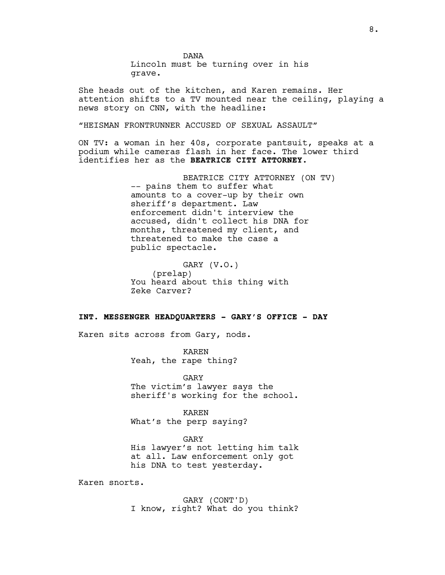DANA Lincoln must be turning over in his grave.

She heads out of the kitchen, and Karen remains. Her attention shifts to a TV mounted near the ceiling, playing a news story on CNN, with the headline:

"HEISMAN FRONTRUNNER ACCUSED OF SEXUAL ASSAULT"

ON TV: a woman in her 40s, corporate pantsuit, speaks at a podium while cameras flash in her face. The lower third identifies her as the **BEATRICE CITY ATTORNEY.**

> BEATRICE CITY ATTORNEY (ON TV) -- pains them to suffer what amounts to a cover-up by their own sheriff's department. Law enforcement didn't interview the accused, didn't collect his DNA for months, threatened my client, and threatened to make the case a public spectacle.

GARY (V.O.) (prelap) You heard about this thing with Zeke Carver?

# **INT. MESSENGER HEADQUARTERS - GARY'S OFFICE - DAY**

Karen sits across from Gary, nods.

KAREN Yeah, the rape thing?

GARY The victim's lawyer says the sheriff's working for the school.

KAREN What's the perp saying?

GARY His lawyer's not letting him talk at all. Law enforcement only got his DNA to test yesterday.

Karen snorts.

GARY (CONT'D) I know, right? What do you think?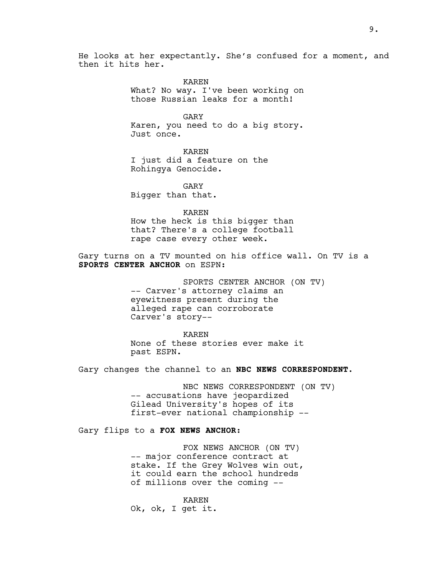He looks at her expectantly. She's confused for a moment, and then it hits her.

> KAREN What? No way. I've been working on those Russian leaks for a month!

> GARY Karen, you need to do a big story. Just once.

KAREN I just did a feature on the Rohingya Genocide.

GARY Bigger than that.

KAREN

How the heck is this bigger than that? There's a college football rape case every other week.

Gary turns on a TV mounted on his office wall. On TV is a **SPORTS CENTER ANCHOR** on ESPN:

> SPORTS CENTER ANCHOR (ON TV) -- Carver's attorney claims an eyewitness present during the alleged rape can corroborate Carver's story--

KAREN None of these stories ever make it past ESPN.

Gary changes the channel to an **NBC NEWS CORRESPONDENT**.

NBC NEWS CORRESPONDENT (ON TV) -- accusations have jeopardized Gilead University's hopes of its first-ever national championship --

Gary flips to a **FOX NEWS ANCHOR**:

FOX NEWS ANCHOR (ON TV) -- major conference contract at stake. If the Grey Wolves win out, it could earn the school hundreds of millions over the coming --

KAREN Ok, ok, I get it.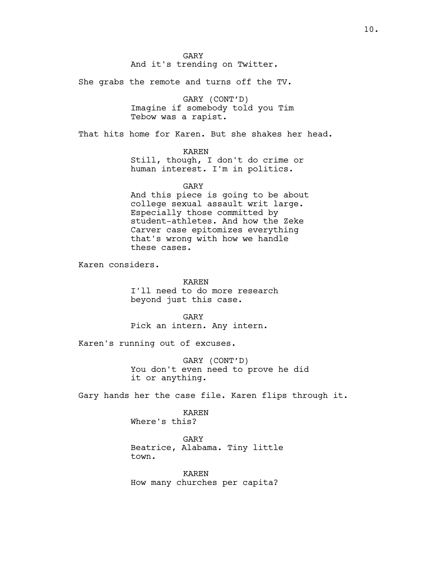GARY And it's trending on Twitter.

She grabs the remote and turns off the TV.

GARY (CONT'D) Imagine if somebody told you Tim Tebow was a rapist.

That hits home for Karen. But she shakes her head.

## KAREN

Still, though, I don't do crime or human interest. I'm in politics.

#### GARY

And this piece is going to be about college sexual assault writ large. Especially those committed by student-athletes. And how the Zeke Carver case epitomizes everything that's wrong with how we handle these cases.

Karen considers.

KAREN I'll need to do more research beyond just this case.

GARY Pick an intern. Any intern.

Karen's running out of excuses.

GARY (CONT'D) You don't even need to prove he did it or anything.

Gary hands her the case file. Karen flips through it.

# KAREN

Where's this?

GARY Beatrice, Alabama. Tiny little town.

KAREN How many churches per capita?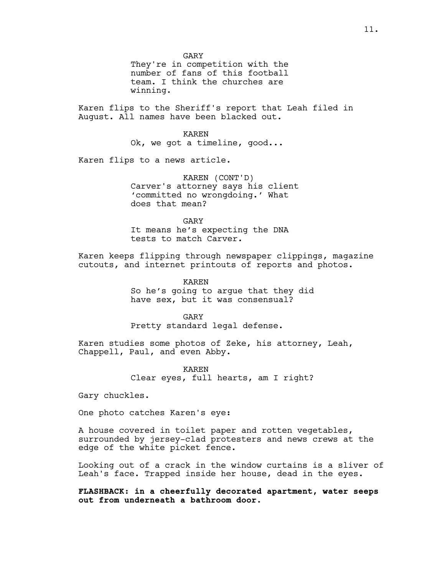GARY They're in competition with the number of fans of this football team. I think the churches are winning.

Karen flips to the Sheriff's report that Leah filed in August. All names have been blacked out.

> KAREN Ok, we got a timeline, good...

Karen flips to a news article.

KAREN (CONT'D) Carver's attorney says his client 'committed no wrongdoing.' What does that mean?

GARY It means he's expecting the DNA tests to match Carver.

Karen keeps flipping through newspaper clippings, magazine cutouts, and internet printouts of reports and photos.

> KAREN So he's going to argue that they did have sex, but it was consensual?

GARY Pretty standard legal defense.

Karen studies some photos of Zeke, his attorney, Leah, Chappell, Paul, and even Abby.

> KAREN Clear eyes, full hearts, am I right?

Gary chuckles.

One photo catches Karen's eye:

A house covered in toilet paper and rotten vegetables, surrounded by jersey-clad protesters and news crews at the edge of the white picket fence.

Looking out of a crack in the window curtains is a sliver of Leah's face. Trapped inside her house, dead in the eyes.

**FLASHBACK: in a cheerfully decorated apartment, water seeps out from underneath a bathroom door.**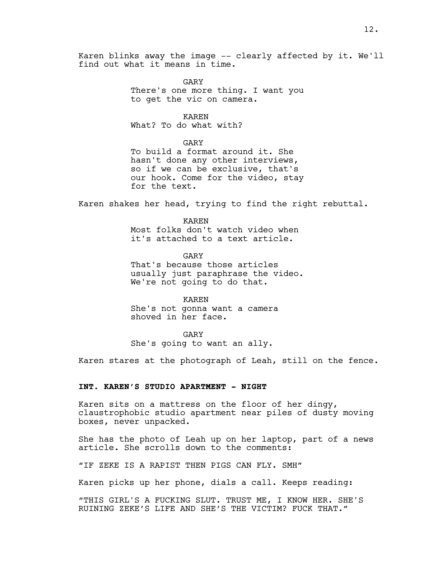Karen blinks away the image -- clearly affected by it. We'll find out what it means in time.

> GARY There's one more thing. I want you to get the vic on camera.

> > KAREN

What? To do what with?

GARY

To build a format around it. She hasn't done any other interviews, so if we can be exclusive, that's our hook. Come for the video, stay for the text.

Karen shakes her head, trying to find the right rebuttal.

KAREN Most folks don't watch video when it's attached to a text article.

GARY That's because those articles usually just paraphrase the video. We're not going to do that.

KAREN She's not gonna want a camera shoved in her face.

GARY She's going to want an ally.

Karen stares at the photograph of Leah, still on the fence.

## **INT. KAREN'S STUDIO APARTMENT - NIGHT**

Karen sits on a mattress on the floor of her dingy, claustrophobic studio apartment near piles of dusty moving boxes, never unpacked.

She has the photo of Leah up on her laptop, part of a news article. She scrolls down to the comments:

"IF ZEKE IS A RAPIST THEN PIGS CAN FLY. SMH"

Karen picks up her phone, dials a call. Keeps reading:

"THIS GIRL'S A FUCKING SLUT. TRUST ME, I KNOW HER. SHE'S RUINING ZEKE'S LIFE AND SHE'S THE VICTIM? FUCK THAT."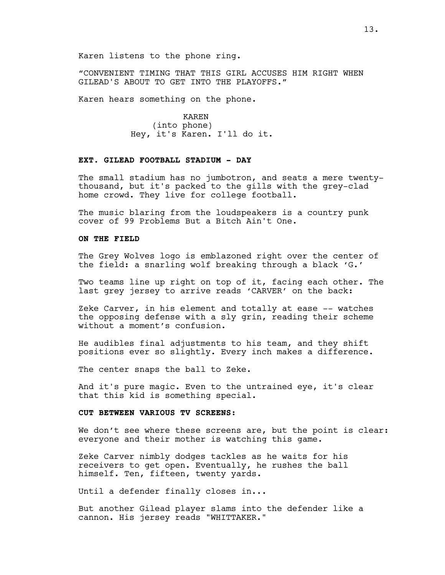Karen listens to the phone ring.

"CONVENIENT TIMING THAT THIS GIRL ACCUSES HIM RIGHT WHEN GILEAD'S ABOUT TO GET INTO THE PLAYOFFS."

Karen hears something on the phone.

KAREN (into phone) Hey, it's Karen. I'll do it.

# **EXT. GILEAD FOOTBALL STADIUM - DAY**

The small stadium has no jumbotron, and seats a mere twentythousand, but it's packed to the gills with the grey-clad home crowd. They live for college football.

The music blaring from the loudspeakers is a country punk cover of 99 Problems But a Bitch Ain't One.

#### **ON THE FIELD**

The Grey Wolves logo is emblazoned right over the center of the field: a snarling wolf breaking through a black 'G.'

Two teams line up right on top of it, facing each other. The last grey jersey to arrive reads 'CARVER' on the back:

Zeke Carver, in his element and totally at ease -- watches the opposing defense with a sly grin, reading their scheme without a moment's confusion.

He audibles final adjustments to his team, and they shift positions ever so slightly. Every inch makes a difference.

The center snaps the ball to Zeke.

And it's pure magic. Even to the untrained eye, it's clear that this kid is something special.

## **CUT BETWEEN VARIOUS TV SCREENS:**

We don't see where these screens are, but the point is clear: everyone and their mother is watching this game.

Zeke Carver nimbly dodges tackles as he waits for his receivers to get open. Eventually, he rushes the ball himself. Ten, fifteen, twenty yards.

Until a defender finally closes in...

But another Gilead player slams into the defender like a cannon. His jersey reads "WHITTAKER."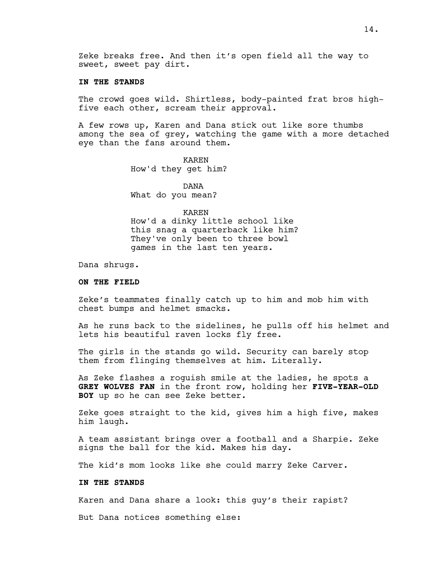Zeke breaks free. And then it's open field all the way to sweet, sweet pay dirt.

## **IN THE STANDS**

The crowd goes wild. Shirtless, body-painted frat bros highfive each other, scream their approval.

A few rows up, Karen and Dana stick out like sore thumbs among the sea of grey, watching the game with a more detached eye than the fans around them.

> KAREN How'd they get him?

DANA What do you mean?

#### KAREN

How'd a dinky little school like this snag a quarterback like him? They've only been to three bowl games in the last ten years.

Dana shrugs.

# **ON THE FIELD**

Zeke's teammates finally catch up to him and mob him with chest bumps and helmet smacks.

As he runs back to the sidelines, he pulls off his helmet and lets his beautiful raven locks fly free.

The girls in the stands go wild. Security can barely stop them from flinging themselves at him. Literally.

As Zeke flashes a roguish smile at the ladies, he spots a **GREY WOLVES FAN** in the front row, holding her **FIVE-YEAR-OLD BOY** up so he can see Zeke better.

Zeke goes straight to the kid, gives him a high five, makes him laugh.

A team assistant brings over a football and a Sharpie. Zeke signs the ball for the kid. Makes his day.

The kid's mom looks like she could marry Zeke Carver.

## **IN THE STANDS**

Karen and Dana share a look: this guy's their rapist?

But Dana notices something else: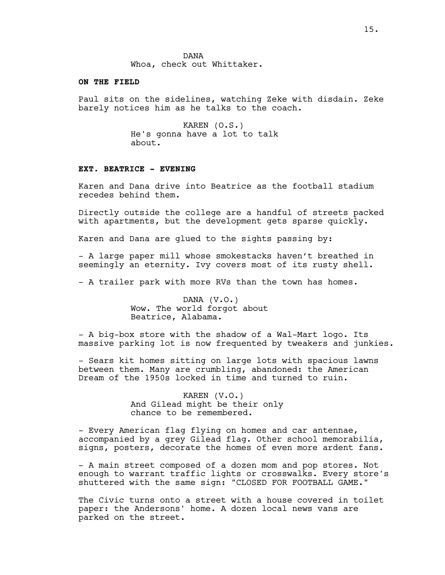#### **ON THE FIELD**

Paul sits on the sidelines, watching Zeke with disdain. Zeke barely notices him as he talks to the coach.

> KAREN (O.S.) He's gonna have a lot to talk about.

### **EXT. BEATRICE - EVENING**

Karen and Dana drive into Beatrice as the football stadium recedes behind them.

Directly outside the college are a handful of streets packed with apartments, but the development gets sparse quickly.

Karen and Dana are glued to the sights passing by:

- A large paper mill whose smokestacks haven't breathed in seemingly an eternity. Ivy covers most of its rusty shell.

- A trailer park with more RVs than the town has homes.

DANA (V.O.) Wow. The world forgot about Beatrice, Alabama.

- A big-box store with the shadow of a Wal-Mart logo. Its massive parking lot is now frequented by tweakers and junkies.

- Sears kit homes sitting on large lots with spacious lawns between them. Many are crumbling, abandoned: the American Dream of the 1950s locked in time and turned to ruin.

> KAREN (V.O.) And Gilead might be their only chance to be remembered.

- Every American flag flying on homes and car antennae, accompanied by a grey Gilead flag. Other school memorabilia, signs, posters, decorate the homes of even more ardent fans.

- A main street composed of a dozen mom and pop stores. Not enough to warrant traffic lights or crosswalks. Every store's shuttered with the same sign: "CLOSED FOR FOOTBALL GAME."

The Civic turns onto a street with a house covered in toilet paper: the Andersons' home. A dozen local news vans are parked on the street.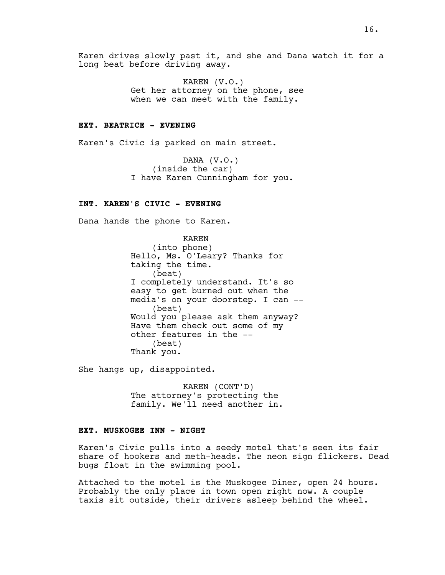Karen drives slowly past it, and she and Dana watch it for a long beat before driving away.

> KAREN (V.O.) Get her attorney on the phone, see when we can meet with the family.

## **EXT. BEATRICE - EVENING**

Karen's Civic is parked on main street.

DANA (V.O.) (inside the car) I have Karen Cunningham for you.

# **INT. KAREN'S CIVIC - EVENING**

Dana hands the phone to Karen.

KAREN (into phone) Hello, Ms. O'Leary? Thanks for taking the time. (beat) I completely understand. It's so easy to get burned out when the media's on your doorstep. I can -- (beat) Would you please ask them anyway? Have them check out some of my other features in the -- (beat) Thank you.

She hangs up, disappointed.

KAREN (CONT'D) The attorney's protecting the family. We'll need another in.

## **EXT. MUSKOGEE INN - NIGHT**

Karen's Civic pulls into a seedy motel that's seen its fair share of hookers and meth-heads. The neon sign flickers. Dead bugs float in the swimming pool.

Attached to the motel is the Muskogee Diner, open 24 hours. Probably the only place in town open right now. A couple taxis sit outside, their drivers asleep behind the wheel.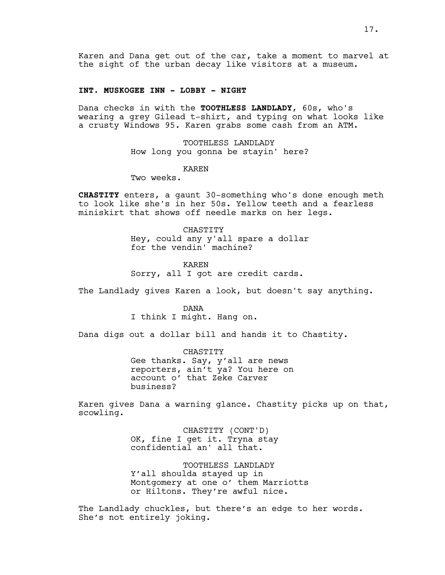Karen and Dana get out of the car, take a moment to marvel at the sight of the urban decay like visitors at a museum.

#### **INT. MUSKOGEE INN - LOBBY - NIGHT**

Dana checks in with the **TOOTHLESS LANDLADY**, 60s, who's wearing a grey Gilead t-shirt, and typing on what looks like a crusty Windows 95. Karen grabs some cash from an ATM.

> TOOTHLESS LANDLADY How long you gonna be stayin' here?

### KAREN

Two weeks.

**CHASTITY** enters, a gaunt 30-something who's done enough meth to look like she's in her 50s. Yellow teeth and a fearless miniskirt that shows off needle marks on her legs.

> CHASTITY Hey, could any y'all spare a dollar for the vendin' machine?

KAREN Sorry, all I got are credit cards.

The Landlady gives Karen a look, but doesn't say anything.

DANA I think I might. Hang on.

Dana digs out a dollar bill and hands it to Chastity.

CHASTITY Gee thanks. Say, y'all are news reporters, ain't ya? You here on account o' that Zeke Carver business?

Karen gives Dana a warning glance. Chastity picks up on that, scowling.

> CHASTITY (CONT'D) OK, fine I get it. Tryna stay confidential an' all that.

TOOTHLESS LANDLADY Y'all shoulda stayed up in Montgomery at one o' them Marriotts or Hiltons. They're awful nice.

The Landlady chuckles, but there's an edge to her words. She's not entirely joking.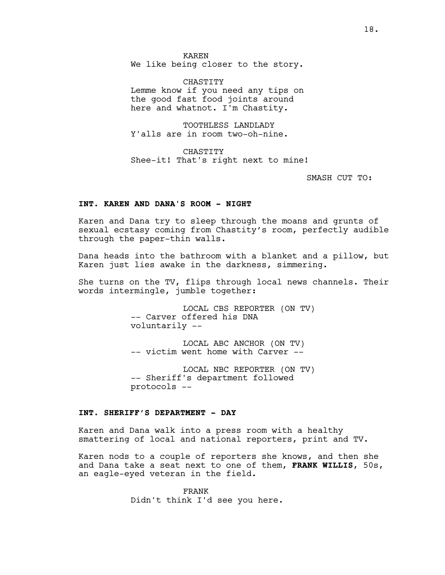KAREN We like being closer to the story.

CHASTITY Lemme know if you need any tips on the good fast food joints around here and whatnot. I'm Chastity.

TOOTHLESS LANDLADY Y'alls are in room two-oh-nine.

CHASTITY Shee-it! That's right next to mine!

SMASH CUT TO:

## **INT. KAREN AND DANA'S ROOM - NIGHT**

Karen and Dana try to sleep through the moans and grunts of sexual ecstasy coming from Chastity's room, perfectly audible through the paper-thin walls.

Dana heads into the bathroom with a blanket and a pillow, but Karen just lies awake in the darkness, simmering.

She turns on the TV, flips through local news channels. Their words intermingle, jumble together:

> LOCAL CBS REPORTER (ON TV) -- Carver offered his DNA voluntarily --

LOCAL ABC ANCHOR (ON TV) -- victim went home with Carver --

LOCAL NBC REPORTER (ON TV) -- Sheriff's department followed protocols --

# **INT. SHERIFF'S DEPARTMENT - DAY**

Karen and Dana walk into a press room with a healthy smattering of local and national reporters, print and TV.

Karen nods to a couple of reporters she knows, and then she and Dana take a seat next to one of them, **FRANK WILLIS**, 50s, an eagle-eyed veteran in the field.

> FRANK Didn't think I'd see you here.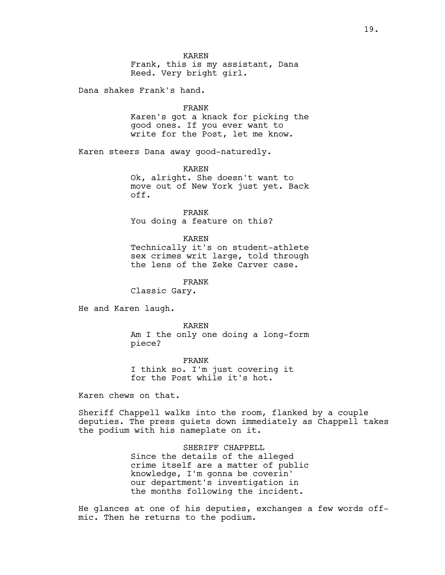## KAREN

Frank, this is my assistant, Dana Reed. Very bright girl.

Dana shakes Frank's hand.

FRANK

Karen's got a knack for picking the good ones. If you ever want to write for the Post, let me know.

Karen steers Dana away good-naturedly.

KAREN

Ok, alright. She doesn't want to move out of New York just yet. Back off.

FRANK You doing a feature on this?

#### KAREN

Technically it's on student-athlete sex crimes writ large, told through the lens of the Zeke Carver case.

FRANK

Classic Gary.

He and Karen laugh.

KAREN Am I the only one doing a long-form piece?

FRANK I think so. I'm just covering it for the Post while it's hot.

Karen chews on that.

Sheriff Chappell walks into the room, flanked by a couple deputies. The press quiets down immediately as Chappell takes the podium with his nameplate on it.

> SHERIFF CHAPPELL Since the details of the alleged crime itself are a matter of public knowledge, I'm gonna be coverin' our department's investigation in the months following the incident.

He glances at one of his deputies, exchanges a few words offmic. Then he returns to the podium.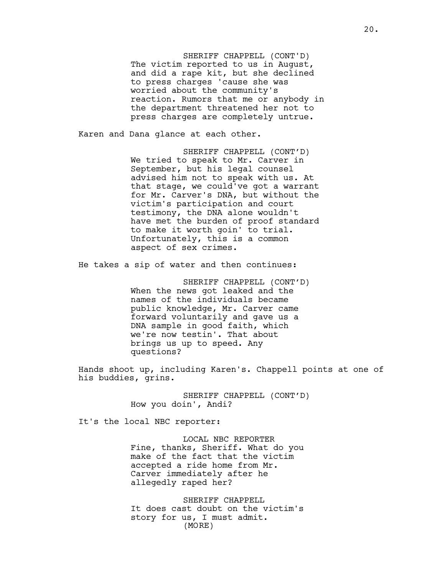SHERIFF CHAPPELL (CONT'D) The victim reported to us in August, and did a rape kit, but she declined to press charges 'cause she was worried about the community's reaction. Rumors that me or anybody in the department threatened her not to press charges are completely untrue.

Karen and Dana glance at each other.

SHERIFF CHAPPELL (CONT'D) We tried to speak to Mr. Carver in September, but his legal counsel advised him not to speak with us. At that stage, we could've got a warrant for Mr. Carver's DNA, but without the victim's participation and court testimony, the DNA alone wouldn't have met the burden of proof standard to make it worth goin' to trial. Unfortunately, this is a common aspect of sex crimes.

He takes a sip of water and then continues:

SHERIFF CHAPPELL (CONT'D) When the news got leaked and the names of the individuals became public knowledge, Mr. Carver came forward voluntarily and gave us a DNA sample in good faith, which we're now testin'. That about brings us up to speed. Any questions?

Hands shoot up, including Karen's. Chappell points at one of his buddies, grins.

> SHERIFF CHAPPELL (CONT'D) How you doin', Andi?

It's the local NBC reporter:

LOCAL NBC REPORTER Fine, thanks, Sheriff. What do you make of the fact that the victim accepted a ride home from Mr. Carver immediately after he allegedly raped her?

SHERIFF CHAPPELL It does cast doubt on the victim's story for us, I must admit. (MORE)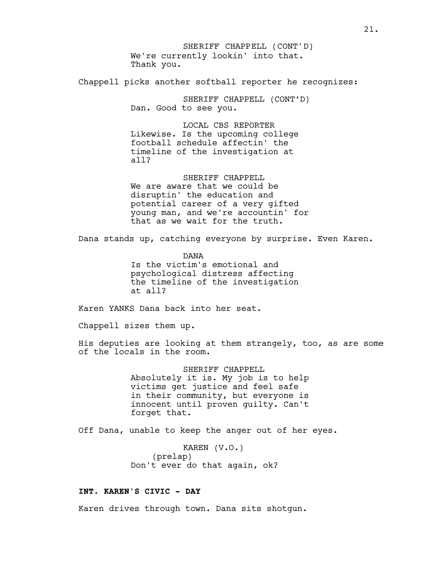We're currently lookin' into that. Thank you. SHERIFF CHAPPELL (CONT'D)

Chappell picks another softball reporter he recognizes:

SHERIFF CHAPPELL (CONT'D) Dan. Good to see you.

LOCAL CBS REPORTER Likewise. Is the upcoming college football schedule affectin' the timeline of the investigation at all?

SHERIFF CHAPPELL We are aware that we could be disruptin' the education and potential career of a very gifted young man, and we're accountin' for that as we wait for the truth.

Dana stands up, catching everyone by surprise. Even Karen.

DANA Is the victim's emotional and psychological distress affecting the timeline of the investigation at all?

Karen YANKS Dana back into her seat.

Chappell sizes them up.

His deputies are looking at them strangely, too, as are some of the locals in the room.

> SHERIFF CHAPPELL Absolutely it is. My job is to help victims get justice and feel safe in their community, but everyone is innocent until proven guilty. Can't forget that.

Off Dana, unable to keep the anger out of her eyes.

KAREN (V.O.) (prelap) Don't ever do that again, ok?

# **INT. KAREN'S CIVIC - DAY**

Karen drives through town. Dana sits shotgun.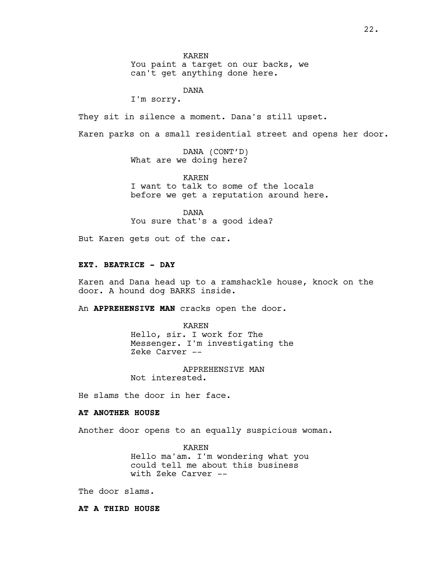KAREN

You paint a target on our backs, we can't get anything done here.

DANA

I'm sorry.

They sit in silence a moment. Dana's still upset.

Karen parks on a small residential street and opens her door.

DANA (CONT'D) What are we doing here?

KAREN

I want to talk to some of the locals before we get a reputation around here.

DANA

You sure that's a good idea?

But Karen gets out of the car.

# **EXT. BEATRICE - DAY**

Karen and Dana head up to a ramshackle house, knock on the door. A hound dog BARKS inside.

An **APPREHENSIVE MAN** cracks open the door.

KAREN Hello, sir. I work for The Messenger. I'm investigating the Zeke Carver --

APPREHENSIVE MAN Not interested.

He slams the door in her face.

# **AT ANOTHER HOUSE**

Another door opens to an equally suspicious woman.

KAREN Hello ma'am. I'm wondering what you could tell me about this business with Zeke Carver --

The door slams.

## **AT A THIRD HOUSE**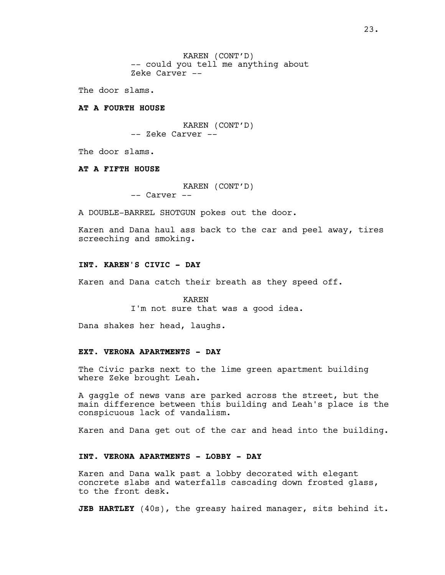KAREN (CONT'D) -- could you tell me anything about Zeke Carver --

The door slams.

## **AT A FOURTH HOUSE**

KAREN (CONT'D) -- Zeke Carver --

The door slams.

#### **AT A FIFTH HOUSE**

KAREN (CONT'D) -- Carver --

A DOUBLE-BARREL SHOTGUN pokes out the door.

Karen and Dana haul ass back to the car and peel away, tires screeching and smoking.

# **INT. KAREN'S CIVIC - DAY**

Karen and Dana catch their breath as they speed off.

KAREN I'm not sure that was a good idea.

Dana shakes her head, laughs.

## **EXT. VERONA APARTMENTS - DAY**

The Civic parks next to the lime green apartment building where Zeke brought Leah.

A gaggle of news vans are parked across the street, but the main difference between this building and Leah's place is the conspicuous lack of vandalism.

Karen and Dana get out of the car and head into the building.

#### **INT. VERONA APARTMENTS - LOBBY - DAY**

Karen and Dana walk past a lobby decorated with elegant concrete slabs and waterfalls cascading down frosted glass, to the front desk.

**JEB HARTLEY** (40s), the greasy haired manager, sits behind it.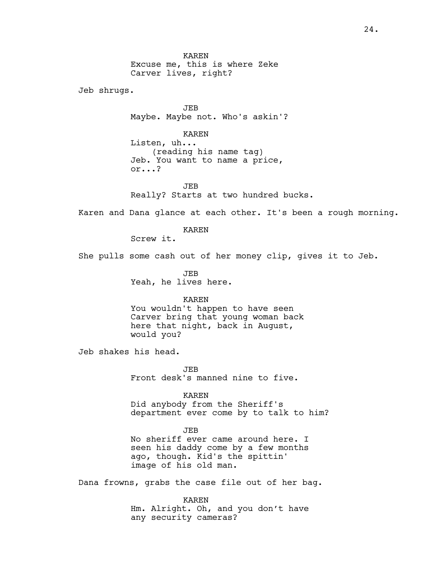KAREN Excuse me, this is where Zeke Carver lives, right?

Jeb shrugs.

JEB Maybe. Maybe not. Who's askin'?

KAREN

Listen, uh... (reading his name tag) Jeb. You want to name a price, or...?

JEB Really? Starts at two hundred bucks.

Karen and Dana glance at each other. It's been a rough morning.

KAREN

Screw it.

She pulls some cash out of her money clip, gives it to Jeb.

JEB Yeah, he lives here.

## KAREN

You wouldn't happen to have seen Carver bring that young woman back here that night, back in August, would you?

Jeb shakes his head.

JEB Front desk's manned nine to five.

#### KAREN

Did anybody from the Sheriff's department ever come by to talk to him?

## JEB

No sheriff ever came around here. I seen his daddy come by a few months ago, though. Kid's the spittin' image of his old man.

Dana frowns, grabs the case file out of her bag.

KAREN

Hm. Alright. Oh, and you don't have any security cameras?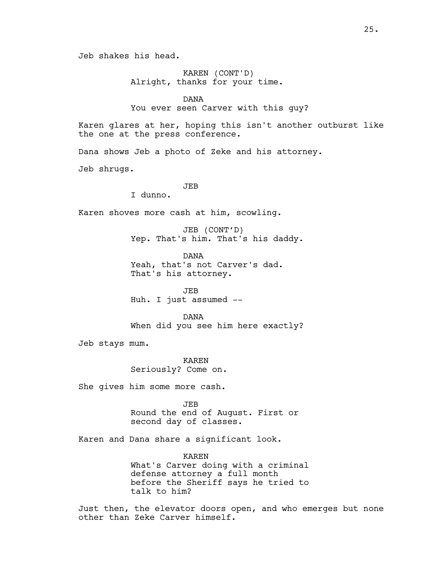KAREN (CONT'D) Alright, thanks for your time.

DANA

You ever seen Carver with this guy?

Karen glares at her, hoping this isn't another outburst like the one at the press conference.

Dana shows Jeb a photo of Zeke and his attorney.

Jeb shrugs.

## JEB

I dunno.

Karen shoves more cash at him, scowling.

JEB (CONT'D) Yep. That's him. That's his daddy.

DANA Yeah, that's not Carver's dad. That's his attorney.

JEB Huh. I just assumed --

DANA When did you see him here exactly?

Jeb stays mum.

KAREN Seriously? Come on.

She gives him some more cash.

JEB Round the end of August. First or second day of classes.

Karen and Dana share a significant look.

KAREN What's Carver doing with a criminal defense attorney a full month before the Sheriff says he tried to talk to him?

Just then, the elevator doors open, and who emerges but none other than Zeke Carver himself.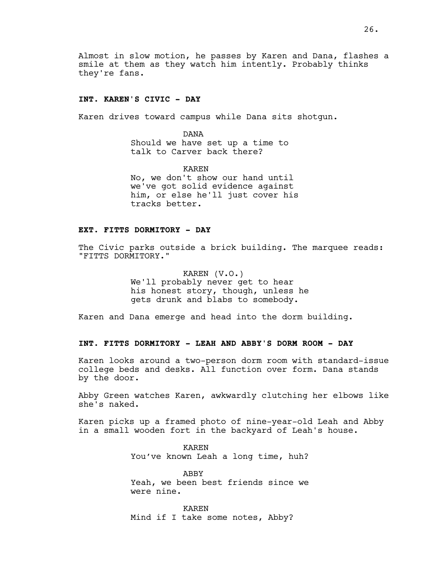Almost in slow motion, he passes by Karen and Dana, flashes a smile at them as they watch him intently. Probably thinks they're fans.

#### **INT. KAREN'S CIVIC - DAY**

Karen drives toward campus while Dana sits shotgun.

DANA Should we have set up a time to talk to Carver back there?

KAREN No, we don't show our hand until we've got solid evidence against him, or else he'll just cover his tracks better.

## **EXT. FITTS DORMITORY - DAY**

The Civic parks outside a brick building. The marquee reads: "FITTS DORMITORY."

> KAREN (V.O.) We'll probably never get to hear his honest story, though, unless he gets drunk and blabs to somebody.

Karen and Dana emerge and head into the dorm building.

# **INT. FITTS DORMITORY - LEAH AND ABBY'S DORM ROOM - DAY**

Karen looks around a two-person dorm room with standard-issue college beds and desks. All function over form. Dana stands by the door.

Abby Green watches Karen, awkwardly clutching her elbows like she's naked.

Karen picks up a framed photo of nine-year-old Leah and Abby in a small wooden fort in the backyard of Leah's house.

> KAREN You've known Leah a long time, huh?

> ABBY Yeah, we been best friends since we were nine.

KAREN Mind if I take some notes, Abby?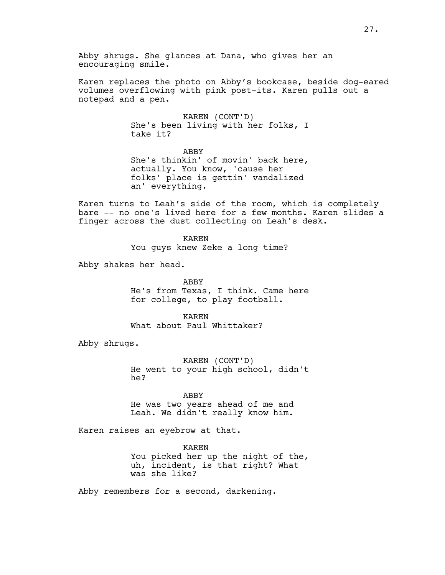Karen replaces the photo on Abby's bookcase, beside dog-eared volumes overflowing with pink post-its. Karen pulls out a notepad and a pen.

> KAREN (CONT'D) She's been living with her folks, I take it?

> ABBY She's thinkin' of movin' back here, actually. You know, 'cause her folks' place is gettin' vandalized an' everything.

Karen turns to Leah's side of the room, which is completely bare -- no one's lived here for a few months. Karen slides a finger across the dust collecting on Leah's desk.

> KAREN You guys knew Zeke a long time?

Abby shakes her head.

ABBY He's from Texas, I think. Came here for college, to play football.

KAREN What about Paul Whittaker?

Abby shrugs.

KAREN (CONT'D) He went to your high school, didn't he?

ABBY

He was two years ahead of me and Leah. We didn't really know him.

Karen raises an eyebrow at that.

KAREN You picked her up the night of the, uh, incident, is that right? What was she like?

Abby remembers for a second, darkening.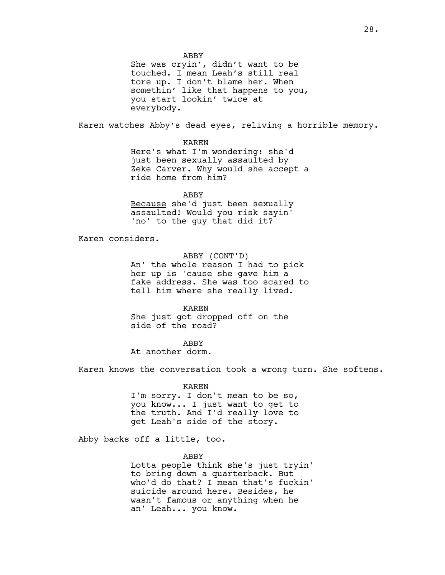ABBY

She was cryin', didn't want to be touched. I mean Leah's still real tore up. I don't blame her. When somethin' like that happens to you, you start lookin' twice at everybody.

Karen watches Abby's dead eyes, reliving a horrible memory.

KAREN

Here's what I'm wondering: she'd just been sexually assaulted by Zeke Carver. Why would she accept a ride home from him?

ABBY Because she'd just been sexually assaulted! Would you risk sayin' 'no' to the guy that did it?

Karen considers.

ABBY (CONT'D) An' the whole reason I had to pick her up is 'cause she gave him a fake address. She was too scared to tell him where she really lived.

KAREN She just got dropped off on the side of the road?

ABBY

At another dorm.

Karen knows the conversation took a wrong turn. She softens.

KAREN

I'm sorry. I don't mean to be so, you know... I just want to get to the truth. And I'd really love to get Leah's side of the story.

Abby backs off a little, too.

ABBY

Lotta people think she's just tryin' to bring down a quarterback. But who'd do that? I mean that's fuckin' suicide around here. Besides, he wasn't famous or anything when he an' Leah... you know.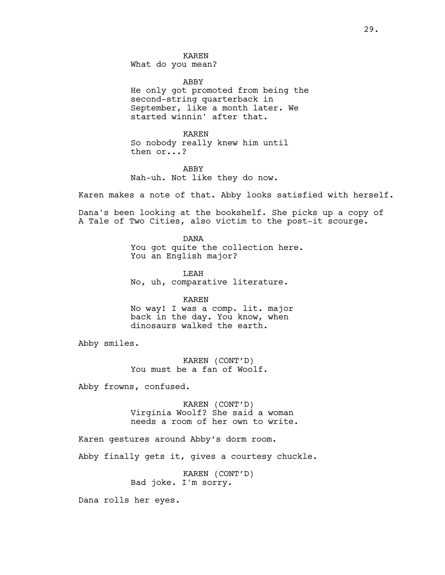KAREN What do you mean?

ABBY

He only got promoted from being the second-string quarterback in September, like a month later. We started winnin' after that.

KAREN So nobody really knew him until then or...?

ABBY Nah-uh. Not like they do now.

Karen makes a note of that. Abby looks satisfied with herself.

Dana's been looking at the bookshelf. She picks up a copy of A Tale of Two Cities, also victim to the post-it scourge.

> DANA You got quite the collection here. You an English major?

LEAH No, uh, comparative literature.

KAREN No way! I was a comp. lit. major back in the day. You know, when dinosaurs walked the earth.

Abby smiles.

KAREN (CONT'D) You must be a fan of Woolf.

Abby frowns, confused.

KAREN (CONT'D) Virginia Woolf? She said a woman needs a room of her own to write.

Karen gestures around Abby's dorm room.

Abby finally gets it, gives a courtesy chuckle.

KAREN (CONT'D) Bad joke. I'm sorry.

Dana rolls her eyes.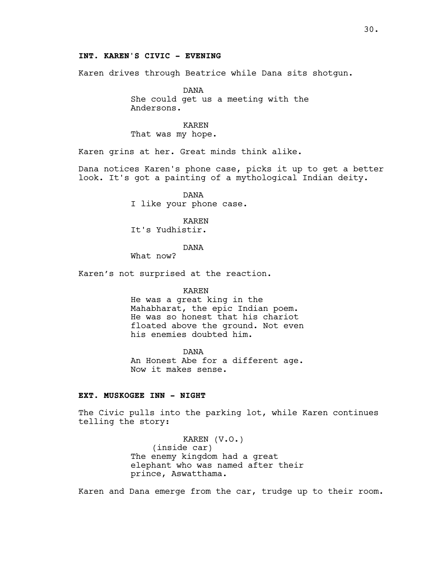Karen drives through Beatrice while Dana sits shotgun.

DANA She could get us a meeting with the Andersons.

# KAREN

That was my hope.

Karen grins at her. Great minds think alike.

Dana notices Karen's phone case, picks it up to get a better look. It's got a painting of a mythological Indian deity.

> DANA I like your phone case.

KAREN It's Yudhistir.

#### DANA

What now?

Karen's not surprised at the reaction.

#### KAREN

He was a great king in the Mahabharat, the epic Indian poem. He was so honest that his chariot floated above the ground. Not even his enemies doubted him.

DANA An Honest Abe for a different age. Now it makes sense.

# **EXT. MUSKOGEE INN - NIGHT**

The Civic pulls into the parking lot, while Karen continues telling the story:

> KAREN (V.O.) (inside car) The enemy kingdom had a great elephant who was named after their prince, Aswatthama.

Karen and Dana emerge from the car, trudge up to their room.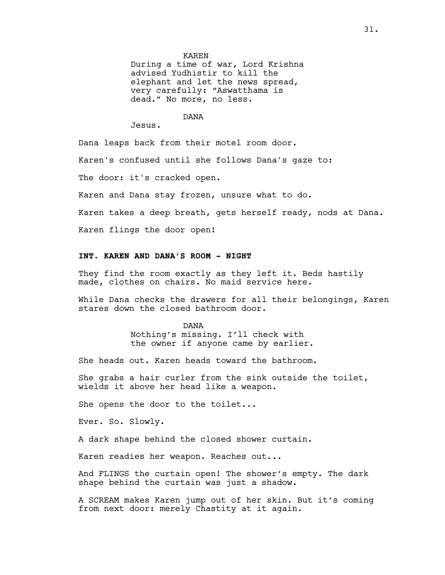#### KAREN

During a time of war, Lord Krishna advised Yudhistir to kill the elephant and let the news spread, very carefully: "Aswatthama is dead." No more, no less.

#### DANA

Jesus.

Dana leaps back from their motel room door.

Karen's confused until she follows Dana's gaze to:

The door: it's cracked open.

Karen and Dana stay frozen, unsure what to do.

Karen takes a deep breath, gets herself ready, nods at Dana.

Karen flings the door open!

# **INT. KAREN AND DANA'S ROOM - NIGHT**

They find the room exactly as they left it. Beds hastily made, clothes on chairs. No maid service here.

While Dana checks the drawers for all their belongings, Karen stares down the closed bathroom door.

> DANA Nothing's missing. I'll check with the owner if anyone came by earlier.

She heads out. Karen heads toward the bathroom.

She grabs a hair curler from the sink outside the toilet, wields it above her head like a weapon.

She opens the door to the toilet...

Ever. So. Slowly.

A dark shape behind the closed shower curtain.

Karen readies her weapon. Reaches out...

And FLINGS the curtain open! The shower's empty. The dark shape behind the curtain was just a shadow.

A SCREAM makes Karen jump out of her skin. But it's coming from next door: merely Chastity at it again.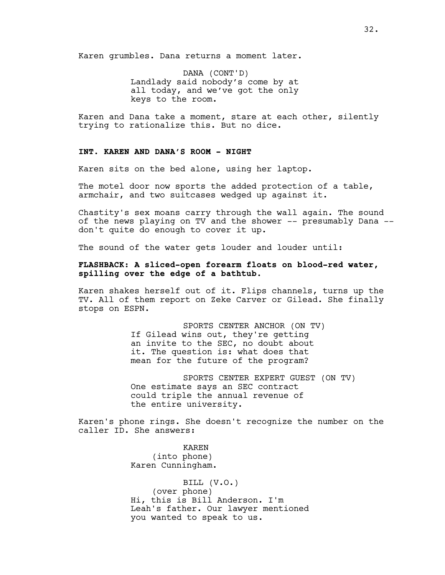Karen grumbles. Dana returns a moment later.

DANA (CONT'D) Landlady said nobody's come by at all today, and we've got the only keys to the room.

Karen and Dana take a moment, stare at each other, silently trying to rationalize this. But no dice.

## **INT. KAREN AND DANA'S ROOM - NIGHT**

Karen sits on the bed alone, using her laptop.

The motel door now sports the added protection of a table, armchair, and two suitcases wedged up against it.

Chastity's sex moans carry through the wall again. The sound of the news playing on TV and the shower -- presumably Dana - don't quite do enough to cover it up.

The sound of the water gets louder and louder until:

# **FLASHBACK: A sliced-open forearm floats on blood-red water, spilling over the edge of a bathtub.**

Karen shakes herself out of it. Flips channels, turns up the TV. All of them report on Zeke Carver or Gilead. She finally stops on ESPN.

> SPORTS CENTER ANCHOR (ON TV) If Gilead wins out, they're getting an invite to the SEC, no doubt about it. The question is: what does that mean for the future of the program?

SPORTS CENTER EXPERT GUEST (ON TV) One estimate says an SEC contract could triple the annual revenue of the entire university.

Karen's phone rings. She doesn't recognize the number on the caller ID. She answers:

> KAREN (into phone) Karen Cunningham.

BILL (V.O.) (over phone) Hi, this is Bill Anderson. I'm Leah's father. Our lawyer mentioned you wanted to speak to us.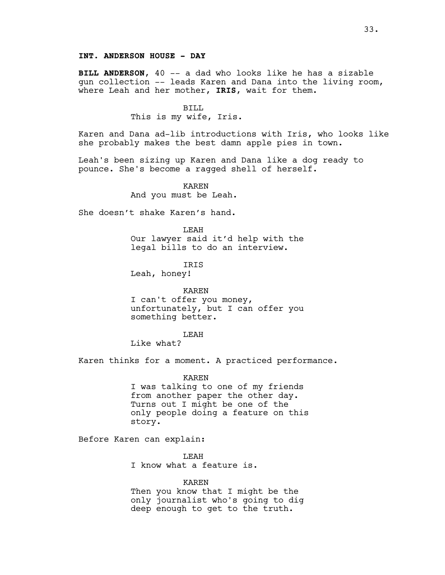**BILL ANDERSON**, 40 -- a dad who looks like he has a sizable gun collection -- leads Karen and Dana into the living room, where Leah and her mother, **IRIS**, wait for them.

> BILL This is my wife, Iris.

Karen and Dana ad-lib introductions with Iris, who looks like she probably makes the best damn apple pies in town.

Leah's been sizing up Karen and Dana like a dog ready to pounce. She's become a ragged shell of herself.

> KAREN And you must be Leah.

She doesn't shake Karen's hand.

LEAH Our lawyer said it'd help with the legal bills to do an interview.

IRIS Leah, honey!

KAREN I can't offer you money, unfortunately, but I can offer you something better.

LEAH

Like what?

Karen thinks for a moment. A practiced performance.

KAREN I was talking to one of my friends from another paper the other day. Turns out I might be one of the only people doing a feature on this story.

Before Karen can explain:

LEAH I know what a feature is.

KAREN Then you know that I might be the only journalist who's going to dig deep enough to get to the truth.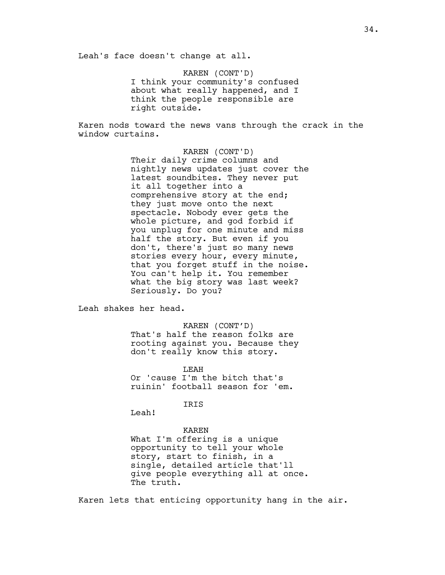Leah's face doesn't change at all.

KAREN (CONT'D) I think your community's confused about what really happened, and I think the people responsible are right outside.

Karen nods toward the news vans through the crack in the window curtains.

> KAREN (CONT'D) Their daily crime columns and nightly news updates just cover the latest soundbites. They never put it all together into a comprehensive story at the end; they just move onto the next spectacle. Nobody ever gets the whole picture, and god forbid if you unplug for one minute and miss half the story. But even if you don't, there's just so many news stories every hour, every minute, that you forget stuff in the noise. You can't help it. You remember what the big story was last week? Seriously. Do you?

Leah shakes her head.

KAREN (CONT'D) That's half the reason folks are rooting against you. Because they don't really know this story.

LEAH Or 'cause I'm the bitch that's ruinin' football season for 'em.

IRIS

Leah!

#### KAREN

What I'm offering is a unique opportunity to tell your whole story, start to finish, in a single, detailed article that'll give people everything all at once. The truth.

Karen lets that enticing opportunity hang in the air.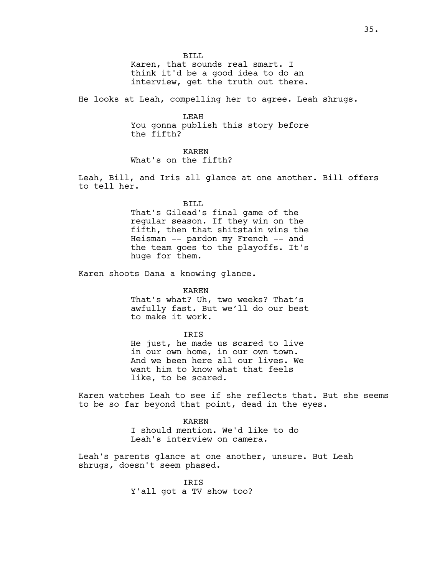BILL

Karen, that sounds real smart. I think it'd be a good idea to do an interview, get the truth out there.

He looks at Leah, compelling her to agree. Leah shrugs.

LEAH You gonna publish this story before the fifth?

## KAREN

What's on the fifth?

Leah, Bill, and Iris all glance at one another. Bill offers to tell her.

> BILL That's Gilead's final game of the regular season. If they win on the fifth, then that shitstain wins the Heisman -- pardon my French -- and the team goes to the playoffs. It's huge for them.

Karen shoots Dana a knowing glance.

KAREN

That's what? Uh, two weeks? That's awfully fast. But we'll do our best to make it work.

#### IRIS

He just, he made us scared to live in our own home, in our own town. And we been here all our lives. We want him to know what that feels like, to be scared.

Karen watches Leah to see if she reflects that. But she seems to be so far beyond that point, dead in the eyes.

> KAREN I should mention. We'd like to do Leah's interview on camera.

Leah's parents glance at one another, unsure. But Leah shrugs, doesn't seem phased.

> IRIS Y'all got a TV show too?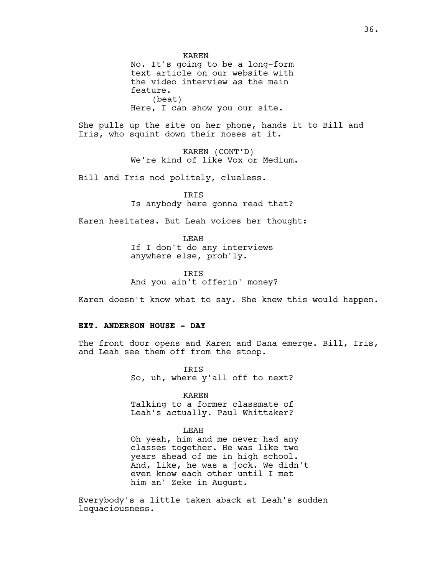KAREN No. It's going to be a long-form text article on our website with the video interview as the main feature. (beat) Here, I can show you our site.

She pulls up the site on her phone, hands it to Bill and Iris, who squint down their noses at it.

> KAREN (CONT'D) We're kind of like Vox or Medium.

Bill and Iris nod politely, clueless.

IRIS Is anybody here gonna read that?

Karen hesitates. But Leah voices her thought:

LEAH If I don't do any interviews anywhere else, prob'ly.

IRIS And you ain't offerin' money?

Karen doesn't know what to say. She knew this would happen.

#### **EXT. ANDERSON HOUSE - DAY**

The front door opens and Karen and Dana emerge. Bill, Iris, and Leah see them off from the stoop.

> IRIS So, uh, where y'all off to next?

> > KAREN

Talking to a former classmate of Leah's actually. Paul Whittaker?

### LEAH

Oh yeah, him and me never had any classes together. He was like two years ahead of me in high school. And, like, he was a jock. We didn't even know each other until I met him an' Zeke in August.

Everybody's a little taken aback at Leah's sudden loquaciousness.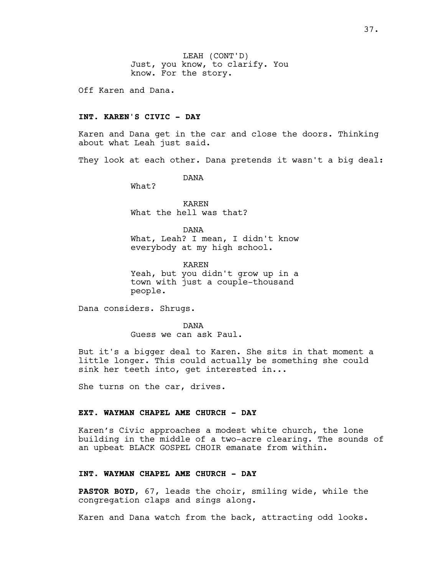LEAH (CONT'D) Just, you know, to clarify. You know. For the story.

Off Karen and Dana.

### **INT. KAREN'S CIVIC - DAY**

Karen and Dana get in the car and close the doors. Thinking about what Leah just said.

They look at each other. Dana pretends it wasn't a big deal:

DANA

What?

KAREN What the hell was that?

DANA What, Leah? I mean, I didn't know everybody at my high school.

KAREN Yeah, but you didn't grow up in a town with just a couple-thousand people.

Dana considers. Shrugs.

DANA Guess we can ask Paul.

But it's a bigger deal to Karen. She sits in that moment a little longer. This could actually be something she could sink her teeth into, get interested in...

She turns on the car, drives.

# **EXT. WAYMAN CHAPEL AME CHURCH - DAY**

Karen's Civic approaches a modest white church, the lone building in the middle of a two-acre clearing. The sounds of an upbeat BLACK GOSPEL CHOIR emanate from within.

### **INT. WAYMAN CHAPEL AME CHURCH - DAY**

**PASTOR BOYD**, 67, leads the choir, smiling wide, while the congregation claps and sings along.

Karen and Dana watch from the back, attracting odd looks.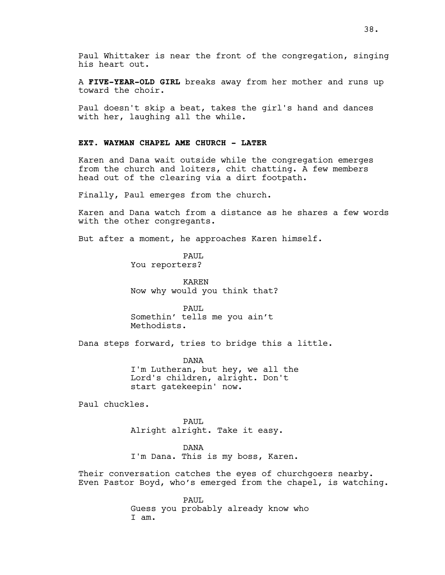Paul Whittaker is near the front of the congregation, singing his heart out.

A **FIVE-YEAR-OLD GIRL** breaks away from her mother and runs up toward the choir.

Paul doesn't skip a beat, takes the girl's hand and dances with her, laughing all the while.

### **EXT. WAYMAN CHAPEL AME CHURCH - LATER**

Karen and Dana wait outside while the congregation emerges from the church and loiters, chit chatting. A few members head out of the clearing via a dirt footpath.

Finally, Paul emerges from the church.

Karen and Dana watch from a distance as he shares a few words with the other congregants.

But after a moment, he approaches Karen himself.

PAUL You reporters?

KAREN Now why would you think that?

PAUL Somethin' tells me you ain't Methodists.

Dana steps forward, tries to bridge this a little.

DANA I'm Lutheran, but hey, we all the Lord's children, alright. Don't start gatekeepin' now.

Paul chuckles.

PAUL Alright alright. Take it easy.

DANA

I'm Dana. This is my boss, Karen.

Their conversation catches the eyes of churchgoers nearby. Even Pastor Boyd, who's emerged from the chapel, is watching.

> PAUL Guess you probably already know who I am.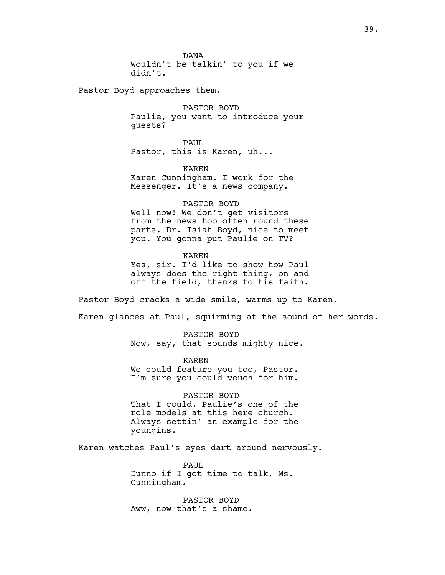DANA Wouldn't be talkin' to you if we didn't.

Pastor Boyd approaches them.

PASTOR BOYD Paulie, you want to introduce your guests?

PAUL Pastor, this is Karen, uh...

KAREN Karen Cunningham. I work for the Messenger. It's a news company.

PASTOR BOYD

Well now! We don't get visitors from the news too often round these parts. Dr. Isiah Boyd, nice to meet you. You gonna put Paulie on TV?

KAREN Yes, sir. I'd like to show how Paul always does the right thing, on and off the field, thanks to his faith.

Pastor Boyd cracks a wide smile, warms up to Karen.

Karen glances at Paul, squirming at the sound of her words.

PASTOR BOYD Now, say, that sounds mighty nice.

KAREN We could feature you too, Pastor. I'm sure you could vouch for him.

PASTOR BOYD That I could. Paulie's one of the role models at this here church. Always settin' an example for the youngins.

Karen watches Paul's eyes dart around nervously.

PAUL Dunno if I got time to talk, Ms. Cunningham.

PASTOR BOYD Aww, now that's a shame.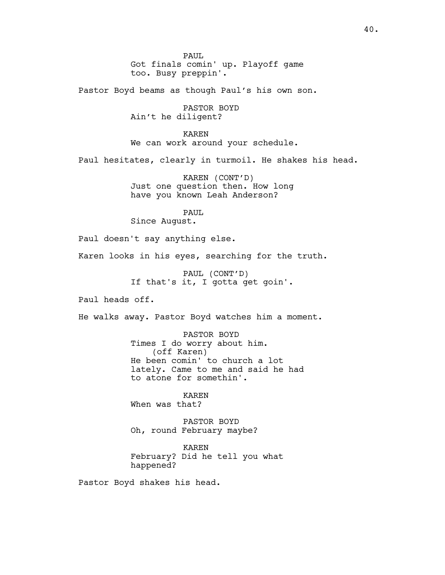PAUL Got finals comin' up. Playoff game too. Busy preppin'.

Pastor Boyd beams as though Paul's his own son.

PASTOR BOYD Ain't he diligent?

KAREN We can work around your schedule.

Paul hesitates, clearly in turmoil. He shakes his head.

KAREN (CONT'D) Just one question then. How long have you known Leah Anderson?

# PAUL

Since August.

Paul doesn't say anything else.

Karen looks in his eyes, searching for the truth.

PAUL (CONT'D) If that's it, I gotta get goin'.

Paul heads off.

He walks away. Pastor Boyd watches him a moment.

PASTOR BOYD Times I do worry about him. (off Karen) He been comin' to church a lot lately. Came to me and said he had to atone for somethin'.

KAREN When was that?

PASTOR BOYD Oh, round February maybe?

KAREN February? Did he tell you what happened?

Pastor Boyd shakes his head.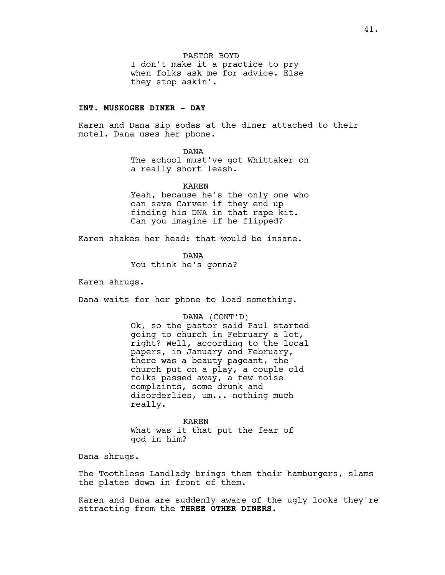PASTOR BOYD I don't make it a practice to pry when folks ask me for advice. Else they stop askin'.

# **INT. MUSKOGEE DINER - DAY**

Karen and Dana sip sodas at the diner attached to their motel. Dana uses her phone.

> DANA The school must've got Whittaker on a really short leash.

KAREN Yeah, because he's the only one who can save Carver if they end up finding his DNA in that rape kit. Can you imagine if he flipped?

Karen shakes her head: that would be insane.

DANA You think he's gonna?

Karen shrugs.

Dana waits for her phone to load something.

DANA (CONT'D)

Ok, so the pastor said Paul started going to church in February a lot, right? Well, according to the local papers, in January and February, there was a beauty pageant, the church put on a play, a couple old folks passed away, a few noise complaints, some drunk and disorderlies, um... nothing much really.

KAREN What was it that put the fear of god in him?

Dana shrugs.

The Toothless Landlady brings them their hamburgers, slams the plates down in front of them.

Karen and Dana are suddenly aware of the ugly looks they're attracting from the **THREE OTHER DINERS**.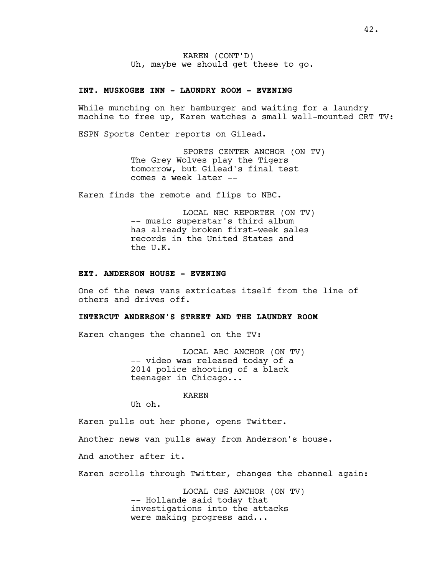KAREN (CONT'D) Uh, maybe we should get these to go.

### **INT. MUSKOGEE INN - LAUNDRY ROOM - EVENING**

While munching on her hamburger and waiting for a laundry machine to free up, Karen watches a small wall-mounted CRT TV:

ESPN Sports Center reports on Gilead.

SPORTS CENTER ANCHOR (ON TV) The Grey Wolves play the Tigers tomorrow, but Gilead's final test comes a week later --

Karen finds the remote and flips to NBC.

LOCAL NBC REPORTER (ON TV) -- music superstar's third album has already broken first-week sales records in the United States and the U.K.

### **EXT. ANDERSON HOUSE - EVENING**

One of the news vans extricates itself from the line of others and drives off.

## **INTERCUT ANDERSON'S STREET AND THE LAUNDRY ROOM**

Karen changes the channel on the TV:

LOCAL ABC ANCHOR (ON TV) -- video was released today of a 2014 police shooting of a black teenager in Chicago...

KAREN

Uh oh.

Karen pulls out her phone, opens Twitter.

Another news van pulls away from Anderson's house.

And another after it.

Karen scrolls through Twitter, changes the channel again:

LOCAL CBS ANCHOR (ON TV) -- Hollande said today that investigations into the attacks were making progress and...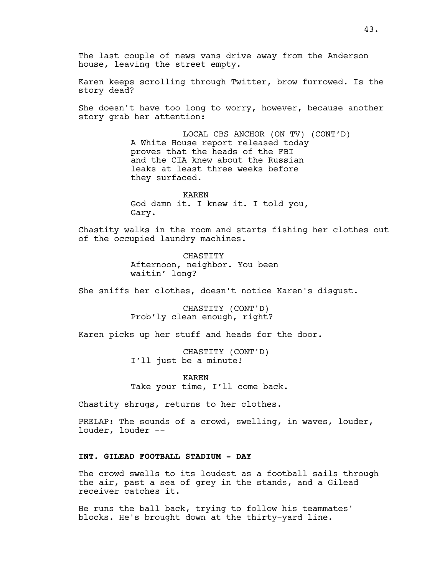The last couple of news vans drive away from the Anderson house, leaving the street empty.

Karen keeps scrolling through Twitter, brow furrowed. Is the story dead?

She doesn't have too long to worry, however, because another story grab her attention:

> LOCAL CBS ANCHOR (ON TV) (CONT'D) A White House report released today proves that the heads of the FBI and the CIA knew about the Russian leaks at least three weeks before they surfaced.

KAREN God damn it. I knew it. I told you, Gary.

Chastity walks in the room and starts fishing her clothes out of the occupied laundry machines.

> CHASTITY Afternoon, neighbor. You been waitin' long?

She sniffs her clothes, doesn't notice Karen's disgust.

CHASTITY (CONT'D) Prob'ly clean enough, right?

Karen picks up her stuff and heads for the door.

CHASTITY (CONT'D) I'll just be a minute!

KAREN Take your time, I'll come back.

Chastity shrugs, returns to her clothes.

PRELAP: The sounds of a crowd, swelling, in waves, louder, louder, louder --

### **INT. GILEAD FOOTBALL STADIUM - DAY**

The crowd swells to its loudest as a football sails through the air, past a sea of grey in the stands, and a Gilead receiver catches it.

He runs the ball back, trying to follow his teammates' blocks. He's brought down at the thirty-yard line.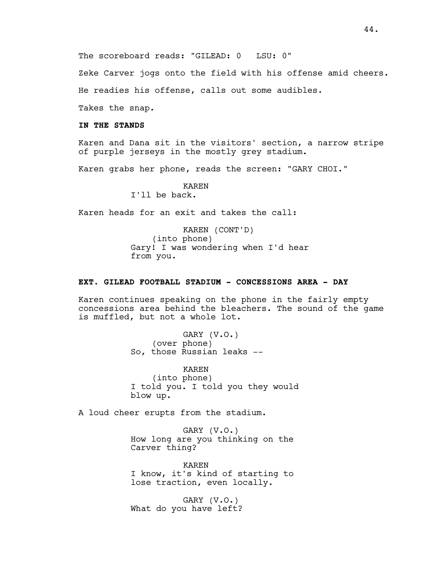Zeke Carver jogs onto the field with his offense amid cheers.

He readies his offense, calls out some audibles.

Takes the snap.

# **IN THE STANDS**

Karen and Dana sit in the visitors' section, a narrow stripe of purple jerseys in the mostly grey stadium.

Karen grabs her phone, reads the screen: "GARY CHOI."

# KAREN

I'll be back.

Karen heads for an exit and takes the call:

KAREN (CONT'D) (into phone) Gary! I was wondering when I'd hear from you.

### **EXT. GILEAD FOOTBALL STADIUM - CONCESSIONS AREA - DAY**

Karen continues speaking on the phone in the fairly empty concessions area behind the bleachers. The sound of the game is muffled, but not a whole lot.

> GARY (V.O.) (over phone) So, those Russian leaks --

KAREN (into phone) I told you. I told you they would blow up.

A loud cheer erupts from the stadium.

GARY (V.O.) How long are you thinking on the Carver thing?

KAREN I know, it's kind of starting to lose traction, even locally.

GARY (V.O.) What do you have left?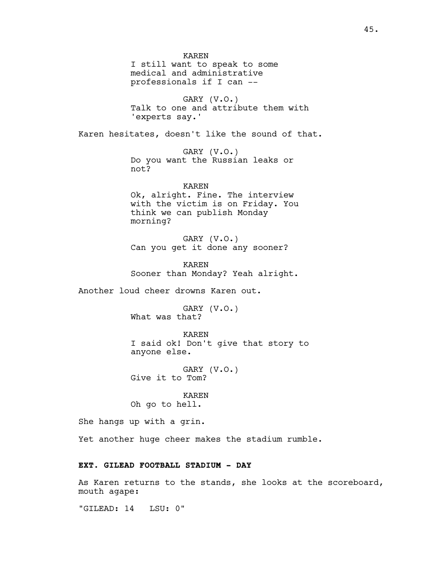KAREN I still want to speak to some medical and administrative professionals if I can --

GARY (V.O.) Talk to one and attribute them with 'experts say.'

Karen hesitates, doesn't like the sound of that.

GARY (V.O.) Do you want the Russian leaks or not?

KAREN Ok, alright. Fine. The interview with the victim is on Friday. You think we can publish Monday morning?

GARY (V.O.) Can you get it done any sooner?

KAREN Sooner than Monday? Yeah alright.

Another loud cheer drowns Karen out.

GARY (V.O.) What was that?

KAREN I said ok! Don't give that story to anyone else.

GARY (V.O.) Give it to Tom?

KAREN Oh go to hell.

She hangs up with a grin.

Yet another huge cheer makes the stadium rumble.

# **EXT. GILEAD FOOTBALL STADIUM - DAY**

As Karen returns to the stands, she looks at the scoreboard, mouth agape:

"GILEAD: 14 LSU: 0"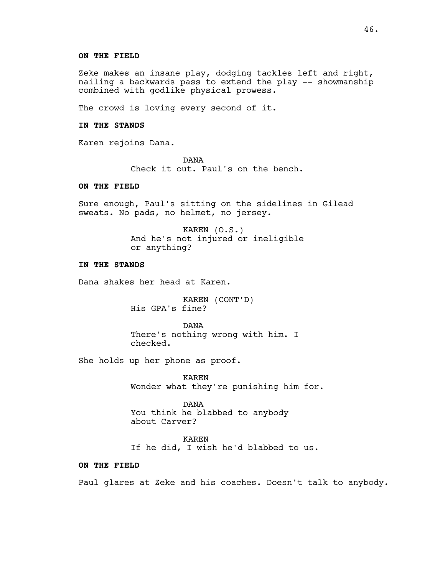#### **ON THE FIELD**

Zeke makes an insane play, dodging tackles left and right, nailing a backwards pass to extend the play -- showmanship combined with godlike physical prowess.

The crowd is loving every second of it.

# **IN THE STANDS**

Karen rejoins Dana.

DANA Check it out. Paul's on the bench.

### **ON THE FIELD**

Sure enough, Paul's sitting on the sidelines in Gilead sweats. No pads, no helmet, no jersey.

> KAREN (O.S.) And he's not injured or ineligible or anything?

### **IN THE STANDS**

Dana shakes her head at Karen.

KAREN (CONT'D) His GPA's fine?

DANA There's nothing wrong with him. I checked.

She holds up her phone as proof.

KAREN Wonder what they're punishing him for.

DANA You think he blabbed to anybody about Carver?

KAREN If he did, I wish he'd blabbed to us.

# **ON THE FIELD**

Paul glares at Zeke and his coaches. Doesn't talk to anybody.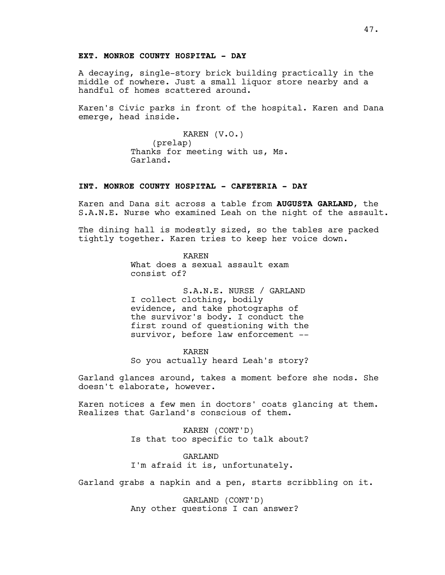### **EXT. MONROE COUNTY HOSPITAL - DAY**

A decaying, single-story brick building practically in the middle of nowhere. Just a small liquor store nearby and a handful of homes scattered around.

Karen's Civic parks in front of the hospital. Karen and Dana emerge, head inside.

### KAREN (V.O.)

(prelap) Thanks for meeting with us, Ms. Garland.

### **INT. MONROE COUNTY HOSPITAL - CAFETERIA - DAY**

Karen and Dana sit across a table from **AUGUSTA GARLAND**, the S.A.N.E. Nurse who examined Leah on the night of the assault.

The dining hall is modestly sized, so the tables are packed tightly together. Karen tries to keep her voice down.

> KAREN What does a sexual assault exam consist of?

S.A.N.E. NURSE / GARLAND I collect clothing, bodily evidence, and take photographs of the survivor's body. I conduct the first round of questioning with the survivor, before law enforcement --

KAREN So you actually heard Leah's story?

Garland glances around, takes a moment before she nods. She doesn't elaborate, however.

Karen notices a few men in doctors' coats glancing at them. Realizes that Garland's conscious of them.

> KAREN (CONT'D) Is that too specific to talk about?

GARLAND I'm afraid it is, unfortunately.

Garland grabs a napkin and a pen, starts scribbling on it.

GARLAND (CONT'D) Any other questions I can answer?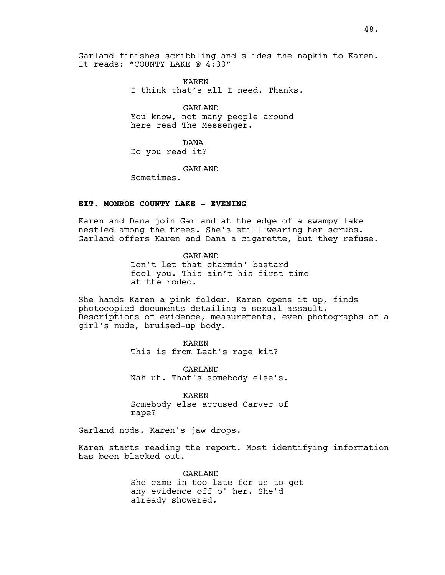Garland finishes scribbling and slides the napkin to Karen. It reads: "COUNTY LAKE @ 4:30"

> KAREN I think that's all I need. Thanks.

GARLAND You know, not many people around here read The Messenger.

DANA Do you read it?

GARLAND

Sometimes.

# **EXT. MONROE COUNTY LAKE - EVENING**

Karen and Dana join Garland at the edge of a swampy lake nestled among the trees. She's still wearing her scrubs. Garland offers Karen and Dana a cigarette, but they refuse.

> GARLAND Don't let that charmin' bastard fool you. This ain't his first time at the rodeo.

She hands Karen a pink folder. Karen opens it up, finds photocopied documents detailing a sexual assault. Descriptions of evidence, measurements, even photographs of a girl's nude, bruised-up body.

KAREN

This is from Leah's rape kit?

GARLAND Nah uh. That's somebody else's.

KAREN Somebody else accused Carver of rape?

Garland nods. Karen's jaw drops.

Karen starts reading the report. Most identifying information has been blacked out.

> GARLAND She came in too late for us to get any evidence off o' her. She'd already showered.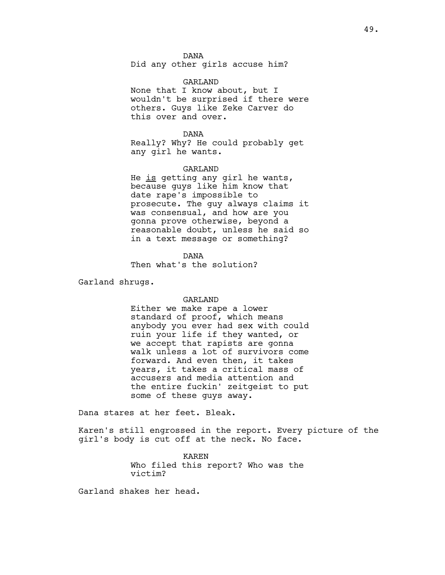DANA

Did any other girls accuse him?

### GARLAND

None that I know about, but I wouldn't be surprised if there were others. Guys like Zeke Carver do this over and over.

### DANA

Really? Why? He could probably get any girl he wants.

#### GARLAND

He is getting any girl he wants, because guys like him know that date rape's impossible to prosecute. The guy always claims it was consensual, and how are you gonna prove otherwise, beyond a reasonable doubt, unless he said so in a text message or something?

### DANA

Then what's the solution?

Garland shrugs.

#### GARLAND

Either we make rape a lower standard of proof, which means anybody you ever had sex with could ruin your life if they wanted, or we accept that rapists are gonna walk unless a lot of survivors come forward. And even then, it takes years, it takes a critical mass of accusers and media attention and the entire fuckin' zeitgeist to put some of these guys away.

Dana stares at her feet. Bleak.

Karen's still engrossed in the report. Every picture of the girl's body is cut off at the neck. No face.

> KAREN Who filed this report? Who was the victim?

Garland shakes her head.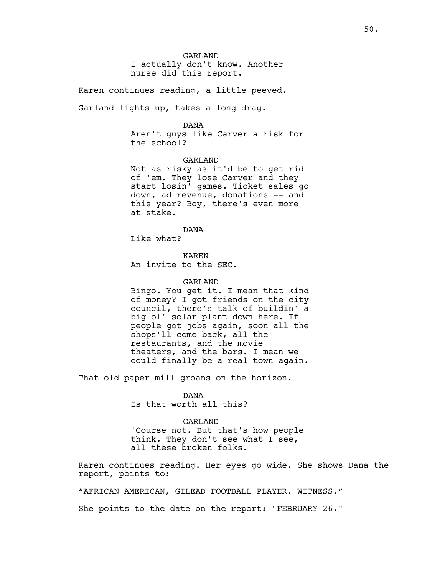GARLAND I actually don't know. Another nurse did this report.

Karen continues reading, a little peeved.

Garland lights up, takes a long drag.

#### DANA

Aren't guys like Carver a risk for the school?

GARLAND Not as risky as it'd be to get rid of 'em. They lose Carver and they start losin' games. Ticket sales go down, ad revenue, donations -- and this year? Boy, there's even more at stake.

DANA

Like what?

KAREN An invite to the SEC.

### GARLAND

Bingo. You get it. I mean that kind of money? I got friends on the city council, there's talk of buildin' a big ol' solar plant down here. If people got jobs again, soon all the shops'll come back, all the restaurants, and the movie theaters, and the bars. I mean we could finally be a real town again.

That old paper mill groans on the horizon.

DANA Is that worth all this?

#### GARLAND

'Course not. But that's how people think. They don't see what I see, all these broken folks.

Karen continues reading. Her eyes go wide. She shows Dana the report, points to:

"AFRICAN AMERICAN, GILEAD FOOTBALL PLAYER. WITNESS."

She points to the date on the report: "FEBRUARY 26."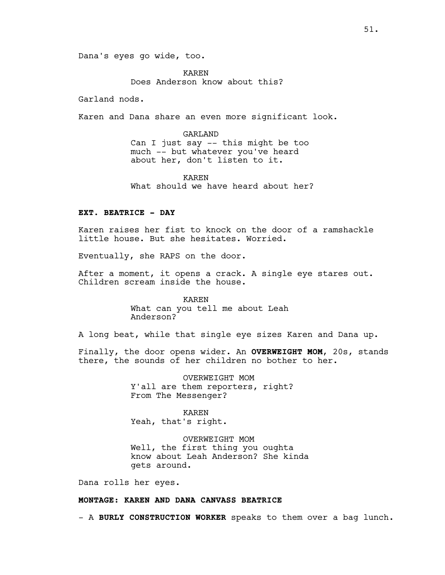Dana's eyes go wide, too.

KAREN Does Anderson know about this?

Garland nods.

Karen and Dana share an even more significant look.

GARLAND Can I just say -- this might be too much -- but whatever you've heard about her, don't listen to it.

KAREN What should we have heard about her?

### **EXT. BEATRICE - DAY**

Karen raises her fist to knock on the door of a ramshackle little house. But she hesitates. Worried.

Eventually, she RAPS on the door.

After a moment, it opens a crack. A single eye stares out. Children scream inside the house.

> KAREN What can you tell me about Leah Anderson?

A long beat, while that single eye sizes Karen and Dana up.

Finally, the door opens wider. An **OVERWEIGHT MOM**, 20s, stands there, the sounds of her children no bother to her.

> OVERWEIGHT MOM Y'all are them reporters, right? From The Messenger?

KAREN Yeah, that's right.

OVERWEIGHT MOM Well, the first thing you oughta know about Leah Anderson? She kinda gets around.

Dana rolls her eyes.

# **MONTAGE: KAREN AND DANA CANVASS BEATRICE**

- A **BURLY CONSTRUCTION WORKER** speaks to them over a bag lunch.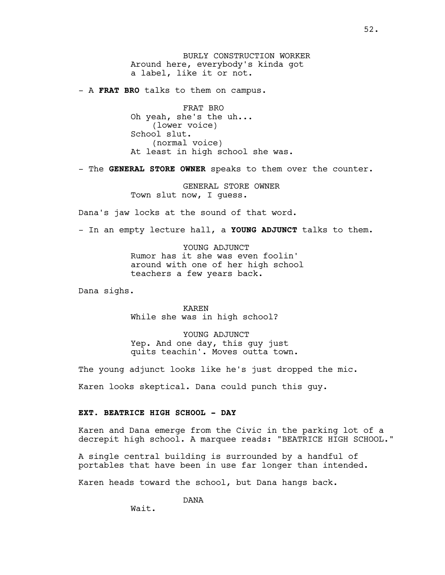BURLY CONSTRUCTION WORKER Around here, everybody's kinda got a label, like it or not.

- A **FRAT BRO** talks to them on campus.

FRAT BRO Oh yeah, she's the uh... (lower voice) School slut. (normal voice) At least in high school she was.

- The **GENERAL STORE OWNER** speaks to them over the counter.

GENERAL STORE OWNER Town slut now, I guess.

Dana's jaw locks at the sound of that word.

- In an empty lecture hall, a **YOUNG ADJUNCT** talks to them.

YOUNG ADJUNCT Rumor has it she was even foolin' around with one of her high school teachers a few years back.

Dana sighs.

KAREN While she was in high school?

YOUNG ADJUNCT Yep. And one day, this guy just quits teachin'. Moves outta town.

The young adjunct looks like he's just dropped the mic.

Karen looks skeptical. Dana could punch this guy.

# **EXT. BEATRICE HIGH SCHOOL - DAY**

Karen and Dana emerge from the Civic in the parking lot of a decrepit high school. A marquee reads: "BEATRICE HIGH SCHOOL."

A single central building is surrounded by a handful of portables that have been in use far longer than intended.

Karen heads toward the school, but Dana hangs back.

DANA

Wait.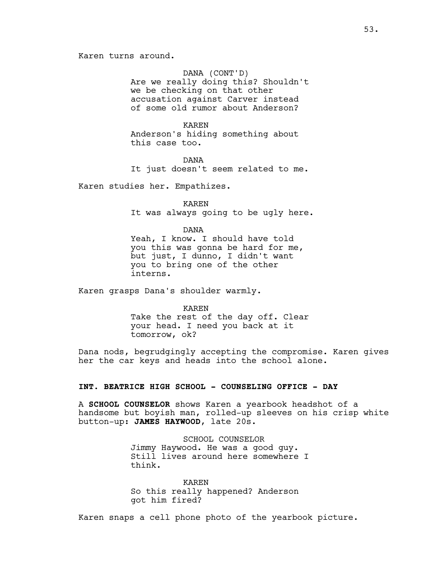Karen turns around.

### DANA (CONT'D)

Are we really doing this? Shouldn't we be checking on that other accusation against Carver instead of some old rumor about Anderson?

### KAREN

Anderson's hiding something about this case too.

DANA It just doesn't seem related to me.

Karen studies her. Empathizes.

KAREN It was always going to be ugly here.

#### DANA

Yeah, I know. I should have told you this was gonna be hard for me, but just, I dunno, I didn't want you to bring one of the other interns.

Karen grasps Dana's shoulder warmly.

#### KAREN

Take the rest of the day off. Clear your head. I need you back at it tomorrow, ok?

Dana nods, begrudgingly accepting the compromise. Karen gives her the car keys and heads into the school alone.

## **INT. BEATRICE HIGH SCHOOL - COUNSELING OFFICE - DAY**

A **SCHOOL COUNSELOR** shows Karen a yearbook headshot of a handsome but boyish man, rolled-up sleeves on his crisp white button-up: **JAMES HAYWOOD**, late 20s.

> SCHOOL COUNSELOR Jimmy Haywood. He was a good guy. Still lives around here somewhere I think.

KAREN So this really happened? Anderson got him fired?

Karen snaps a cell phone photo of the yearbook picture.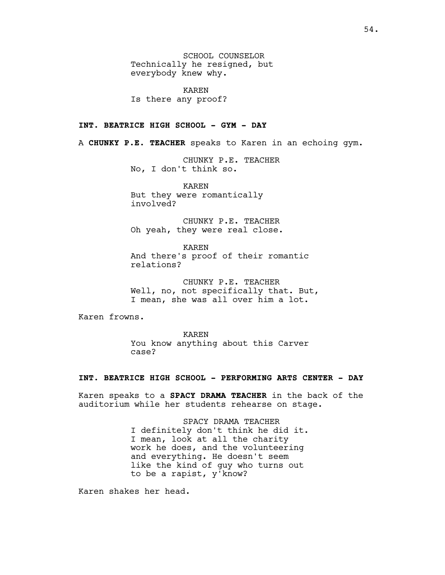SCHOOL COUNSELOR Technically he resigned, but everybody knew why.

KAREN Is there any proof?

## **INT. BEATRICE HIGH SCHOOL - GYM - DAY**

A **CHUNKY P.E. TEACHER** speaks to Karen in an echoing gym.

CHUNKY P.E. TEACHER No, I don't think so.

KAREN But they were romantically involved?

CHUNKY P.E. TEACHER Oh yeah, they were real close.

KAREN And there's proof of their romantic relations?

CHUNKY P.E. TEACHER Well, no, not specifically that. But, I mean, she was all over him a lot.

Karen frowns.

KAREN You know anything about this Carver case?

### **INT. BEATRICE HIGH SCHOOL - PERFORMING ARTS CENTER - DAY**

Karen speaks to a **SPACY DRAMA TEACHER** in the back of the auditorium while her students rehearse on stage.

> SPACY DRAMA TEACHER I definitely don't think he did it. I mean, look at all the charity work he does, and the volunteering and everything. He doesn't seem like the kind of guy who turns out to be a rapist, y'know?

Karen shakes her head.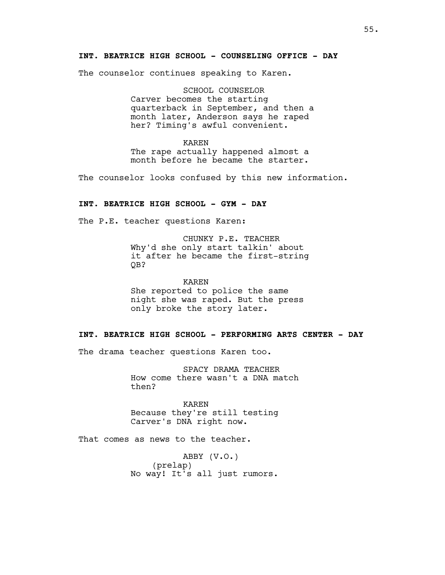### **INT. BEATRICE HIGH SCHOOL - COUNSELING OFFICE - DAY**

The counselor continues speaking to Karen.

SCHOOL COUNSELOR Carver becomes the starting quarterback in September, and then a month later, Anderson says he raped her? Timing's awful convenient.

KAREN The rape actually happened almost a month before he became the starter.

The counselor looks confused by this new information.

# **INT. BEATRICE HIGH SCHOOL - GYM - DAY**

The P.E. teacher questions Karen:

CHUNKY P.E. TEACHER Why'd she only start talkin' about it after he became the first-string QB?

KAREN She reported to police the same night she was raped. But the press only broke the story later.

#### **INT. BEATRICE HIGH SCHOOL - PERFORMING ARTS CENTER - DAY**

The drama teacher questions Karen too.

SPACY DRAMA TEACHER How come there wasn't a DNA match then?

KAREN Because they're still testing Carver's DNA right now.

That comes as news to the teacher.

ABBY (V.O.) (prelap) No way! It's all just rumors.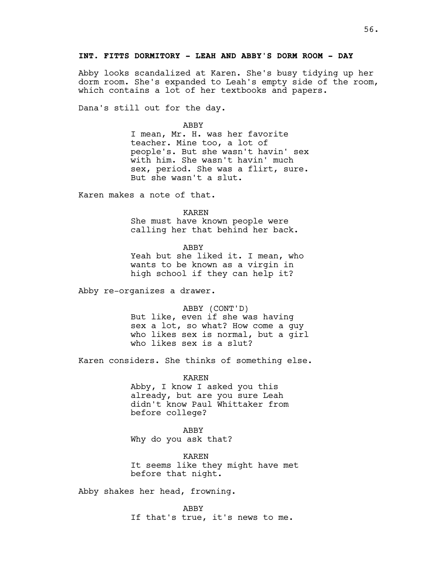# **INT. FITTS DORMITORY - LEAH AND ABBY'S DORM ROOM - DAY**

Abby looks scandalized at Karen. She's busy tidying up her dorm room. She's expanded to Leah's empty side of the room, which contains a lot of her textbooks and papers.

Dana's still out for the day.

#### ABBY

I mean, Mr. H. was her favorite teacher. Mine too, a lot of people's. But she wasn't havin' sex with him. She wasn't havin' much sex, period. She was a flirt, sure. But she wasn't a slut.

Karen makes a note of that.

KAREN

She must have known people were calling her that behind her back.

ABBY

Yeah but she liked it. I mean, who wants to be known as a virgin in high school if they can help it?

Abby re-organizes a drawer.

ABBY (CONT'D) But like, even if she was having sex a lot, so what? How come a guy who likes sex is normal, but a girl who likes sex is a slut?

Karen considers. She thinks of something else.

KAREN Abby, I know I asked you this already, but are you sure Leah didn't know Paul Whittaker from before college?

ABBY Why do you ask that?

KAREN It seems like they might have met before that night.

Abby shakes her head, frowning.

ABBY If that's true, it's news to me.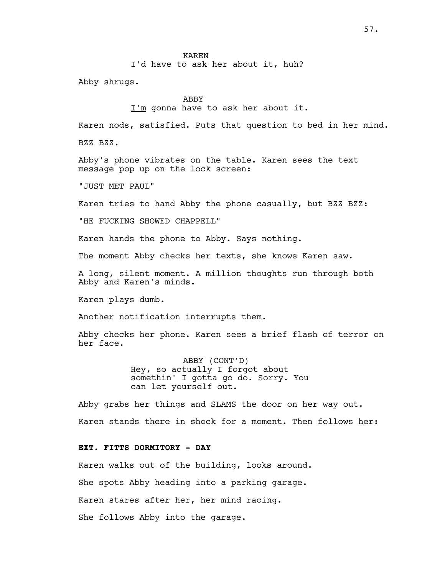### KAREN

I'd have to ask her about it, huh?

Abby shrugs.

### ABBY

I'm gonna have to ask her about it.

Karen nods, satisfied. Puts that question to bed in her mind.

BZZ BZZ.

Abby's phone vibrates on the table. Karen sees the text message pop up on the lock screen:

"JUST MET PAUL"

Karen tries to hand Abby the phone casually, but BZZ BZZ:

"HE FUCKING SHOWED CHAPPELL"

Karen hands the phone to Abby. Says nothing.

The moment Abby checks her texts, she knows Karen saw.

A long, silent moment. A million thoughts run through both Abby and Karen's minds.

Karen plays dumb.

Another notification interrupts them.

Abby checks her phone. Karen sees a brief flash of terror on her face.

> ABBY (CONT'D) Hey, so actually I forgot about somethin' I gotta go do. Sorry. You can let yourself out.

Abby grabs her things and SLAMS the door on her way out. Karen stands there in shock for a moment. Then follows her:

# **EXT. FITTS DORMITORY - DAY**

Karen walks out of the building, looks around.

She spots Abby heading into a parking garage.

Karen stares after her, her mind racing.

She follows Abby into the garage.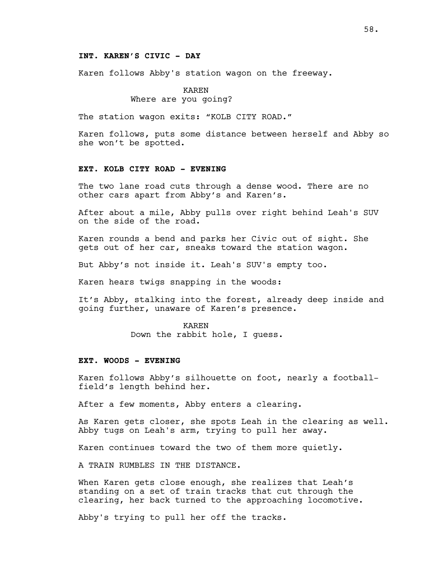### **INT. KAREN'S CIVIC - DAY**

Karen follows Abby's station wagon on the freeway.

### KAREN Where are you going?

The station wagon exits: "KOLB CITY ROAD."

Karen follows, puts some distance between herself and Abby so she won't be spotted.

#### **EXT. KOLB CITY ROAD - EVENING**

The two lane road cuts through a dense wood. There are no other cars apart from Abby's and Karen's.

After about a mile, Abby pulls over right behind Leah's SUV on the side of the road.

Karen rounds a bend and parks her Civic out of sight. She gets out of her car, sneaks toward the station wagon.

But Abby's not inside it. Leah's SUV's empty too.

Karen hears twigs snapping in the woods:

It's Abby, stalking into the forest, already deep inside and going further, unaware of Karen's presence.

> KAREN Down the rabbit hole, I guess.

#### **EXT. WOODS - EVENING**

Karen follows Abby's silhouette on foot, nearly a footballfield's length behind her.

After a few moments, Abby enters a clearing.

As Karen gets closer, she spots Leah in the clearing as well. Abby tugs on Leah's arm, trying to pull her away.

Karen continues toward the two of them more quietly.

A TRAIN RUMBLES IN THE DISTANCE.

When Karen gets close enough, she realizes that Leah's standing on a set of train tracks that cut through the clearing, her back turned to the approaching locomotive.

Abby's trying to pull her off the tracks.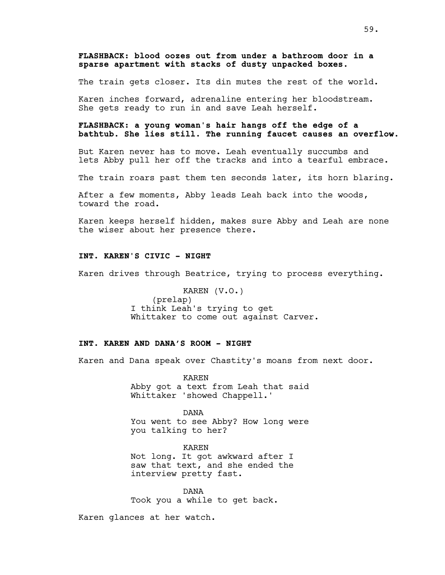# **FLASHBACK: blood oozes out from under a bathroom door in a sparse apartment with stacks of dusty unpacked boxes.**

The train gets closer. Its din mutes the rest of the world.

Karen inches forward, adrenaline entering her bloodstream. She gets ready to run in and save Leah herself.

# **FLASHBACK: a young woman's hair hangs off the edge of a bathtub. She lies still. The running faucet causes an overflow.**

But Karen never has to move. Leah eventually succumbs and lets Abby pull her off the tracks and into a tearful embrace.

The train roars past them ten seconds later, its horn blaring.

After a few moments, Abby leads Leah back into the woods, toward the road.

Karen keeps herself hidden, makes sure Abby and Leah are none the wiser about her presence there.

# **INT. KAREN'S CIVIC - NIGHT**

Karen drives through Beatrice, trying to process everything.

KAREN (V.O.) (prelap) I think Leah's trying to get Whittaker to come out against Carver.

### **INT. KAREN AND DANA'S ROOM - NIGHT**

Karen and Dana speak over Chastity's moans from next door.

KAREN Abby got a text from Leah that said Whittaker 'showed Chappell.'

DANA You went to see Abby? How long were you talking to her?

KAREN Not long. It got awkward after I saw that text, and she ended the interview pretty fast.

DANA Took you a while to get back.

Karen glances at her watch.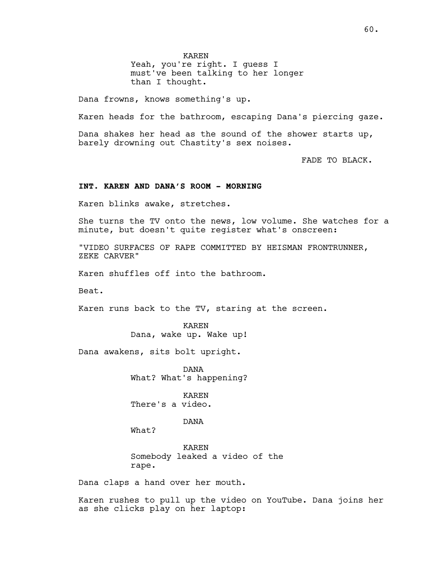KAREN

Yeah, you're right. I guess I must've been talking to her longer than I thought.

Dana frowns, knows something's up.

Karen heads for the bathroom, escaping Dana's piercing gaze.

Dana shakes her head as the sound of the shower starts up, barely drowning out Chastity's sex noises.

FADE TO BLACK.

#### **INT. KAREN AND DANA'S ROOM - MORNING**

Karen blinks awake, stretches.

She turns the TV onto the news, low volume. She watches for a minute, but doesn't quite register what's onscreen:

"VIDEO SURFACES OF RAPE COMMITTED BY HEISMAN FRONTRUNNER, ZEKE CARVER"

Karen shuffles off into the bathroom.

Beat.

Karen runs back to the TV, staring at the screen.

KAREN Dana, wake up. Wake up!

Dana awakens, sits bolt upright.

DANA What? What's happening?

KAREN There's a video.

DANA

What?

KAREN Somebody leaked a video of the rape.

Dana claps a hand over her mouth.

Karen rushes to pull up the video on YouTube. Dana joins her as she clicks play on her laptop: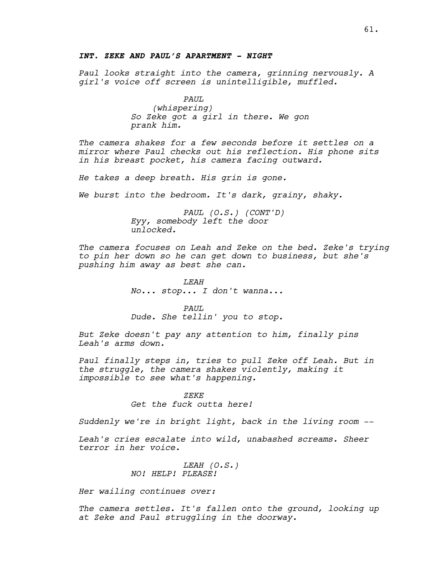### **INT. ZEKE AND PAUL'S APARTMENT - NIGHT**

*Paul looks straight into the camera, grinning nervously. A girl's voice off screen is unintelligible, muffled.*

```
PAUL
```
*(whispering) So Zeke got a girl in there. We gon prank him.*

*The camera shakes for a few seconds before it settles on a mirror where Paul checks out his reflection. His phone sits in his breast pocket, his camera facing outward.*

*He takes a deep breath. His grin is gone.*

*We burst into the bedroom. It's dark, grainy, shaky.*

*PAUL (O.S.) (CONT'D) Eyy, somebody left the door unlocked.*

*The camera focuses on Leah and Zeke on the bed. Zeke's trying to pin her down so he can get down to business, but she's pushing him away as best she can.*

> *LEAH No... stop... I don't wanna...*

> *PAUL Dude. She tellin' you to stop.*

*But Zeke doesn't pay any attention to him, finally pins Leah's arms down.*

*Paul finally steps in, tries to pull Zeke off Leah. But in the struggle, the camera shakes violently, making it impossible to see what's happening.*

> *ZEKE Get the fuck outta here!*

*Suddenly we're in bright light, back in the living room --*

*Leah's cries escalate into wild, unabashed screams. Sheer terror in her voice.*

> *LEAH (O.S.) NO! HELP! PLEASE!*

*Her wailing continues over:*

*The camera settles. It's fallen onto the ground, looking up at Zeke and Paul struggling in the doorway.*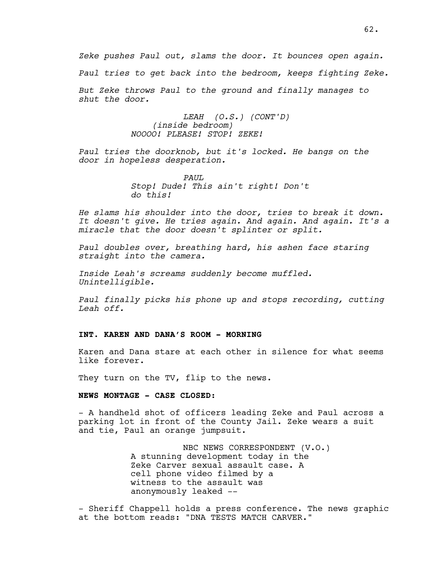*Zeke pushes Paul out, slams the door. It bounces open again.*

*Paul tries to get back into the bedroom, keeps fighting Zeke.*

*But Zeke throws Paul to the ground and finally manages to shut the door.*

> *LEAH (O.S.) (CONT'D) (inside bedroom) NOOOO! PLEASE! STOP! ZEKE!*

*Paul tries the doorknob, but it's locked. He bangs on the door in hopeless desperation.*

> *PAUL Stop! Dude! This ain't right! Don't do this!*

*He slams his shoulder into the door, tries to break it down. It doesn't give. He tries again. And again. And again. It's a miracle that the door doesn't splinter or split.*

*Paul doubles over, breathing hard, his ashen face staring straight into the camera.*

*Inside Leah's screams suddenly become muffled. Unintelligible.*

*Paul finally picks his phone up and stops recording, cutting Leah off.*

#### **INT. KAREN AND DANA'S ROOM - MORNING**

Karen and Dana stare at each other in silence for what seems like forever.

They turn on the TV, flip to the news.

# **NEWS MONTAGE - CASE CLOSED:**

- A handheld shot of officers leading Zeke and Paul across a parking lot in front of the County Jail. Zeke wears a suit and tie, Paul an orange jumpsuit.

> NBC NEWS CORRESPONDENT (V.O.) A stunning development today in the Zeke Carver sexual assault case. A cell phone video filmed by a witness to the assault was anonymously leaked --

- Sheriff Chappell holds a press conference. The news graphic at the bottom reads: "DNA TESTS MATCH CARVER."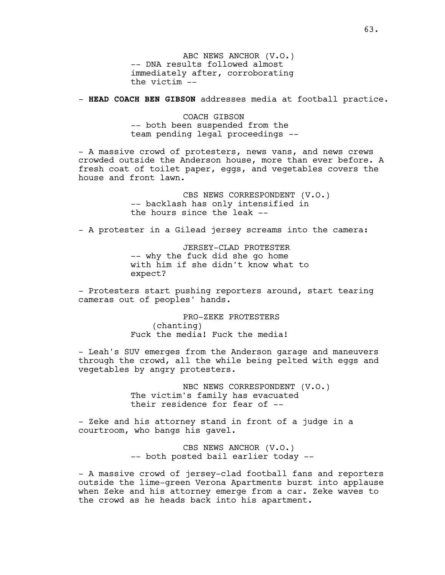ABC NEWS ANCHOR (V.O.) -- DNA results followed almost immediately after, corroborating the victim --

- **HEAD COACH BEN GIBSON** addresses media at football practice.

COACH GIBSON -- both been suspended from the team pending legal proceedings --

- A massive crowd of protesters, news vans, and news crews crowded outside the Anderson house, more than ever before. A fresh coat of toilet paper, eggs, and vegetables covers the house and front lawn.

> CBS NEWS CORRESPONDENT (V.O.) -- backlash has only intensified in the hours since the leak  $-$ -

- A protester in a Gilead jersey screams into the camera:

JERSEY-CLAD PROTESTER -- why the fuck did she go home with him if she didn't know what to expect?

- Protesters start pushing reporters around, start tearing cameras out of peoples' hands.

> PRO-ZEKE PROTESTERS (chanting) Fuck the media! Fuck the media!

- Leah's SUV emerges from the Anderson garage and maneuvers through the crowd, all the while being pelted with eggs and vegetables by angry protesters.

> NBC NEWS CORRESPONDENT (V.O.) The victim's family has evacuated their residence for fear of --

- Zeke and his attorney stand in front of a judge in a courtroom, who bangs his gavel.

> CBS NEWS ANCHOR (V.O.) -- both posted bail earlier today --

- A massive crowd of jersey-clad football fans and reporters outside the lime-green Verona Apartments burst into applause when Zeke and his attorney emerge from a car. Zeke waves to the crowd as he heads back into his apartment.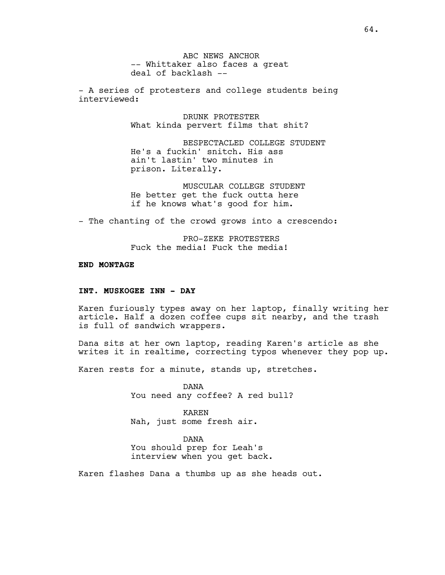ABC NEWS ANCHOR -- Whittaker also faces a great deal of backlash --

- A series of protesters and college students being interviewed:

> DRUNK PROTESTER What kinda pervert films that shit?

BESPECTACLED COLLEGE STUDENT He's a fuckin' snitch. His ass ain't lastin' two minutes in prison. Literally.

MUSCULAR COLLEGE STUDENT He better get the fuck outta here if he knows what's good for him.

- The chanting of the crowd grows into a crescendo:

PRO-ZEKE PROTESTERS Fuck the media! Fuck the media!

### **END MONTAGE**

## **INT. MUSKOGEE INN - DAY**

Karen furiously types away on her laptop, finally writing her article. Half a dozen coffee cups sit nearby, and the trash is full of sandwich wrappers.

Dana sits at her own laptop, reading Karen's article as she writes it in realtime, correcting typos whenever they pop up.

Karen rests for a minute, stands up, stretches.

DANA You need any coffee? A red bull?

KAREN Nah, just some fresh air.

DANA

You should prep for Leah's interview when you get back.

Karen flashes Dana a thumbs up as she heads out.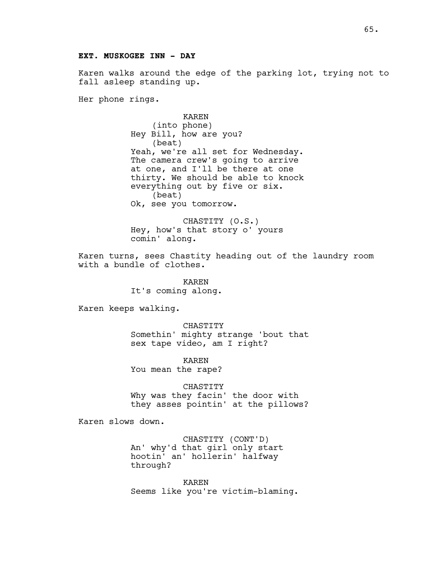### **EXT. MUSKOGEE INN - DAY**

Karen walks around the edge of the parking lot, trying not to fall asleep standing up.

Her phone rings.

KAREN (into phone) Hey Bill, how are you? (beat) Yeah, we're all set for Wednesday. The camera crew's going to arrive at one, and I'll be there at one thirty. We should be able to knock everything out by five or six. (beat) Ok, see you tomorrow.

CHASTITY (O.S.) Hey, how's that story o' yours comin' along.

Karen turns, sees Chastity heading out of the laundry room with a bundle of clothes.

> KAREN It's coming along.

Karen keeps walking.

CHASTITY Somethin' mighty strange 'bout that sex tape video, am I right?

KAREN You mean the rape?

CHASTITY Why was they facin' the door with they asses pointin' at the pillows?

Karen slows down.

CHASTITY (CONT'D) An' why'd that girl only start hootin' an' hollerin' halfway through?

KAREN Seems like you're victim-blaming.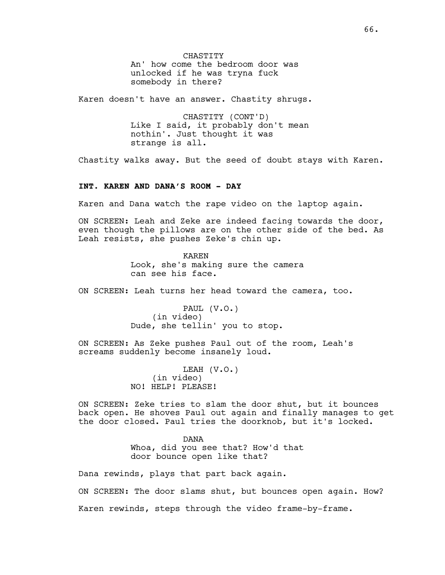CHASTITY An' how come the bedroom door was unlocked if he was tryna fuck somebody in there?

Karen doesn't have an answer. Chastity shrugs.

CHASTITY (CONT'D) Like I said, it probably don't mean nothin'. Just thought it was strange is all.

Chastity walks away. But the seed of doubt stays with Karen.

### **INT. KAREN AND DANA'S ROOM - DAY**

Karen and Dana watch the rape video on the laptop again.

ON SCREEN: Leah and Zeke are indeed facing towards the door, even though the pillows are on the other side of the bed. As Leah resists, she pushes Zeke's chin up.

> KAREN Look, she's making sure the camera can see his face.

ON SCREEN: Leah turns her head toward the camera, too.

PAUL (V.O.) (in video) Dude, she tellin' you to stop.

ON SCREEN: As Zeke pushes Paul out of the room, Leah's screams suddenly become insanely loud.

> LEAH (V.O.) (in video) NO! HELP! PLEASE!

ON SCREEN: Zeke tries to slam the door shut, but it bounces back open. He shoves Paul out again and finally manages to get the door closed. Paul tries the doorknob, but it's locked.

> DANA Whoa, did you see that? How'd that door bounce open like that?

Dana rewinds, plays that part back again.

ON SCREEN: The door slams shut, but bounces open again. How? Karen rewinds, steps through the video frame-by-frame.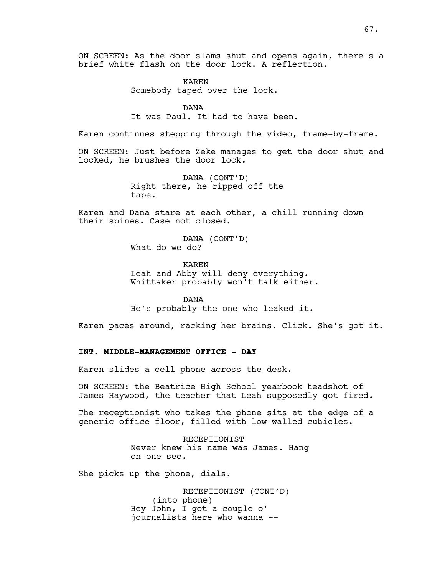ON SCREEN: As the door slams shut and opens again, there's a brief white flash on the door lock. A reflection.

> KAREN Somebody taped over the lock.

DANA It was Paul. It had to have been.

Karen continues stepping through the video, frame-by-frame.

ON SCREEN: Just before Zeke manages to get the door shut and locked, he brushes the door lock.

> DANA (CONT'D) Right there, he ripped off the tape.

Karen and Dana stare at each other, a chill running down their spines. Case not closed.

> DANA (CONT'D) What do we do?

KAREN Leah and Abby will deny everything. Whittaker probably won't talk either.

DANA He's probably the one who leaked it.

Karen paces around, racking her brains. Click. She's got it.

# **INT. MIDDLE-MANAGEMENT OFFICE - DAY**

Karen slides a cell phone across the desk.

ON SCREEN: the Beatrice High School yearbook headshot of James Haywood, the teacher that Leah supposedly got fired.

The receptionist who takes the phone sits at the edge of a generic office floor, filled with low-walled cubicles.

> RECEPTIONIST Never knew his name was James. Hang on one sec.

She picks up the phone, dials.

RECEPTIONIST (CONT'D) (into phone) Hey John, I got a couple o' journalists here who wanna --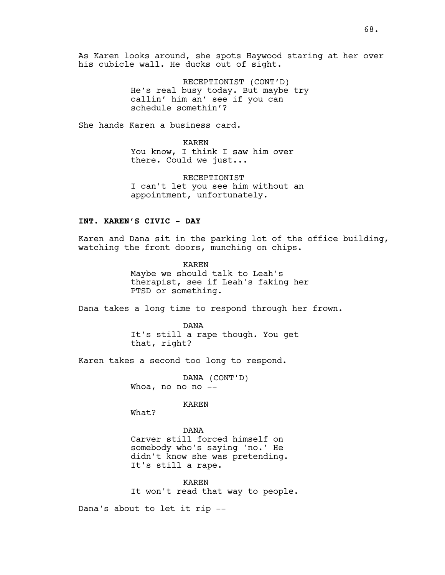As Karen looks around, she spots Haywood staring at her over his cubicle wall. He ducks out of sight.

> RECEPTIONIST (CONT'D) He's real busy today. But maybe try callin' him an' see if you can schedule somethin'?

She hands Karen a business card.

KAREN You know, I think I saw him over there. Could we just...

RECEPTIONIST I can't let you see him without an appointment, unfortunately.

### **INT. KAREN'S CIVIC - DAY**

Karen and Dana sit in the parking lot of the office building, watching the front doors, munching on chips.

> KAREN Maybe we should talk to Leah's therapist, see if Leah's faking her PTSD or something.

Dana takes a long time to respond through her frown.

DANA It's still a rape though. You get that, right?

Karen takes a second too long to respond.

DANA (CONT'D) Whoa, no no no --

KAREN

What?

DANA Carver still forced himself on somebody who's saying 'no.' He didn't know she was pretending. It's still a rape.

KAREN It won't read that way to people.

Dana's about to let it rip --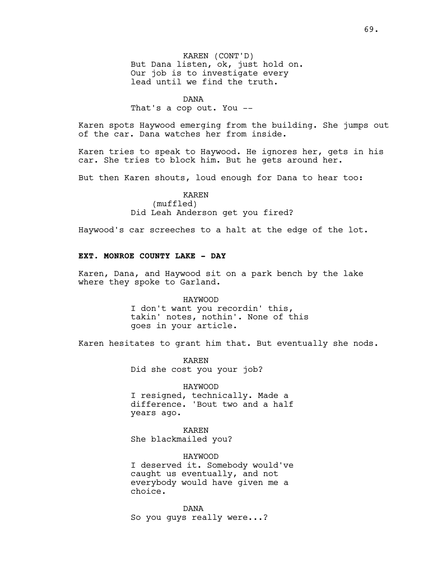KAREN (CONT'D) But Dana listen, ok, just hold on. Our job is to investigate every lead until we find the truth.

#### DANA

That's a cop out. You --

Karen spots Haywood emerging from the building. She jumps out of the car. Dana watches her from inside.

Karen tries to speak to Haywood. He ignores her, gets in his car. She tries to block him. But he gets around her.

But then Karen shouts, loud enough for Dana to hear too:

### KAREN (muffled) Did Leah Anderson get you fired?

Haywood's car screeches to a halt at the edge of the lot.

# **EXT. MONROE COUNTY LAKE - DAY**

Karen, Dana, and Haywood sit on a park bench by the lake where they spoke to Garland.

#### HAYWOOD

I don't want you recordin' this, takin' notes, nothin'. None of this goes in your article.

Karen hesitates to grant him that. But eventually she nods.

KAREN Did she cost you your job?

HAYWOOD I resigned, technically. Made a difference. 'Bout two and a half years ago.

KAREN She blackmailed you?

HAYWOOD I deserved it. Somebody would've caught us eventually, and not everybody would have given me a choice.

DANA So you guys really were...?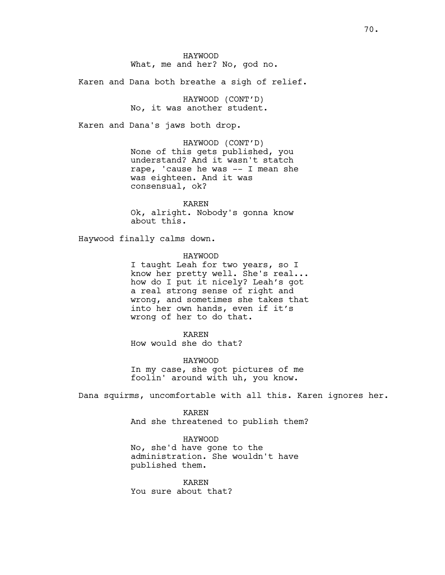Karen and Dana both breathe a sigh of relief.

HAYWOOD (CONT'D) No, it was another student.

Karen and Dana's jaws both drop.

HAYWOOD (CONT'D) None of this gets published, you understand? And it wasn't statch rape, 'cause he was -- I mean she was eighteen. And it was consensual, ok?

KAREN Ok, alright. Nobody's gonna know about this.

Haywood finally calms down.

HAYWOOD

I taught Leah for two years, so I know her pretty well. She's real... how do I put it nicely? Leah's got a real strong sense of right and wrong, and sometimes she takes that into her own hands, even if it's wrong of her to do that.

KAREN How would she do that?

HAYWOOD In my case, she got pictures of me foolin' around with uh, you know.

Dana squirms, uncomfortable with all this. Karen ignores her.

KAREN And she threatened to publish them?

HAYWOOD No, she'd have gone to the administration. She wouldn't have published them.

KAREN You sure about that?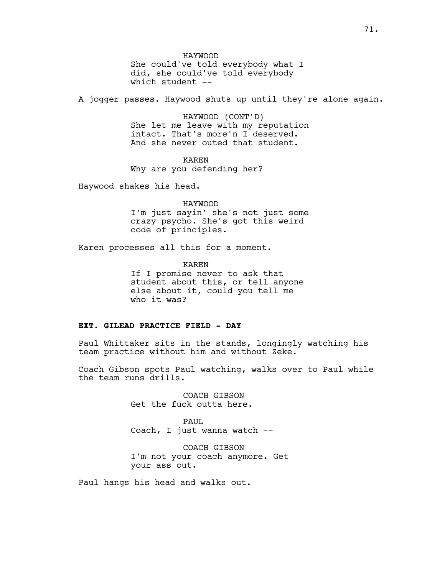HAYWOOD

She could've told everybody what I did, she could've told everybody which student --

A jogger passes. Haywood shuts up until they're alone again.

HAYWOOD (CONT'D) She let me leave with my reputation intact. That's more'n I deserved. And she never outed that student.

KAREN Why are you defending her?

Haywood shakes his head.

HAYWOOD

I'm just sayin' she's not just some crazy psycho. She's got this weird code of principles.

Karen processes all this for a moment.

KAREN If I promise never to ask that student about this, or tell anyone else about it, could you tell me who it was?

## **EXT. GILEAD PRACTICE FIELD - DAY**

Paul Whittaker sits in the stands, longingly watching his team practice without him and without Zeke.

Coach Gibson spots Paul watching, walks over to Paul while the team runs drills.

> COACH GIBSON Get the fuck outta here.

PAUL Coach, I just wanna watch --

COACH GIBSON I'm not your coach anymore. Get your ass out.

Paul hangs his head and walks out.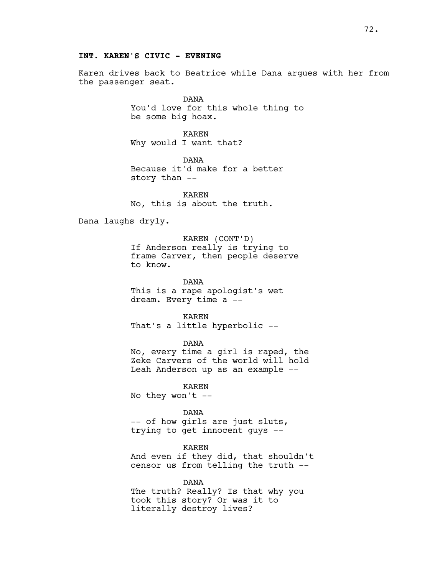#### **INT. KAREN'S CIVIC - EVENING**

Karen drives back to Beatrice while Dana argues with her from the passenger seat.

> DANA You'd love for this whole thing to be some big hoax.

KAREN Why would I want that?

DANA Because it'd make for a better story than --

KAREN No, this is about the truth.

Dana laughs dryly.

KAREN (CONT'D) If Anderson really is trying to frame Carver, then people deserve to know.

DANA This is a rape apologist's wet dream. Every time a --

KAREN That's a little hyperbolic --

DANA

No, every time a girl is raped, the Zeke Carvers of the world will hold Leah Anderson up as an example --

KAREN

No they won't --

DANA

-- of how girls are just sluts, trying to get innocent guys --

KAREN And even if they did, that shouldn't censor us from telling the truth --

DANA The truth? Really? Is that why you took this story? Or was it to literally destroy lives?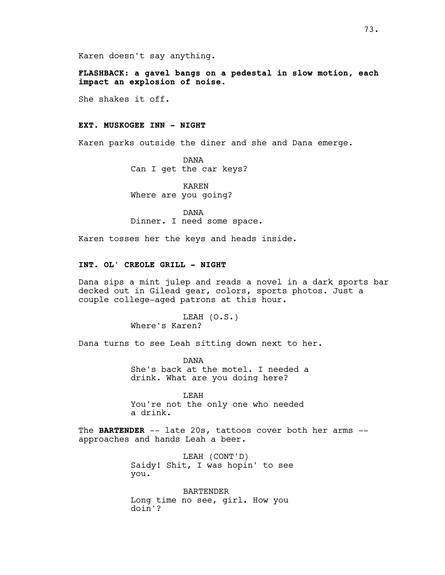Karen doesn't say anything.

**FLASHBACK: a gavel bangs on a pedestal in slow motion, each impact an explosion of noise.**

She shakes it off.

# **EXT. MUSKOGEE INN - NIGHT**

Karen parks outside the diner and she and Dana emerge.

DANA Can I get the car keys?

KAREN Where are you going?

DANA Dinner. I need some space.

Karen tosses her the keys and heads inside.

# **INT. OL' CREOLE GRILL - NIGHT**

Dana sips a mint julep and reads a novel in a dark sports bar decked out in Gilead gear, colors, sports photos. Just a couple college-aged patrons at this hour.

> LEAH (O.S.) Where's Karen?

Dana turns to see Leah sitting down next to her.

DANA She's back at the motel. I needed a drink. What are you doing here?

LEAH You're not the only one who needed a drink.

The **BARTENDER** -- late 20s, tattoos cover both her arms - approaches and hands Leah a beer.

> LEAH (CONT'D) Saidy! Shit, I was hopin' to see you.

BARTENDER Long time no see, girl. How you doin'?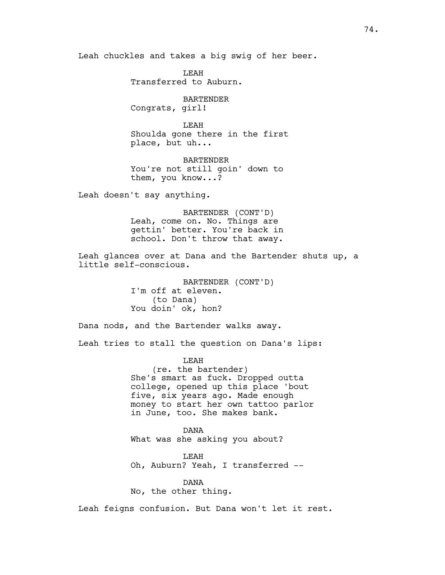Leah chuckles and takes a big swig of her beer.

LEAH Transferred to Auburn.

BARTENDER Congrats, girl!

LEAH Shoulda gone there in the first place, but uh...

BARTENDER You're not still goin' down to them, you know...?

Leah doesn't say anything.

BARTENDER (CONT'D) Leah, come on. No. Things are gettin' better. You're back in school. Don't throw that away.

Leah glances over at Dana and the Bartender shuts up, a little self-conscious.

> BARTENDER (CONT'D) I'm off at eleven. (to Dana) You doin' ok, hon?

Dana nods, and the Bartender walks away.

Leah tries to stall the question on Dana's lips:

LEAH (re. the bartender) She's smart as fuck. Dropped outta college, opened up this place 'bout five, six years ago. Made enough money to start her own tattoo parlor in June, too. She makes bank.

DANA What was she asking you about?

LEAH Oh, Auburn? Yeah, I transferred --

DANA No, the other thing.

Leah feigns confusion. But Dana won't let it rest.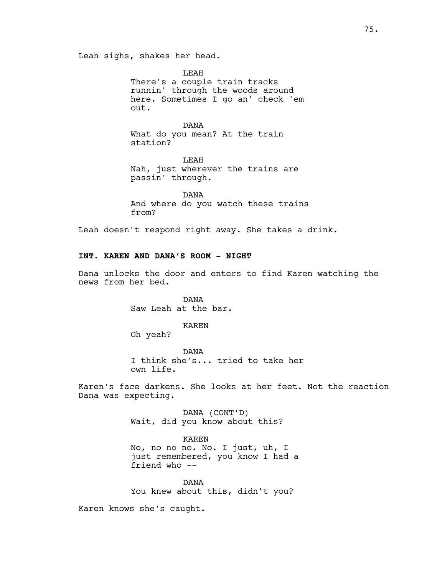Leah sighs, shakes her head.

LEAH There's a couple train tracks runnin' through the woods around here. Sometimes I go an' check 'em out.

DANA What do you mean? At the train station?

LEAH Nah, just wherever the trains are passin' through.

DANA And where do you watch these trains from?

Leah doesn't respond right away. She takes a drink.

# **INT. KAREN AND DANA'S ROOM - NIGHT**

Dana unlocks the door and enters to find Karen watching the news from her bed.

> DANA Saw Leah at the bar.

> > KAREN

Oh yeah?

DANA I think she's... tried to take her own life.

Karen's face darkens. She looks at her feet. Not the reaction Dana was expecting.

> DANA (CONT'D) Wait, did you know about this?

KAREN No, no no no. No. I just, uh, I just remembered, you know I had a friend who --

DANA You knew about this, didn't you?

Karen knows she's caught.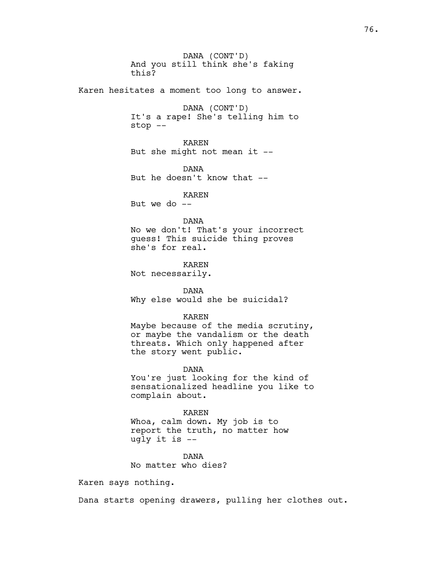DANA (CONT'D) And you still think she's faking this? Karen hesitates a moment too long to answer. DANA (CONT'D) It's a rape! She's telling him to stop -- KAREN But she might not mean it -- DANA But he doesn't know that -- KAREN But we do  $-$ DANA No we don't! That's your incorrect guess! This suicide thing proves she's for real. KAREN Not necessarily. DANA Why else would she be suicidal? KAREN Maybe because of the media scrutiny, or maybe the vandalism or the death threats. Which only happened after the story went public. DANA You're just looking for the kind of sensationalized headline you like to complain about. KAREN Whoa, calm down. My job is to report the truth, no matter how ugly it is --

> DANA No matter who dies?

Karen says nothing.

Dana starts opening drawers, pulling her clothes out.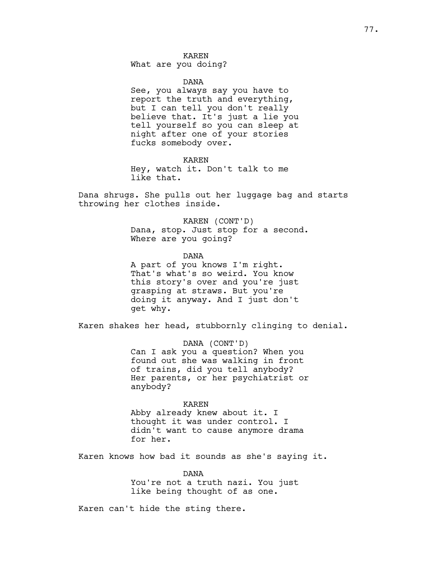What are you doing?

DANA

See, you always say you have to report the truth and everything, but I can tell you don't really believe that. It's just a lie you tell yourself so you can sleep at night after one of your stories fucks somebody over.

KAREN Hey, watch it. Don't talk to me like that.

Dana shrugs. She pulls out her luggage bag and starts throwing her clothes inside.

> KAREN (CONT'D) Dana, stop. Just stop for a second. Where are you going?

DANA A part of you knows I'm right. That's what's so weird. You know this story's over and you're just grasping at straws. But you're doing it anyway. And I just don't get why.

Karen shakes her head, stubbornly clinging to denial.

DANA (CONT'D) Can I ask you a question? When you found out she was walking in front of trains, did you tell anybody? Her parents, or her psychiatrist or anybody?

KAREN

Abby already knew about it. I thought it was under control. I didn't want to cause anymore drama for her.

Karen knows how bad it sounds as she's saying it.

DANA You're not a truth nazi. You just like being thought of as one.

Karen can't hide the sting there.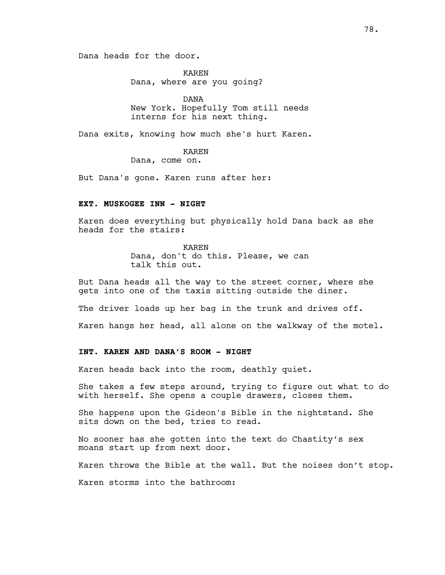Dana heads for the door.

KAREN Dana, where are you going?

DANA New York. Hopefully Tom still needs interns for his next thing.

Dana exits, knowing how much she's hurt Karen.

KAREN

Dana, come on.

But Dana's gone. Karen runs after her:

# **EXT. MUSKOGEE INN - NIGHT**

Karen does everything but physically hold Dana back as she heads for the stairs:

> KAREN Dana, don't do this. Please, we can talk this out.

But Dana heads all the way to the street corner, where she gets into one of the taxis sitting outside the diner.

The driver loads up her bag in the trunk and drives off.

Karen hangs her head, all alone on the walkway of the motel.

# **INT. KAREN AND DANA'S ROOM - NIGHT**

Karen heads back into the room, deathly quiet.

She takes a few steps around, trying to figure out what to do with herself. She opens a couple drawers, closes them.

She happens upon the Gideon's Bible in the nightstand. She sits down on the bed, tries to read.

No sooner has she gotten into the text do Chastity's sex moans start up from next door.

Karen throws the Bible at the wall. But the noises don't stop.

Karen storms into the bathroom: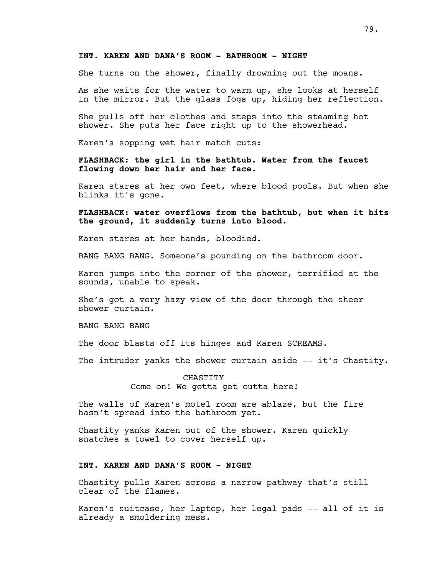#### **INT. KAREN AND DANA'S ROOM - BATHROOM - NIGHT**

She turns on the shower, finally drowning out the moans.

As she waits for the water to warm up, she looks at herself in the mirror. But the glass fogs up, hiding her reflection.

She pulls off her clothes and steps into the steaming hot shower. She puts her face right up to the showerhead.

Karen's sopping wet hair match cuts:

**FLASHBACK: the girl in the bathtub. Water from the faucet flowing down her hair and her face.**

Karen stares at her own feet, where blood pools. But when she blinks it's gone.

**FLASHBACK: water overflows from the bathtub, but when it hits the ground, it suddenly turns into blood.**

Karen stares at her hands, bloodied.

BANG BANG BANG. Someone's pounding on the bathroom door.

Karen jumps into the corner of the shower, terrified at the sounds, unable to speak.

She's got a very hazy view of the door through the sheer shower curtain.

BANG BANG BANG

The door blasts off its hinges and Karen SCREAMS.

The intruder yanks the shower curtain aside -- it's Chastity.

CHASTITY Come on! We gotta get outta here!

The walls of Karen's motel room are ablaze, but the fire hasn't spread into the bathroom yet.

Chastity yanks Karen out of the shower. Karen quickly snatches a towel to cover herself up.

# **INT. KAREN AND DANA'S ROOM - NIGHT**

Chastity pulls Karen across a narrow pathway that's still clear of the flames.

Karen's suitcase, her laptop, her legal pads -- all of it is already a smoldering mess.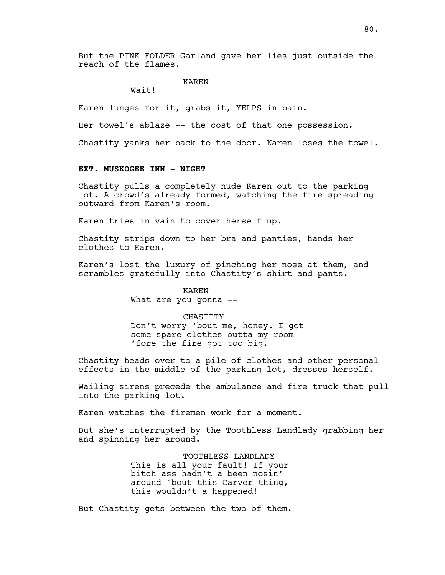But the PINK FOLDER Garland gave her lies just outside the reach of the flames.

# KAREN

Wait!

Karen lunges for it, grabs it, YELPS in pain.

Her towel's ablaze -- the cost of that one possession.

Chastity yanks her back to the door. Karen loses the towel.

#### **EXT. MUSKOGEE INN - NIGHT**

Chastity pulls a completely nude Karen out to the parking lot. A crowd's already formed, watching the fire spreading outward from Karen's room.

Karen tries in vain to cover herself up.

Chastity strips down to her bra and panties, hands her clothes to Karen.

Karen's lost the luxury of pinching her nose at them, and scrambles gratefully into Chastity's shirt and pants.

> KAREN What are you gonna --

> > CHASTITY

Don't worry 'bout me, honey. I got some spare clothes outta my room 'fore the fire got too big.

Chastity heads over to a pile of clothes and other personal effects in the middle of the parking lot, dresses herself.

Wailing sirens precede the ambulance and fire truck that pull into the parking lot.

Karen watches the firemen work for a moment.

But she's interrupted by the Toothless Landlady grabbing her and spinning her around.

> TOOTHLESS LANDLADY This is all your fault! If your bitch ass hadn't a been nosin' around 'bout this Carver thing, this wouldn't a happened!

But Chastity gets between the two of them.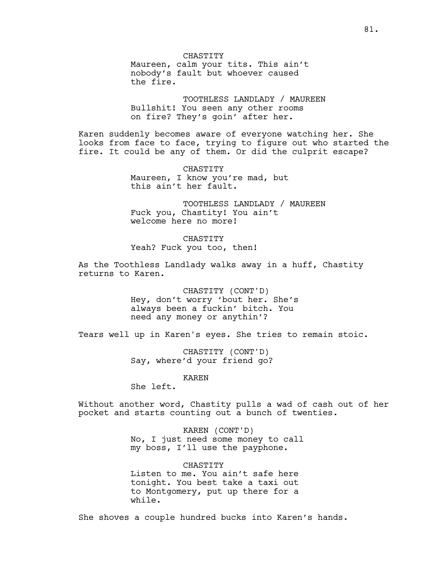CHASTITY Maureen, calm your tits. This ain't nobody's fault but whoever caused the fire.

TOOTHLESS LANDLADY / MAUREEN Bullshit! You seen any other rooms on fire? They's goin' after her.

Karen suddenly becomes aware of everyone watching her. She looks from face to face, trying to figure out who started the fire. It could be any of them. Or did the culprit escape?

> CHASTITY Maureen, I know you're mad, but this ain't her fault.

TOOTHLESS LANDLADY / MAUREEN Fuck you, Chastity! You ain't welcome here no more!

CHASTITY Yeah? Fuck you too, then!

As the Toothless Landlady walks away in a huff, Chastity returns to Karen.

> CHASTITY (CONT'D) Hey, don't worry 'bout her. She's always been a fuckin' bitch. You need any money or anythin'?

Tears well up in Karen's eyes. She tries to remain stoic.

CHASTITY (CONT'D) Say, where'd your friend go?

KAREN

She left.

Without another word, Chastity pulls a wad of cash out of her pocket and starts counting out a bunch of twenties.

> KAREN (CONT'D) No, I just need some money to call my boss, I'll use the payphone.

CHASTITY Listen to me. You ain't safe here tonight. You best take a taxi out to Montgomery, put up there for a while.

She shoves a couple hundred bucks into Karen's hands.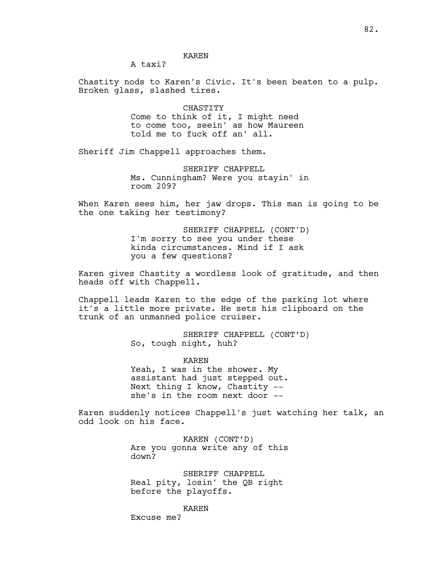#### KAREN

A taxi?

Chastity nods to Karen's Civic. It's been beaten to a pulp. Broken glass, slashed tires.

> CHASTITY Come to think of it, I might need to come too, seein' as how Maureen told me to fuck off an' all.

Sheriff Jim Chappell approaches them.

SHERIFF CHAPPELL Ms. Cunningham? Were you stayin' in room 209?

When Karen sees him, her jaw drops. This man is going to be the one taking her testimony?

> SHERIFF CHAPPELL (CONT'D) I'm sorry to see you under these kinda circumstances. Mind if I ask you a few questions?

Karen gives Chastity a wordless look of gratitude, and then heads off with Chappell.

Chappell leads Karen to the edge of the parking lot where it's a little more private. He sets his clipboard on the trunk of an unmanned police cruiser.

> SHERIFF CHAPPELL (CONT'D) So, tough night, huh?

KAREN Yeah, I was in the shower. My assistant had just stepped out. Next thing I know, Chastity - she's in the room next door --

Karen suddenly notices Chappell's just watching her talk, an odd look on his face.

> KAREN (CONT'D) Are you gonna write any of this down?

SHERIFF CHAPPELL Real pity, losin' the QB right before the playoffs.

KAREN

Excuse me?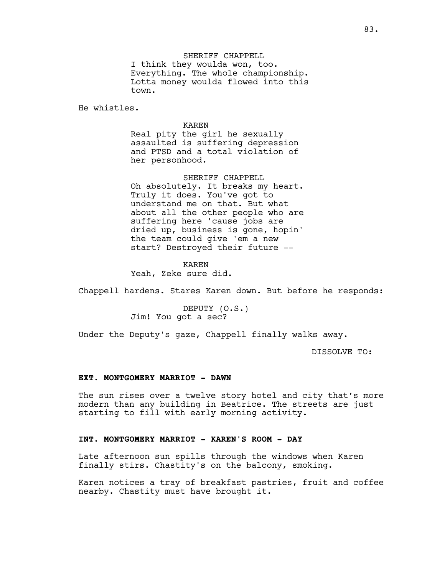SHERIFF CHAPPELL I think they woulda won, too. Everything. The whole championship. Lotta money woulda flowed into this town.

He whistles.

KAREN

Real pity the girl he sexually assaulted is suffering depression and PTSD and a total violation of her personhood.

SHERIFF CHAPPELL Oh absolutely. It breaks my heart. Truly it does. You've got to understand me on that. But what about all the other people who are suffering here 'cause jobs are dried up, business is gone, hopin' the team could give 'em a new start? Destroyed their future --

KAREN Yeah, Zeke sure did.

Chappell hardens. Stares Karen down. But before he responds:

DEPUTY (O.S.) Jim! You got a sec?

Under the Deputy's gaze, Chappell finally walks away.

DISSOLVE TO:

#### **EXT. MONTGOMERY MARRIOT - DAWN**

The sun rises over a twelve story hotel and city that's more modern than any building in Beatrice. The streets are just starting to fill with early morning activity.

#### **INT. MONTGOMERY MARRIOT - KAREN'S ROOM - DAY**

Late afternoon sun spills through the windows when Karen finally stirs. Chastity's on the balcony, smoking.

Karen notices a tray of breakfast pastries, fruit and coffee nearby. Chastity must have brought it.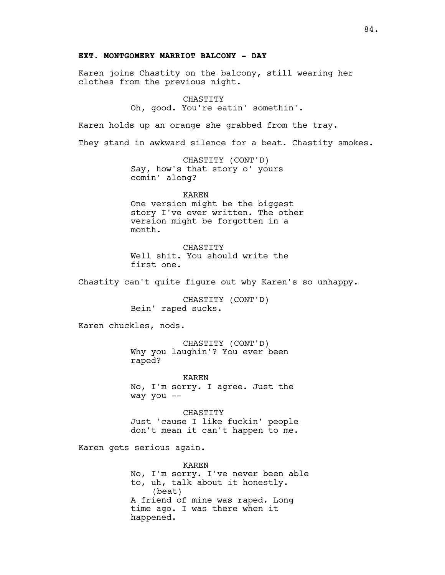#### **EXT. MONTGOMERY MARRIOT BALCONY - DAY**

Karen joins Chastity on the balcony, still wearing her clothes from the previous night.

> CHASTITY Oh, good. You're eatin' somethin'.

Karen holds up an orange she grabbed from the tray.

They stand in awkward silence for a beat. Chastity smokes.

CHASTITY (CONT'D) Say, how's that story o' yours comin' along?

KAREN One version might be the biggest story I've ever written. The other version might be forgotten in a month.

CHASTITY Well shit. You should write the first one.

Chastity can't quite figure out why Karen's so unhappy.

CHASTITY (CONT'D) Bein' raped sucks.

Karen chuckles, nods.

CHASTITY (CONT'D) Why you laughin'? You ever been raped?

KAREN No, I'm sorry. I agree. Just the way you --

**CHASTITY** Just 'cause I like fuckin' people don't mean it can't happen to me.

Karen gets serious again.

KAREN No, I'm sorry. I've never been able to, uh, talk about it honestly. (beat) A friend of mine was raped. Long time ago. I was there when it happened.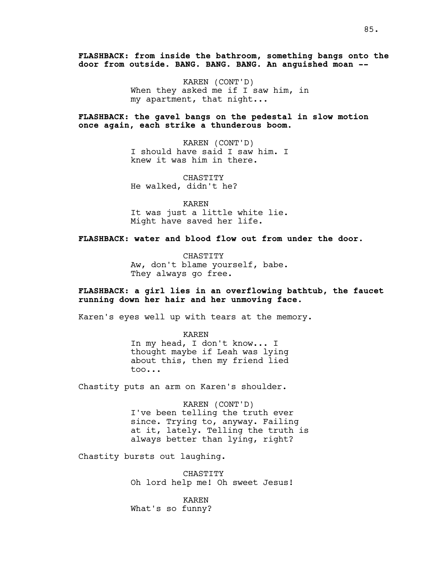**FLASHBACK: from inside the bathroom, something bangs onto the door from outside. BANG. BANG. BANG. An anguished moan --**

> KAREN (CONT'D) When they asked me if I saw him, in my apartment, that night...

**FLASHBACK: the gavel bangs on the pedestal in slow motion once again, each strike a thunderous boom.**

> KAREN (CONT'D) I should have said I saw him. I knew it was him in there.

CHASTITY He walked, didn't he?

KAREN It was just a little white lie. Might have saved her life.

**FLASHBACK: water and blood flow out from under the door.**

CHASTITY Aw, don't blame yourself, babe. They always go free.

# **FLASHBACK: a girl lies in an overflowing bathtub, the faucet running down her hair and her unmoving face.**

Karen's eyes well up with tears at the memory.

KAREN In my head, I don't know... I thought maybe if Leah was lying about this, then my friend lied too...

Chastity puts an arm on Karen's shoulder.

KAREN (CONT'D) I've been telling the truth ever since. Trying to, anyway. Failing at it, lately. Telling the truth is always better than lying, right?

Chastity bursts out laughing.

CHASTITY Oh lord help me! Oh sweet Jesus!

KAREN What's so funny?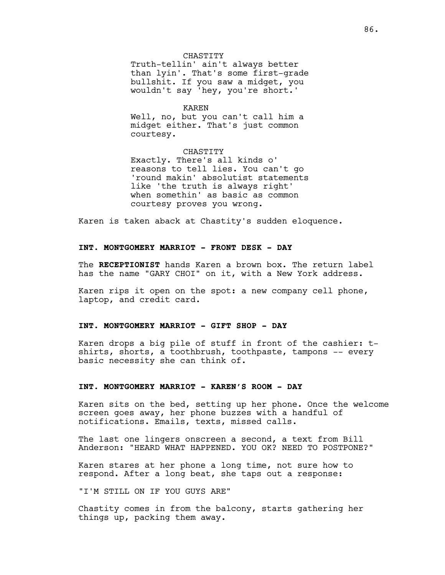#### CHASTITY

Truth-tellin' ain't always better than lyin'. That's some first-grade bullshit. If you saw a midget, you wouldn't say 'hey, you're short.'

#### KAREN

Well, no, but you can't call him a midget either. That's just common courtesy.

#### CHASTITY

Exactly. There's all kinds o' reasons to tell lies. You can't go 'round makin' absolutist statements like 'the truth is always right' when somethin' as basic as common courtesy proves you wrong.

Karen is taken aback at Chastity's sudden eloquence.

#### **INT. MONTGOMERY MARRIOT - FRONT DESK - DAY**

The **RECEPTIONIST** hands Karen a brown box. The return label has the name "GARY CHOI" on it, with a New York address.

Karen rips it open on the spot: a new company cell phone, laptop, and credit card.

#### **INT. MONTGOMERY MARRIOT - GIFT SHOP - DAY**

Karen drops a big pile of stuff in front of the cashier: tshirts, shorts, a toothbrush, toothpaste, tampons -- every basic necessity she can think of.

#### **INT. MONTGOMERY MARRIOT - KAREN'S ROOM - DAY**

Karen sits on the bed, setting up her phone. Once the welcome screen goes away, her phone buzzes with a handful of notifications. Emails, texts, missed calls.

The last one lingers onscreen a second, a text from Bill Anderson: "HEARD WHAT HAPPENED. YOU OK? NEED TO POSTPONE?"

Karen stares at her phone a long time, not sure how to respond. After a long beat, she taps out a response:

"I'M STILL ON IF YOU GUYS ARE"

Chastity comes in from the balcony, starts gathering her things up, packing them away.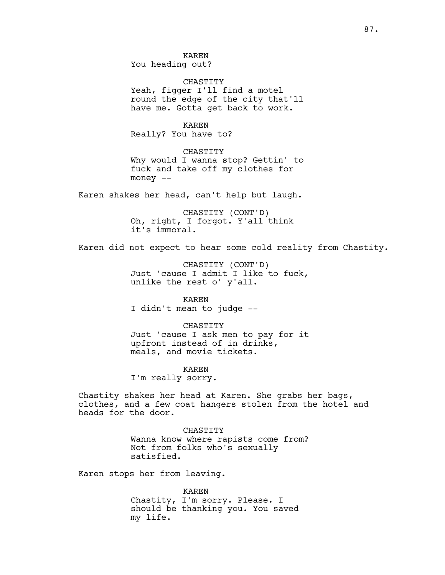KAREN You heading out?

CHASTITY Yeah, figger I'll find a motel round the edge of the city that'll have me. Gotta get back to work.

KAREN Really? You have to?

CHASTITY Why would I wanna stop? Gettin' to fuck and take off my clothes for money --

Karen shakes her head, can't help but laugh.

CHASTITY (CONT'D) Oh, right, I forgot. Y'all think it's immoral.

Karen did not expect to hear some cold reality from Chastity.

CHASTITY (CONT'D) Just 'cause I admit I like to fuck, unlike the rest o' y'all.

KAREN I didn't mean to judge --

CHASTITY Just 'cause I ask men to pay for it upfront instead of in drinks, meals, and movie tickets.

KAREN

I'm really sorry.

Chastity shakes her head at Karen. She grabs her bags, clothes, and a few coat hangers stolen from the hotel and heads for the door.

> CHASTITY Wanna know where rapists come from? Not from folks who's sexually satisfied.

Karen stops her from leaving.

KAREN Chastity, I'm sorry. Please. I should be thanking you. You saved my life.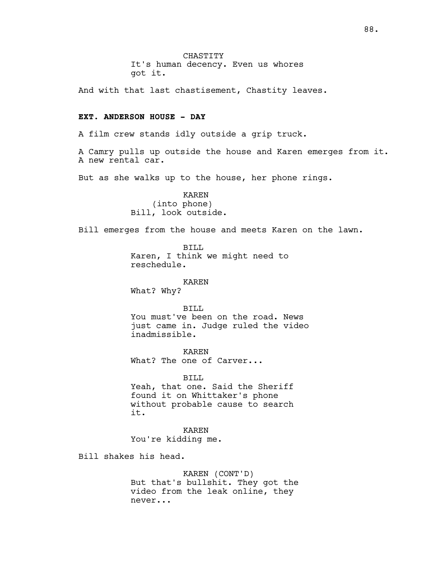CHASTITY It's human decency. Even us whores got it.

And with that last chastisement, Chastity leaves.

# **EXT. ANDERSON HOUSE - DAY**

A film crew stands idly outside a grip truck.

A Camry pulls up outside the house and Karen emerges from it. A new rental car.

But as she walks up to the house, her phone rings.

KAREN (into phone) Bill, look outside.

Bill emerges from the house and meets Karen on the lawn.

BILL Karen, I think we might need to reschedule.

KAREN What? Why?

BILL You must've been on the road. News just came in. Judge ruled the video inadmissible.

KAREN What? The one of Carver...

BILL Yeah, that one. Said the Sheriff found it on Whittaker's phone without probable cause to search it.

KAREN You're kidding me.

Bill shakes his head.

KAREN (CONT'D) But that's bullshit. They got the video from the leak online, they never...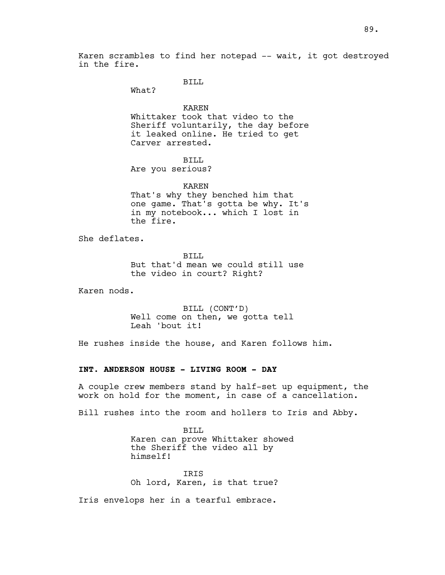Karen scrambles to find her notepad -- wait, it got destroyed in the fire.

BILL

What?

KAREN Whittaker took that video to the Sheriff voluntarily, the day before it leaked online. He tried to get Carver arrested.

BILL

Are you serious?

KAREN That's why they benched him that one game. That's gotta be why. It's in my notebook... which I lost in the fire.

She deflates.

BILL But that'd mean we could still use the video in court? Right?

Karen nods.

BILL (CONT'D) Well come on then, we gotta tell Leah 'bout it!

He rushes inside the house, and Karen follows him.

# **INT. ANDERSON HOUSE - LIVING ROOM - DAY**

A couple crew members stand by half-set up equipment, the work on hold for the moment, in case of a cancellation.

Bill rushes into the room and hollers to Iris and Abby.

BILL Karen can prove Whittaker showed the Sheriff the video all by himself!

IRIS Oh lord, Karen, is that true?

Iris envelops her in a tearful embrace.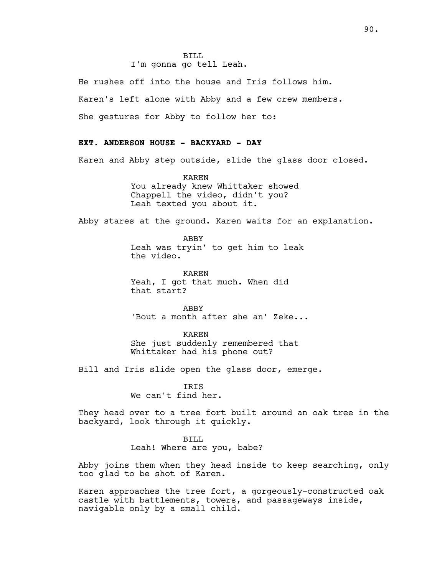# I'm gonna go tell Leah.

He rushes off into the house and Iris follows him.

Karen's left alone with Abby and a few crew members.

She gestures for Abby to follow her to:

### **EXT. ANDERSON HOUSE - BACKYARD - DAY**

Karen and Abby step outside, slide the glass door closed.

KAREN You already knew Whittaker showed Chappell the video, didn't you? Leah texted you about it.

Abby stares at the ground. Karen waits for an explanation.

ABBY Leah was tryin' to get him to leak the video.

KAREN Yeah, I got that much. When did that start?

ABBY 'Bout a month after she an' Zeke...

KAREN

She just suddenly remembered that Whittaker had his phone out?

Bill and Iris slide open the glass door, emerge.

IRIS We can't find her.

They head over to a tree fort built around an oak tree in the backyard, look through it quickly.

#### BILL

Leah! Where are you, babe?

Abby joins them when they head inside to keep searching, only too glad to be shot of Karen.

Karen approaches the tree fort, a gorgeously-constructed oak castle with battlements, towers, and passageways inside, navigable only by a small child.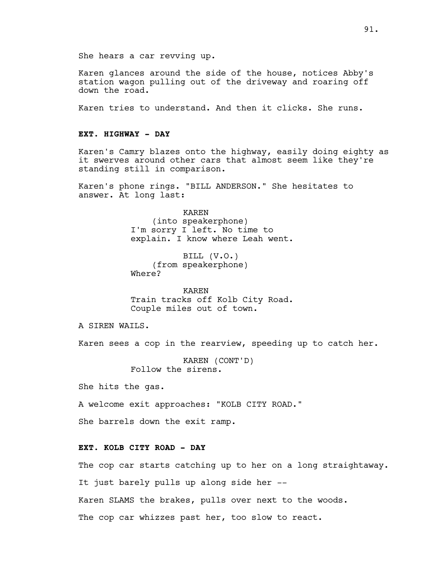She hears a car revving up.

Karen glances around the side of the house, notices Abby's station wagon pulling out of the driveway and roaring off down the road.

Karen tries to understand. And then it clicks. She runs.

#### **EXT. HIGHWAY - DAY**

Karen's Camry blazes onto the highway, easily doing eighty as it swerves around other cars that almost seem like they're standing still in comparison.

Karen's phone rings. "BILL ANDERSON." She hesitates to answer. At long last:

> KAREN (into speakerphone) I'm sorry I left. No time to explain. I know where Leah went.

BILL (V.O.) (from speakerphone) Where?

KAREN Train tracks off Kolb City Road. Couple miles out of town.

A SIREN WAILS.

Karen sees a cop in the rearview, speeding up to catch her.

KAREN (CONT'D) Follow the sirens.

She hits the gas.

A welcome exit approaches: "KOLB CITY ROAD."

She barrels down the exit ramp.

# **EXT. KOLB CITY ROAD - DAY**

The cop car starts catching up to her on a long straightaway.

It just barely pulls up along side her --

Karen SLAMS the brakes, pulls over next to the woods.

The cop car whizzes past her, too slow to react.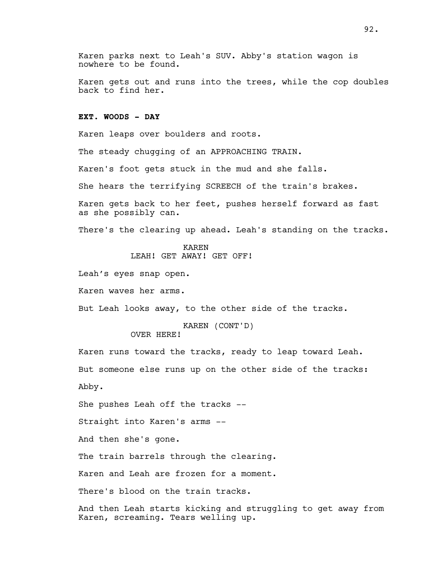Karen parks next to Leah's SUV. Abby's station wagon is nowhere to be found.

Karen gets out and runs into the trees, while the cop doubles back to find her.

# **EXT. WOODS - DAY**

Karen leaps over boulders and roots.

The steady chugging of an APPROACHING TRAIN.

Karen's foot gets stuck in the mud and she falls.

She hears the terrifying SCREECH of the train's brakes.

Karen gets back to her feet, pushes herself forward as fast as she possibly can.

There's the clearing up ahead. Leah's standing on the tracks.

KAREN

LEAH! GET AWAY! GET OFF!

Leah's eyes snap open.

Karen waves her arms.

But Leah looks away, to the other side of the tracks.

KAREN (CONT'D) OVER HERE!

Karen runs toward the tracks, ready to leap toward Leah. But someone else runs up on the other side of the tracks: Abby.

She pushes Leah off the tracks --

Straight into Karen's arms --

And then she's gone.

The train barrels through the clearing.

Karen and Leah are frozen for a moment.

There's blood on the train tracks.

And then Leah starts kicking and struggling to get away from Karen, screaming. Tears welling up.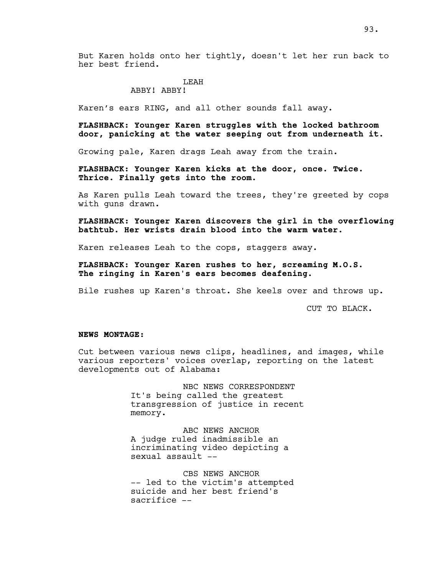But Karen holds onto her tightly, doesn't let her run back to her best friend.

#### LEAH

# ABBY! ABBY!

Karen's ears RING, and all other sounds fall away.

# **FLASHBACK: Younger Karen struggles with the locked bathroom door, panicking at the water seeping out from underneath it.**

Growing pale, Karen drags Leah away from the train.

**FLASHBACK: Younger Karen kicks at the door, once. Twice. Thrice. Finally gets into the room.**

As Karen pulls Leah toward the trees, they're greeted by cops with guns drawn.

**FLASHBACK: Younger Karen discovers the girl in the overflowing bathtub. Her wrists drain blood into the warm water.**

Karen releases Leah to the cops, staggers away.

**FLASHBACK: Younger Karen rushes to her, screaming M.O.S. The ringing in Karen's ears becomes deafening.**

Bile rushes up Karen's throat. She keels over and throws up.

CUT TO BLACK.

#### **NEWS MONTAGE:**

Cut between various news clips, headlines, and images, while various reporters' voices overlap, reporting on the latest developments out of Alabama:

> NBC NEWS CORRESPONDENT It's being called the greatest transgression of justice in recent memory.

ABC NEWS ANCHOR A judge ruled inadmissible an incriminating video depicting a sexual assault --

CBS NEWS ANCHOR -- led to the victim's attempted suicide and her best friend's sacrifice --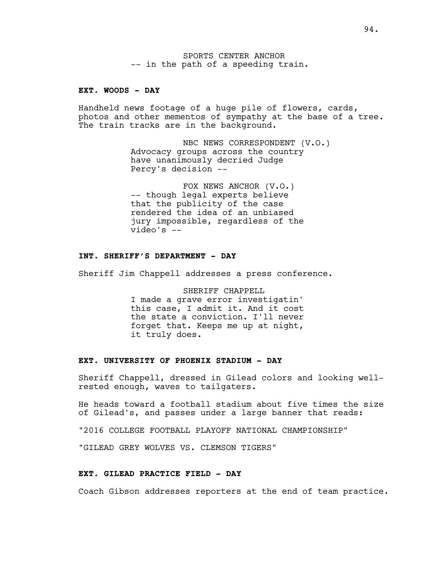SPORTS CENTER ANCHOR -- in the path of a speeding train.

#### **EXT. WOODS - DAY**

Handheld news footage of a huge pile of flowers, cards, photos and other mementos of sympathy at the base of a tree. The train tracks are in the background.

> NBC NEWS CORRESPONDENT (V.O.) Advocacy groups across the country have unanimously decried Judge Percy's decision --

FOX NEWS ANCHOR (V.O.) -- though legal experts believe that the publicity of the case rendered the idea of an unbiased jury impossible, regardless of the video's --

# **INT. SHERIFF'S DEPARTMENT - DAY**

Sheriff Jim Chappell addresses a press conference.

SHERIFF CHAPPELL I made a grave error investigatin' this case, I admit it. And it cost the state a conviction. I'll never forget that. Keeps me up at night, it truly does.

#### **EXT. UNIVERSITY OF PHOENIX STADIUM - DAY**

Sheriff Chappell, dressed in Gilead colors and looking wellrested enough, waves to tailgaters.

He heads toward a football stadium about five times the size of Gilead's, and passes under a large banner that reads:

"2016 COLLEGE FOOTBALL PLAYOFF NATIONAL CHAMPIONSHIP"

"GILEAD GREY WOLVES VS. CLEMSON TIGERS"

#### **EXT. GILEAD PRACTICE FIELD - DAY**

Coach Gibson addresses reporters at the end of team practice.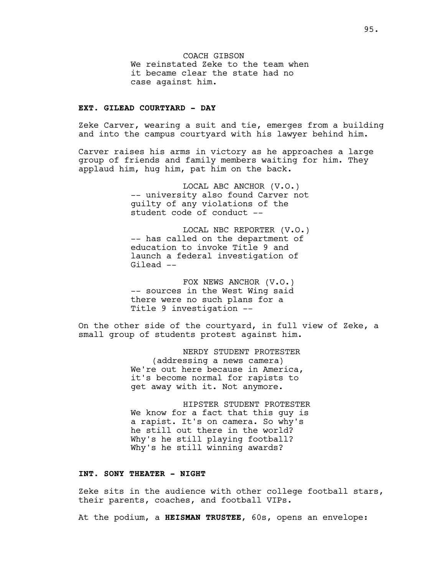COACH GIBSON We reinstated Zeke to the team when it became clear the state had no case against him.

# **EXT. GILEAD COURTYARD - DAY**

Zeke Carver, wearing a suit and tie, emerges from a building and into the campus courtyard with his lawyer behind him.

Carver raises his arms in victory as he approaches a large group of friends and family members waiting for him. They applaud him, hug him, pat him on the back.

> LOCAL ABC ANCHOR (V.O.) -- university also found Carver not guilty of any violations of the student code of conduct --

> LOCAL NBC REPORTER (V.O.) -- has called on the department of education to invoke Title 9 and launch a federal investigation of Gilead --

FOX NEWS ANCHOR (V.O.) -- sources in the West Wing said there were no such plans for a Title 9 investigation --

On the other side of the courtyard, in full view of Zeke, a small group of students protest against him.

> NERDY STUDENT PROTESTER (addressing a news camera) We're out here because in America, it's become normal for rapists to get away with it. Not anymore.

HIPSTER STUDENT PROTESTER We know for a fact that this guy is a rapist. It's on camera. So why's he still out there in the world? Why's he still playing football? Why's he still winning awards?

#### **INT. SONY THEATER - NIGHT**

Zeke sits in the audience with other college football stars, their parents, coaches, and football VIPs.

At the podium, a **HEISMAN TRUSTEE**, 60s, opens an envelope: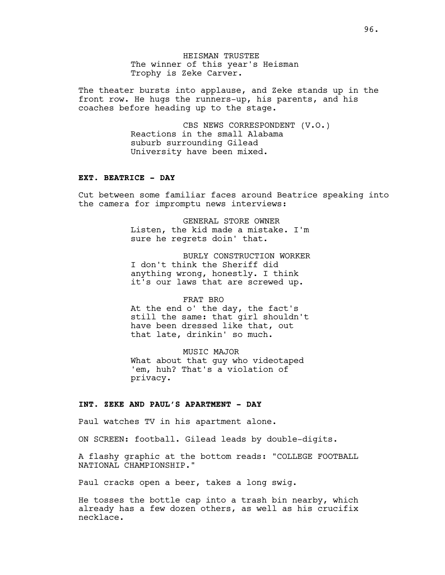HEISMAN TRUSTEE The winner of this year's Heisman Trophy is Zeke Carver.

The theater bursts into applause, and Zeke stands up in the front row. He hugs the runners-up, his parents, and his coaches before heading up to the stage.

> CBS NEWS CORRESPONDENT (V.O.) Reactions in the small Alabama suburb surrounding Gilead University have been mixed.

# **EXT. BEATRICE - DAY**

Cut between some familiar faces around Beatrice speaking into the camera for impromptu news interviews:

> GENERAL STORE OWNER Listen, the kid made a mistake. I'm sure he regrets doin' that.

> BURLY CONSTRUCTION WORKER I don't think the Sheriff did anything wrong, honestly. I think it's our laws that are screwed up.

#### FRAT BRO

At the end o' the day, the fact's still the same: that girl shouldn't have been dressed like that, out that late, drinkin' so much.

MUSIC MAJOR What about that guy who videotaped 'em, huh? That's a violation of privacy.

#### **INT. ZEKE AND PAUL'S APARTMENT - DAY**

Paul watches TV in his apartment alone.

ON SCREEN: football. Gilead leads by double-digits.

A flashy graphic at the bottom reads: "COLLEGE FOOTBALL NATIONAL CHAMPIONSHIP."

Paul cracks open a beer, takes a long swig.

He tosses the bottle cap into a trash bin nearby, which already has a few dozen others, as well as his crucifix necklace.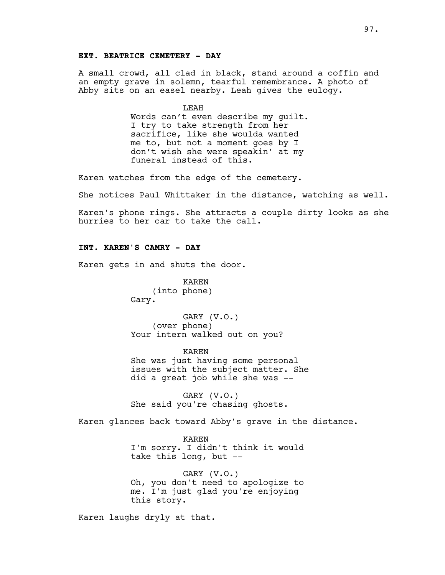### **EXT. BEATRICE CEMETERY - DAY**

A small crowd, all clad in black, stand around a coffin and an empty grave in solemn, tearful remembrance. A photo of Abby sits on an easel nearby. Leah gives the eulogy.

> LEAH Words can't even describe my guilt. I try to take strength from her sacrifice, like she woulda wanted me to, but not a moment goes by I don't wish she were speakin' at my funeral instead of this.

Karen watches from the edge of the cemetery.

She notices Paul Whittaker in the distance, watching as well.

Karen's phone rings. She attracts a couple dirty looks as she hurries to her car to take the call.

# **INT. KAREN'S CAMRY - DAY**

Karen gets in and shuts the door.

KAREN (into phone) Gary.

GARY (V.O.) (over phone) Your intern walked out on you?

KAREN She was just having some personal issues with the subject matter. She did a great job while she was --

GARY (V.O.) She said you're chasing ghosts.

Karen glances back toward Abby's grave in the distance.

KAREN I'm sorry. I didn't think it would take this long, but --

GARY (V.O.) Oh, you don't need to apologize to me. I'm just glad you're enjoying this story.

Karen laughs dryly at that.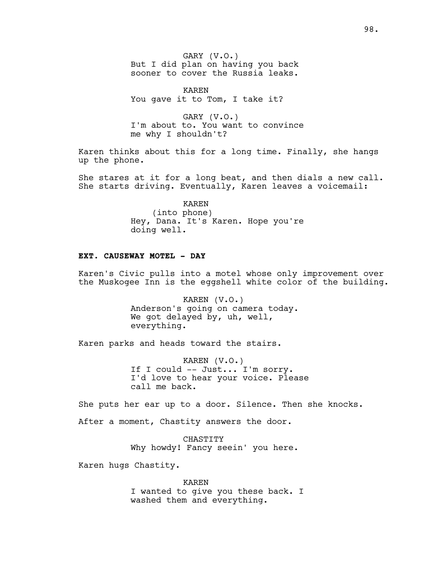GARY (V.O.) But I did plan on having you back sooner to cover the Russia leaks.

KAREN You gave it to Tom, I take it?

GARY (V.O.) I'm about to. You want to convince me why I shouldn't?

Karen thinks about this for a long time. Finally, she hangs up the phone.

She stares at it for a long beat, and then dials a new call. She starts driving. Eventually, Karen leaves a voicemail:

> KAREN (into phone) Hey, Dana. It's Karen. Hope you're doing well.

# **EXT. CAUSEWAY MOTEL - DAY**

Karen's Civic pulls into a motel whose only improvement over the Muskogee Inn is the eggshell white color of the building.

> KAREN (V.O.) Anderson's going on camera today. We got delayed by, uh, well, everything.

Karen parks and heads toward the stairs.

KAREN (V.O.) If I could -- Just... I'm sorry. I'd love to hear your voice. Please call me back.

She puts her ear up to a door. Silence. Then she knocks.

After a moment, Chastity answers the door.

CHASTITY Why howdy! Fancy seein' you here.

Karen hugs Chastity.

KAREN I wanted to give you these back. I washed them and everything.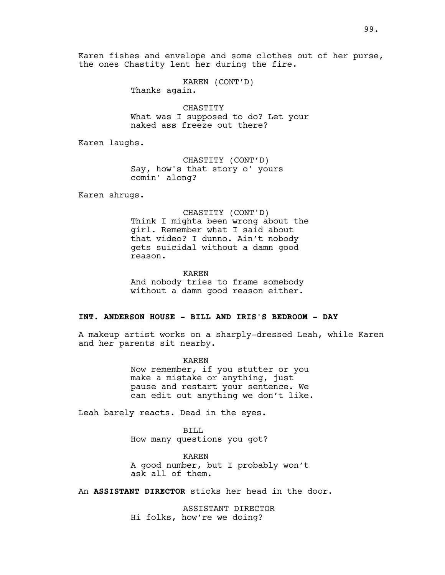Karen fishes and envelope and some clothes out of her purse, the ones Chastity lent her during the fire.

> KAREN (CONT'D) Thanks again.

CHASTITY What was I supposed to do? Let your naked ass freeze out there?

Karen laughs.

CHASTITY (CONT'D) Say, how's that story o' yours comin' along?

Karen shrugs.

CHASTITY (CONT'D)

Think I mighta been wrong about the girl. Remember what I said about that video? I dunno. Ain't nobody gets suicidal without a damn good reason.

KAREN

And nobody tries to frame somebody without a damn good reason either.

# **INT. ANDERSON HOUSE - BILL AND IRIS'S BEDROOM - DAY**

A makeup artist works on a sharply-dressed Leah, while Karen and her parents sit nearby.

> KAREN Now remember, if you stutter or you make a mistake or anything, just pause and restart your sentence. We can edit out anything we don't like.

Leah barely reacts. Dead in the eyes.

BILL How many questions you got?

KAREN A good number, but I probably won't ask all of them.

An **ASSISTANT DIRECTOR** sticks her head in the door.

ASSISTANT DIRECTOR Hi folks, how're we doing?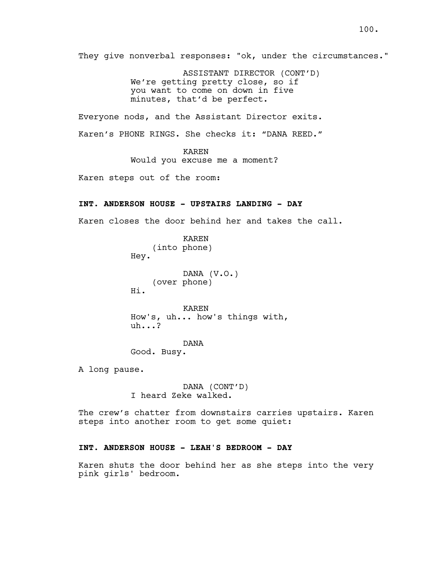They give nonverbal responses: "ok, under the circumstances." ASSISTANT DIRECTOR (CONT'D) We're getting pretty close, so if you want to come on down in five minutes, that'd be perfect. Everyone nods, and the Assistant Director exits. Karen's PHONE RINGS. She checks it: "DANA REED." KAREN Would you excuse me a moment? Karen steps out of the room: **INT. ANDERSON HOUSE - UPSTAIRS LANDING - DAY** Karen closes the door behind her and takes the call. KAREN (into phone) Hey. DANA (V.O.) (over phone) Hi. KAREN How's, uh... how's things with, uh...?

> DANA Good. Busy.

A long pause.

DANA (CONT'D) I heard Zeke walked.

The crew's chatter from downstairs carries upstairs. Karen steps into another room to get some quiet:

# **INT. ANDERSON HOUSE - LEAH'S BEDROOM - DAY**

Karen shuts the door behind her as she steps into the very pink girls' bedroom.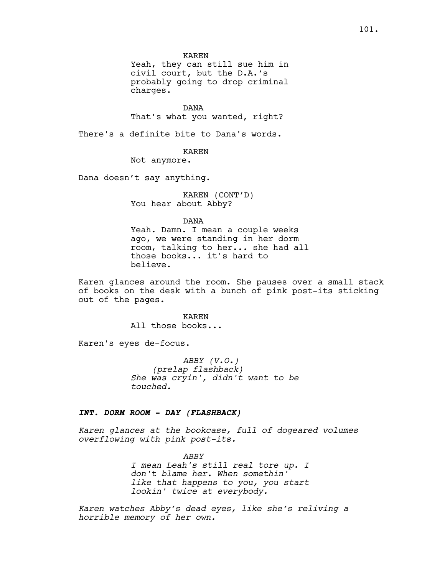KAREN

Yeah, they can still sue him in civil court, but the D.A.'s probably going to drop criminal charges.

DANA

That's what you wanted, right?

There's a definite bite to Dana's words.

# KAREN

Not anymore.

Dana doesn't say anything.

KAREN (CONT'D) You hear about Abby?

DANA

Yeah. Damn. I mean a couple weeks ago, we were standing in her dorm room, talking to her... she had all those books... it's hard to believe.

Karen glances around the room. She pauses over a small stack of books on the desk with a bunch of pink post-its sticking out of the pages.

> KAREN All those books...

Karen's eyes de-focus.

*ABBY (V.O.) (prelap flashback) She was cryin', didn't want to be touched.*

### **INT. DORM ROOM - DAY (FLASHBACK)**

*Karen glances at the bookcase, full of dogeared volumes overflowing with pink post-its.*

> *ABBY I mean Leah's still real tore up. I don't blame her. When somethin' like that happens to you, you start lookin' twice at everybody.*

*Karen watches Abby's dead eyes, like she's reliving a horrible memory of her own.*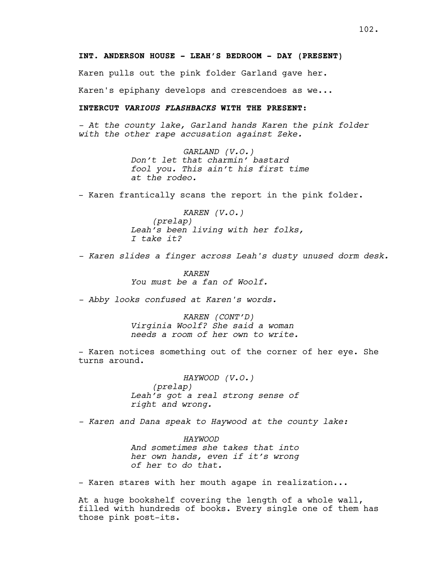Karen pulls out the pink folder Garland gave her.

Karen's epiphany develops and crescendoes as we...

# **INTERCUT VARIOUS FLASHBACKS WITH THE PRESENT:**

*- At the county lake, Garland hands Karen the pink folder with the other rape accusation against Zeke.*

> *GARLAND (V.O.) Don't let that charmin' bastard fool you. This ain't his first time at the rodeo.*

- Karen frantically scans the report in the pink folder.

*KAREN (V.O.) (prelap) Leah's been living with her folks, I take it?*

*- Karen slides a finger across Leah's dusty unused dorm desk.*

*KAREN You must be a fan of Woolf.*

*- Abby looks confused at Karen's words.*

*KAREN (CONT'D) Virginia Woolf? She said a woman needs a room of her own to write.*

- Karen notices something out of the corner of her eye. She turns around.

> *HAYWOOD (V.O.) (prelap) Leah's got a real strong sense of right and wrong.*

*- Karen and Dana speak to Haywood at the county lake:*

*HAYWOOD And sometimes she takes that into her own hands, even if it's wrong of her to do that.*

- Karen stares with her mouth agape in realization...

At a huge bookshelf covering the length of a whole wall, filled with hundreds of books. Every single one of them has those pink post-its.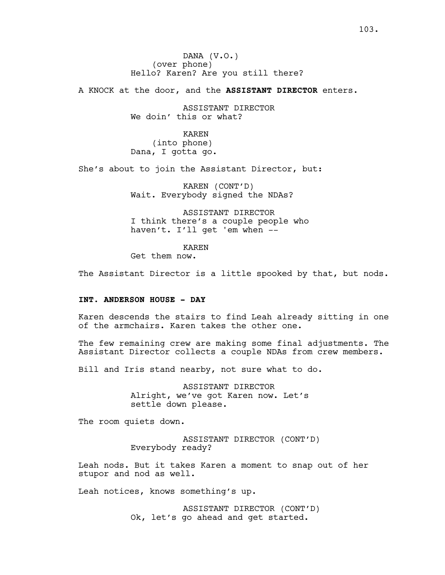DANA (V.O.) (over phone) Hello? Karen? Are you still there?

A KNOCK at the door, and the **ASSISTANT DIRECTOR** enters.

ASSISTANT DIRECTOR We doin' this or what?

KAREN (into phone) Dana, I gotta go.

She's about to join the Assistant Director, but:

KAREN (CONT'D) Wait. Everybody signed the NDAs?

ASSISTANT DIRECTOR I think there's a couple people who haven't. I'll get 'em when --

KAREN

Get them now.

The Assistant Director is a little spooked by that, but nods.

# **INT. ANDERSON HOUSE - DAY**

Karen descends the stairs to find Leah already sitting in one of the armchairs. Karen takes the other one.

The few remaining crew are making some final adjustments. The Assistant Director collects a couple NDAs from crew members.

Bill and Iris stand nearby, not sure what to do.

ASSISTANT DIRECTOR Alright, we've got Karen now. Let's settle down please.

The room quiets down.

ASSISTANT DIRECTOR (CONT'D) Everybody ready?

Leah nods. But it takes Karen a moment to snap out of her stupor and nod as well.

Leah notices, knows something's up.

ASSISTANT DIRECTOR (CONT'D) Ok, let's go ahead and get started.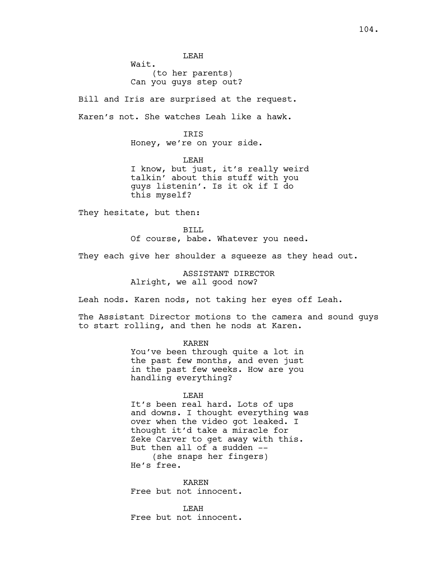LEAH Wait. (to her parents) Can you guys step out?

Bill and Iris are surprised at the request. Karen's not. She watches Leah like a hawk.

> **TRTS** Honey, we're on your side.

LEAH I know, but just, it's really weird talkin' about this stuff with you guys listenin'. Is it ok if I do this myself?

They hesitate, but then:

BILL Of course, babe. Whatever you need.

They each give her shoulder a squeeze as they head out.

ASSISTANT DIRECTOR Alright, we all good now?

Leah nods. Karen nods, not taking her eyes off Leah.

The Assistant Director motions to the camera and sound guys to start rolling, and then he nods at Karen.

KAREN

You've been through quite a lot in the past few months, and even just in the past few weeks. How are you handling everything?

#### LEAH

It's been real hard. Lots of ups and downs. I thought everything was over when the video got leaked. I thought it'd take a miracle for Zeke Carver to get away with this. But then all of a sudden -- (she snaps her fingers) He's free.

KAREN Free but not innocent.

LEAH Free but not innocent.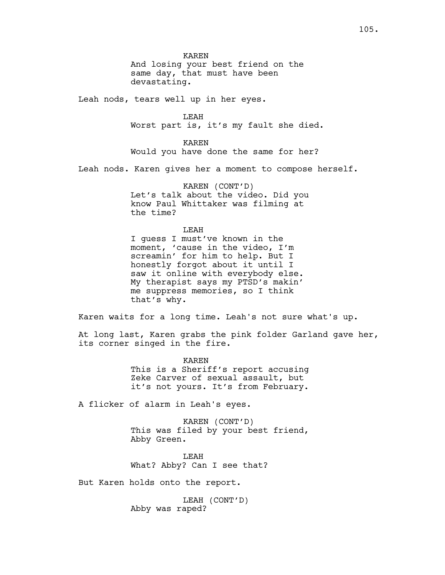KAREN And losing your best friend on the same day, that must have been devastating.

Leah nods, tears well up in her eyes.

LEAH Worst part is, it's my fault she died.

KAREN Would you have done the same for her?

Leah nods. Karen gives her a moment to compose herself.

KAREN (CONT'D) Let's talk about the video. Did you know Paul Whittaker was filming at the time?

LEAH

I guess I must've known in the moment, 'cause in the video, I'm screamin' for him to help. But I honestly forgot about it until I saw it online with everybody else. My therapist says my PTSD's makin' me suppress memories, so I think that's why.

Karen waits for a long time. Leah's not sure what's up.

At long last, Karen grabs the pink folder Garland gave her, its corner singed in the fire.

> KAREN This is a Sheriff's report accusing Zeke Carver of sexual assault, but it's not yours. It's from February.

A flicker of alarm in Leah's eyes.

KAREN (CONT'D) This was filed by your best friend, Abby Green.

LEAH What? Abby? Can I see that?

But Karen holds onto the report.

LEAH (CONT'D) Abby was raped?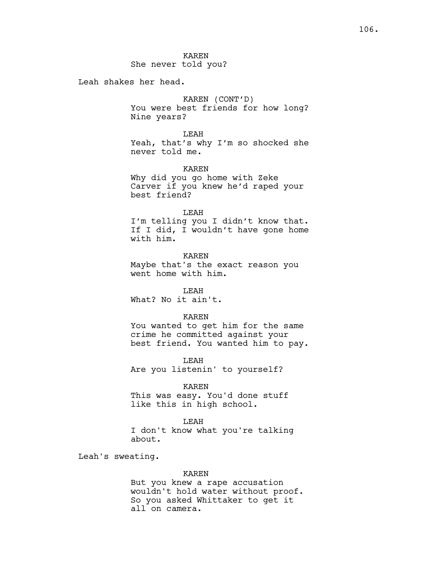KAREN She never told you?

Leah shakes her head.

KAREN (CONT'D) You were best friends for how long? Nine years?

LEAH Yeah, that's why I'm so shocked she never told me.

KAREN

Why did you go home with Zeke Carver if you knew he'd raped your best friend?

LEAH

I'm telling you I didn't know that. If I did, I wouldn't have gone home with him.

KAREN Maybe that's the exact reason you went home with him.

LEAH What? No it ain't.

KAREN

You wanted to get him for the same crime he committed against your best friend. You wanted him to pay.

LEAH Are you listenin' to yourself?

KAREN

This was easy. You'd done stuff like this in high school.

LEAH

I don't know what you're talking about.

Leah's sweating.

KAREN

But you knew a rape accusation wouldn't hold water without proof. So you asked Whittaker to get it all on camera.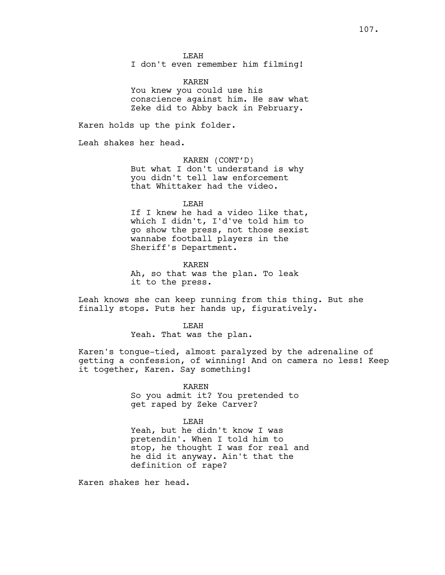LEAH

I don't even remember him filming!

KAREN You knew you could use his conscience against him. He saw what Zeke did to Abby back in February.

Karen holds up the pink folder.

Leah shakes her head.

KAREN (CONT'D) But what I don't understand is why you didn't tell law enforcement that Whittaker had the video.

LEAH

If I knew he had a video like that, which I didn't, I'd've told him to go show the press, not those sexist wannabe football players in the Sheriff's Department.

KAREN Ah, so that was the plan. To leak it to the press.

Leah knows she can keep running from this thing. But she finally stops. Puts her hands up, figuratively.

> LEAH Yeah. That was the plan.

Karen's tongue-tied, almost paralyzed by the adrenaline of getting a confession, of winning! And on camera no less! Keep it together, Karen. Say something!

KAREN

So you admit it? You pretended to get raped by Zeke Carver?

LEAH

Yeah, but he didn't know I was pretendin'. When I told him to stop, he thought I was for real and he did it anyway. Ain't that the definition of rape?

Karen shakes her head.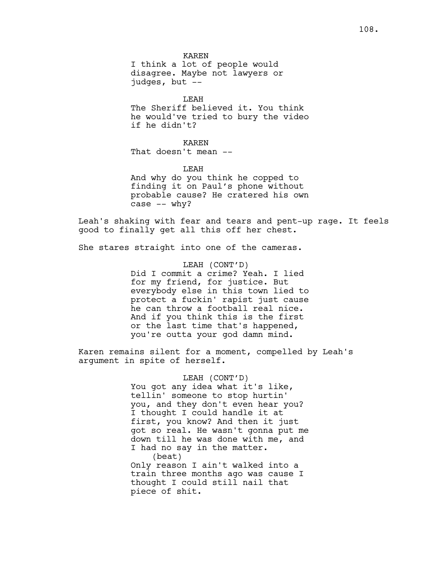KAREN I think a lot of people would disagree. Maybe not lawyers or judges, but --

LEAH The Sheriff believed it. You think he would've tried to bury the video if he didn't?

KAREN That doesn't mean --

LEAH And why do you think he copped to finding it on Paul's phone without probable cause? He cratered his own case -- why?

Leah's shaking with fear and tears and pent-up rage. It feels good to finally get all this off her chest.

She stares straight into one of the cameras.

LEAH (CONT'D) Did I commit a crime? Yeah. I lied for my friend, for justice. But everybody else in this town lied to protect a fuckin' rapist just cause he can throw a football real nice. And if you think this is the first or the last time that's happened, you're outta your god damn mind.

Karen remains silent for a moment, compelled by Leah's argument in spite of herself.

> LEAH (CONT'D) You got any idea what it's like, tellin' someone to stop hurtin' you, and they don't even hear you? I thought I could handle it at first, you know? And then it just got so real. He wasn't gonna put me down till he was done with me, and I had no say in the matter. (beat) Only reason I ain't walked into a train three months ago was cause I thought I could still nail that piece of shit.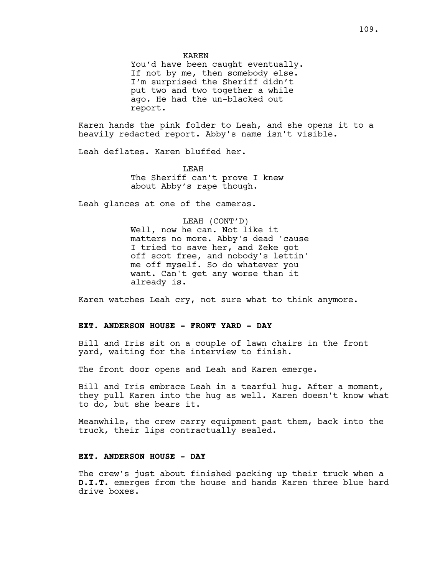KAREN

You'd have been caught eventually. If not by me, then somebody else. I'm surprised the Sheriff didn't put two and two together a while ago. He had the un-blacked out report.

Karen hands the pink folder to Leah, and she opens it to a heavily redacted report. Abby's name isn't visible.

Leah deflates. Karen bluffed her.

LEAH The Sheriff can't prove I knew about Abby's rape though.

Leah glances at one of the cameras.

LEAH (CONT'D) Well, now he can. Not like it matters no more. Abby's dead 'cause I tried to save her, and Zeke got off scot free, and nobody's lettin' me off myself. So do whatever you want. Can't get any worse than it already is.

Karen watches Leah cry, not sure what to think anymore.

### **EXT. ANDERSON HOUSE - FRONT YARD - DAY**

Bill and Iris sit on a couple of lawn chairs in the front yard, waiting for the interview to finish.

The front door opens and Leah and Karen emerge.

Bill and Iris embrace Leah in a tearful hug. After a moment, they pull Karen into the hug as well. Karen doesn't know what to do, but she bears it.

Meanwhile, the crew carry equipment past them, back into the truck, their lips contractually sealed.

### **EXT. ANDERSON HOUSE - DAY**

The crew's just about finished packing up their truck when a **D.I.T.** emerges from the house and hands Karen three blue hard drive boxes.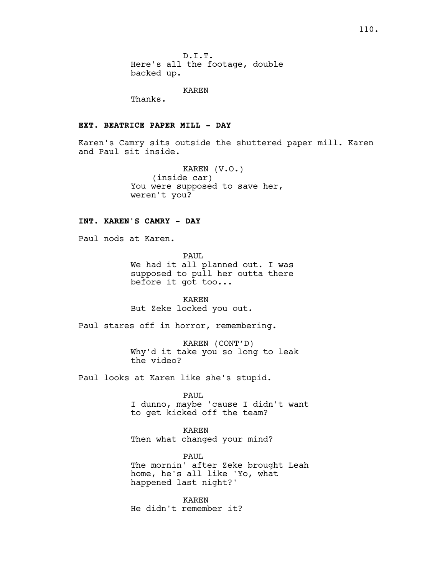D.I.T. Here's all the footage, double backed up.

KAREN

Thanks.

# **EXT. BEATRICE PAPER MILL - DAY**

Karen's Camry sits outside the shuttered paper mill. Karen and Paul sit inside.

> KAREN (V.O.) (inside car) You were supposed to save her, weren't you?

## **INT. KAREN'S CAMRY - DAY**

Paul nods at Karen.

PAUL We had it all planned out. I was supposed to pull her outta there before it got too...

KAREN But Zeke locked you out.

Paul stares off in horror, remembering.

KAREN (CONT'D) Why'd it take you so long to leak the video?

Paul looks at Karen like she's stupid.

PAUL

I dunno, maybe 'cause I didn't want to get kicked off the team?

KAREN Then what changed your mind?

PAUL The mornin' after Zeke brought Leah home, he's all like 'Yo, what happened last night?'

KAREN He didn't remember it?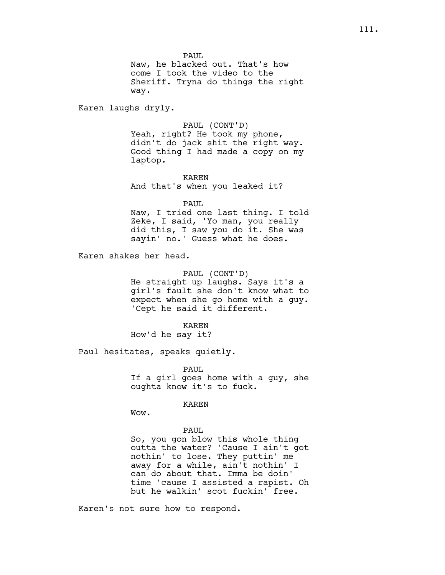PAUL

Naw, he blacked out. That's how come I took the video to the Sheriff. Tryna do things the right way.

Karen laughs dryly.

PAUL (CONT'D)

Yeah, right? He took my phone, didn't do jack shit the right way. Good thing I had made a copy on my laptop.

KAREN And that's when you leaked it?

PAUL. Naw, I tried one last thing. I told Zeke, I said, 'Yo man, you really did this, I saw you do it. She was sayin' no.' Guess what he does.

Karen shakes her head.

PAUL (CONT'D) He straight up laughs. Says it's a

girl's fault she don't know what to expect when she go home with a guy. 'Cept he said it different.

KAREN How'd he say it?

Paul hesitates, speaks quietly.

PAUL If a girl goes home with a guy, she oughta know it's to fuck.

#### KAREN

Wow.

### PAUL

So, you gon blow this whole thing outta the water? 'Cause I ain't got nothin' to lose. They puttin' me away for a while, ain't nothin' I can do about that. Imma be doin' time 'cause I assisted a rapist. Oh but he walkin' scot fuckin' free.

Karen's not sure how to respond.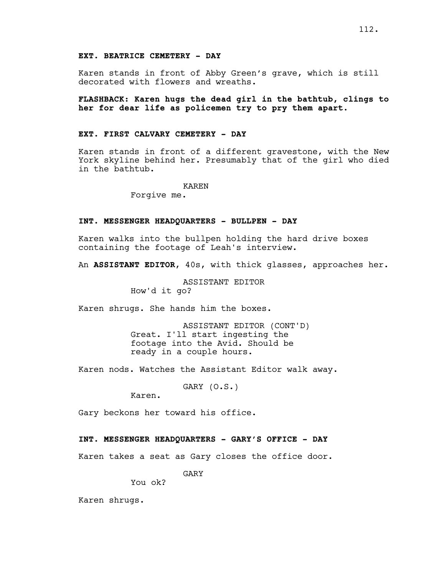### **EXT. BEATRICE CEMETERY - DAY**

Karen stands in front of Abby Green's grave, which is still decorated with flowers and wreaths.

**FLASHBACK: Karen hugs the dead girl in the bathtub, clings to her for dear life as policemen try to pry them apart.**

### **EXT. FIRST CALVARY CEMETERY - DAY**

Karen stands in front of a different gravestone, with the New York skyline behind her. Presumably that of the girl who died in the bathtub.

#### KAREN

Forgive me.

### **INT. MESSENGER HEADQUARTERS - BULLPEN - DAY**

Karen walks into the bullpen holding the hard drive boxes containing the footage of Leah's interview.

An **ASSISTANT EDITOR**, 40s, with thick glasses, approaches her.

ASSISTANT EDITOR How'd it go?

Karen shrugs. She hands him the boxes.

ASSISTANT EDITOR (CONT'D) Great. I'll start ingesting the footage into the Avid. Should be ready in a couple hours.

Karen nods. Watches the Assistant Editor walk away.

GARY (O.S.)

Karen.

Gary beckons her toward his office.

#### **INT. MESSENGER HEADQUARTERS - GARY'S OFFICE - DAY**

Karen takes a seat as Gary closes the office door.

GARY

You ok?

Karen shrugs.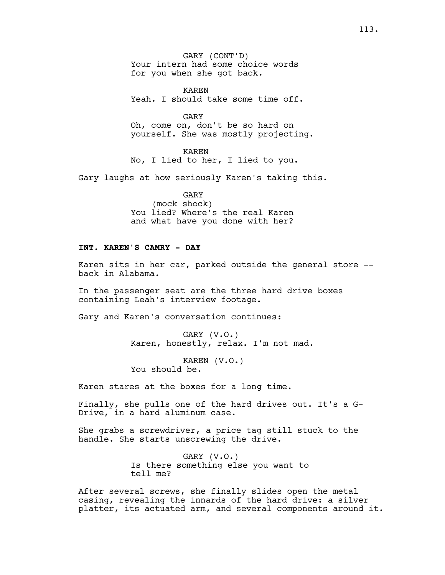GARY (CONT'D) Your intern had some choice words for you when she got back.

KAREN Yeah. I should take some time off.

GARY Oh, come on, don't be so hard on yourself. She was mostly projecting.

KAREN No, I lied to her, I lied to you.

Gary laughs at how seriously Karen's taking this.

GARY (mock shock) You lied? Where's the real Karen and what have you done with her?

### **INT. KAREN'S CAMRY - DAY**

Karen sits in her car, parked outside the general store - back in Alabama.

In the passenger seat are the three hard drive boxes containing Leah's interview footage.

Gary and Karen's conversation continues:

GARY (V.O.) Karen, honestly, relax. I'm not mad.

KAREN (V.O.) You should be.

Karen stares at the boxes for a long time.

Finally, she pulls one of the hard drives out. It's a G-Drive, in a hard aluminum case.

She grabs a screwdriver, a price tag still stuck to the handle. She starts unscrewing the drive.

> GARY (V.O.) Is there something else you want to tell me?

After several screws, she finally slides open the metal casing, revealing the innards of the hard drive: a silver platter, its actuated arm, and several components around it.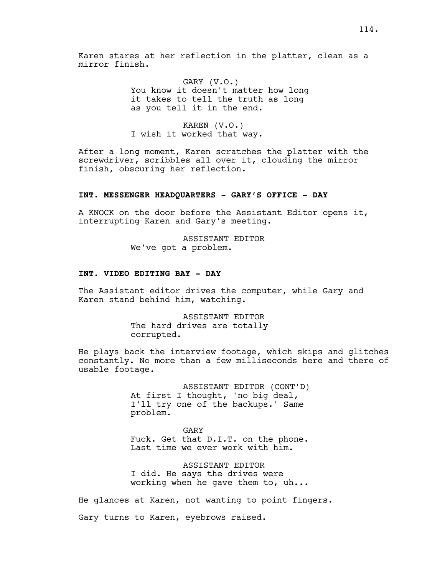Karen stares at her reflection in the platter, clean as a mirror finish.

> GARY (V.O.) You know it doesn't matter how long it takes to tell the truth as long as you tell it in the end.

KAREN (V.O.) I wish it worked that way.

After a long moment, Karen scratches the platter with the screwdriver, scribbles all over it, clouding the mirror finish, obscuring her reflection.

#### **INT. MESSENGER HEADQUARTERS - GARY'S OFFICE - DAY**

A KNOCK on the door before the Assistant Editor opens it, interrupting Karen and Gary's meeting.

> ASSISTANT EDITOR We've got a problem.

### **INT. VIDEO EDITING BAY - DAY**

The Assistant editor drives the computer, while Gary and Karen stand behind him, watching.

> ASSISTANT EDITOR The hard drives are totally corrupted.

He plays back the interview footage, which skips and glitches constantly. No more than a few milliseconds here and there of usable footage.

> ASSISTANT EDITOR (CONT'D) At first I thought, 'no big deal, I'll try one of the backups.' Same problem.

> GARY Fuck. Get that D.I.T. on the phone. Last time we ever work with him.

> ASSISTANT EDITOR I did. He says the drives were working when he gave them to, uh...

He glances at Karen, not wanting to point fingers. Gary turns to Karen, eyebrows raised.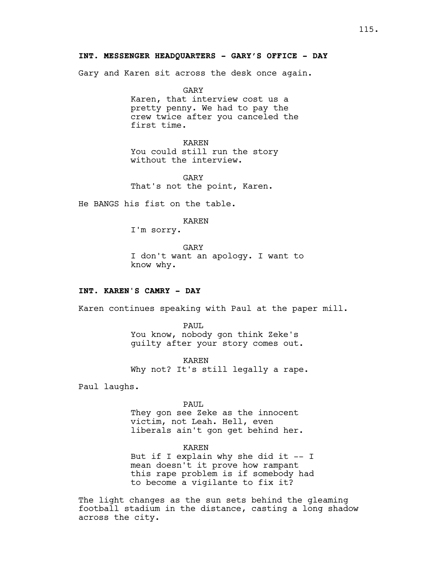Gary and Karen sit across the desk once again.

GARY Karen, that interview cost us a pretty penny. We had to pay the crew twice after you canceled the first time.

KAREN You could still run the story without the interview.

GARY That's not the point, Karen.

He BANGS his fist on the table.

## KAREN

I'm sorry.

GARY I don't want an apology. I want to know why.

### **INT. KAREN'S CAMRY - DAY**

Karen continues speaking with Paul at the paper mill.

PAUL You know, nobody gon think Zeke's guilty after your story comes out.

KAREN Why not? It's still legally a rape.

Paul laughs.

PAUL They gon see Zeke as the innocent victim, not Leah. Hell, even liberals ain't gon get behind her.

KAREN But if I explain why she did it  $-$  I mean doesn't it prove how rampant this rape problem is if somebody had to become a vigilante to fix it?

The light changes as the sun sets behind the gleaming football stadium in the distance, casting a long shadow across the city.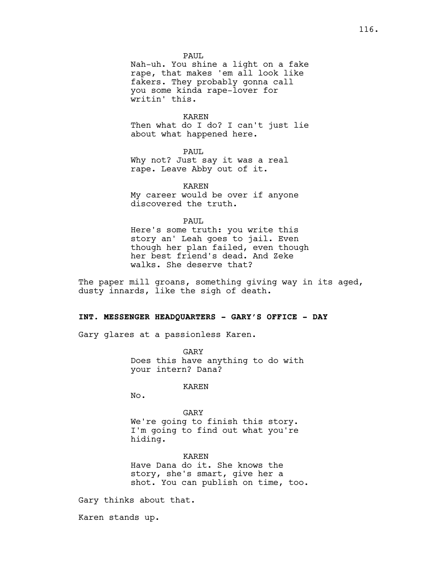PAUL

Nah-uh. You shine a light on a fake rape, that makes 'em all look like fakers. They probably gonna call you some kinda rape-lover for writin' this.

KAREN Then what do I do? I can't just lie about what happened here.

PAUL Why not? Just say it was a real rape. Leave Abby out of it.

KAREN My career would be over if anyone discovered the truth.

PAUL.

Here's some truth: you write this story an' Leah goes to jail. Even though her plan failed, even though her best friend's dead. And Zeke walks. She deserve that?

The paper mill groans, something giving way in its aged, dusty innards, like the sigh of death.

## **INT. MESSENGER HEADQUARTERS - GARY'S OFFICE - DAY**

Gary glares at a passionless Karen.

GARY Does this have anything to do with your intern? Dana?

KAREN

No.

## GARY We're going to finish this story. I'm going to find out what you're hiding.

KAREN Have Dana do it. She knows the story, she's smart, give her a shot. You can publish on time, too.

Gary thinks about that.

Karen stands up.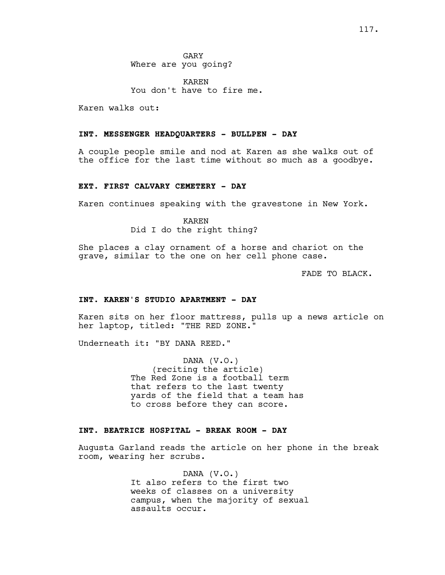GARY Where are you going?

KAREN You don't have to fire me.

Karen walks out:

# **INT. MESSENGER HEADQUARTERS - BULLPEN - DAY**

A couple people smile and nod at Karen as she walks out of the office for the last time without so much as a goodbye.

#### **EXT. FIRST CALVARY CEMETERY - DAY**

Karen continues speaking with the gravestone in New York.

KAREN Did I do the right thing?

She places a clay ornament of a horse and chariot on the grave, similar to the one on her cell phone case.

FADE TO BLACK.

# **INT. KAREN'S STUDIO APARTMENT - DAY**

Karen sits on her floor mattress, pulls up a news article on her laptop, titled: "THE RED ZONE."

Underneath it: "BY DANA REED."

DANA (V.O.) (reciting the article) The Red Zone is a football term that refers to the last twenty yards of the field that a team has to cross before they can score.

### **INT. BEATRICE HOSPITAL - BREAK ROOM - DAY**

Augusta Garland reads the article on her phone in the break room, wearing her scrubs.

> DANA (V.O.) It also refers to the first two weeks of classes on a university campus, when the majority of sexual assaults occur.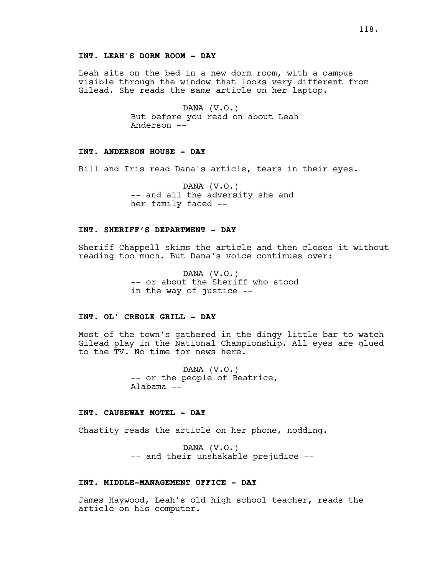### **INT. LEAH'S DORM ROOM - DAY**

Leah sits on the bed in a new dorm room, with a campus visible through the window that looks very different from Gilead. She reads the same article on her laptop.

> DANA (V.O.) But before you read on about Leah Anderson --

#### **INT. ANDERSON HOUSE - DAY**

Bill and Iris read Dana's article, tears in their eyes.

DANA (V.O.) -- and all the adversity she and her family faced --

### **INT. SHERIFF'S DEPARTMENT - DAY**

Sheriff Chappell skims the article and then closes it without reading too much. But Dana's voice continues over:

> DANA (V.O.) -- or about the Sheriff who stood in the way of justice --

## **INT. OL' CREOLE GRILL - DAY**

Most of the town's gathered in the dingy little bar to watch Gilead play in the National Championship. All eyes are glued to the TV. No time for news here.

> DANA (V.O.) -- or the people of Beatrice, Alabama --

### **INT. CAUSEWAY MOTEL - DAY**

Chastity reads the article on her phone, nodding.

DANA (V.O.) -- and their unshakable prejudice --

### **INT. MIDDLE-MANAGEMENT OFFICE - DAY**

James Haywood, Leah's old high school teacher, reads the article on his computer.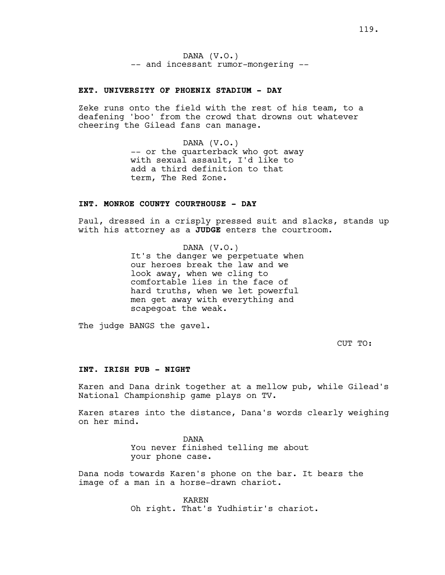DANA (V.O.) -- and incessant rumor-mongering --

### **EXT. UNIVERSITY OF PHOENIX STADIUM - DAY**

Zeke runs onto the field with the rest of his team, to a deafening 'boo' from the crowd that drowns out whatever cheering the Gilead fans can manage.

> DANA (V.O.) -- or the quarterback who got away with sexual assault, I'd like to add a third definition to that term, The Red Zone.

## **INT. MONROE COUNTY COURTHOUSE - DAY**

Paul, dressed in a crisply pressed suit and slacks, stands up with his attorney as a **JUDGE** enters the courtroom.

> DANA (V.O.) It's the danger we perpetuate when our heroes break the law and we look away, when we cling to comfortable lies in the face of hard truths, when we let powerful men get away with everything and scapegoat the weak.

The judge BANGS the gavel.

CUT TO:

### **INT. IRISH PUB - NIGHT**

Karen and Dana drink together at a mellow pub, while Gilead's National Championship game plays on TV.

Karen stares into the distance, Dana's words clearly weighing on her mind.

> DANA You never finished telling me about your phone case.

Dana nods towards Karen's phone on the bar. It bears the image of a man in a horse-drawn chariot.

> KAREN Oh right. That's Yudhistir's chariot.